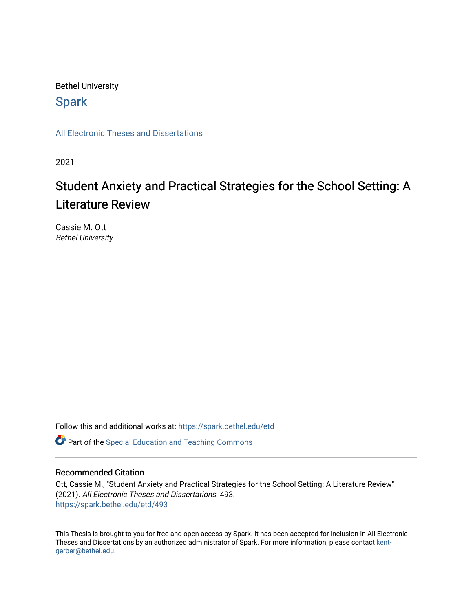#### Bethel University

## **Spark**

[All Electronic Theses and Dissertations](https://spark.bethel.edu/etd) 

2021

# Student Anxiety and Practical Strategies for the School Setting: A Literature Review

Cassie M. Ott Bethel University

Follow this and additional works at: [https://spark.bethel.edu/etd](https://spark.bethel.edu/etd?utm_source=spark.bethel.edu%2Fetd%2F493&utm_medium=PDF&utm_campaign=PDFCoverPages)

**C** Part of the Special Education and Teaching Commons

#### Recommended Citation

Ott, Cassie M., "Student Anxiety and Practical Strategies for the School Setting: A Literature Review" (2021). All Electronic Theses and Dissertations. 493. [https://spark.bethel.edu/etd/493](https://spark.bethel.edu/etd/493?utm_source=spark.bethel.edu%2Fetd%2F493&utm_medium=PDF&utm_campaign=PDFCoverPages)

This Thesis is brought to you for free and open access by Spark. It has been accepted for inclusion in All Electronic Theses and Dissertations by an authorized administrator of Spark. For more information, please contact [kent](mailto:kent-gerber@bethel.edu)[gerber@bethel.edu.](mailto:kent-gerber@bethel.edu)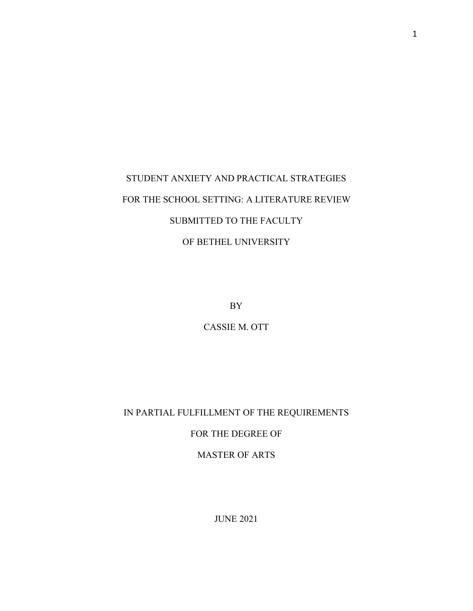# STUDENT ANXIETY AND PRACTICAL STRATEGIES FOR THE SCHOOL SETTING: A LITERATURE REVIEW SUBMITTED TO THE FACULTY OF BETHEL UNIVERSITY

BY

CASSIE M. OTT

IN PARTIAL FULFILLMENT OF THE REQUIREMENTS

### FOR THE DEGREE OF

MASTER OF ARTS

JUNE 2021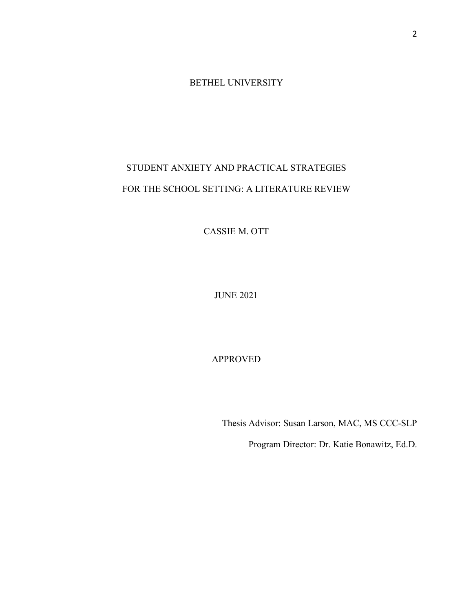BETHEL UNIVERSITY

## STUDENT ANXIETY AND PRACTICAL STRATEGIES FOR THE SCHOOL SETTING: A LITERATURE REVIEW

CASSIE M. OTT

JUNE 2021

APPROVED

Thesis Advisor: Susan Larson, MAC, MS CCC-SLP

Program Director: Dr. Katie Bonawitz, Ed.D.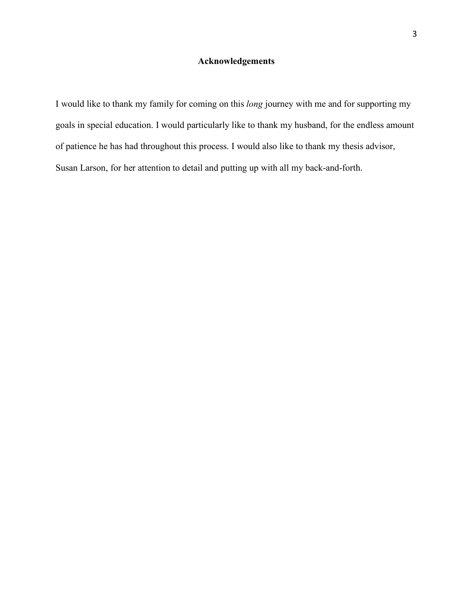## **Acknowledgements**

I would like to thank my family for coming on this *long* journey with me and for supporting my goals in special education. I would particularly like to thank my husband, for the endless amount of patience he has had throughout this process. I would also like to thank my thesis advisor, Susan Larson, for her attention to detail and putting up with all my back-and-forth.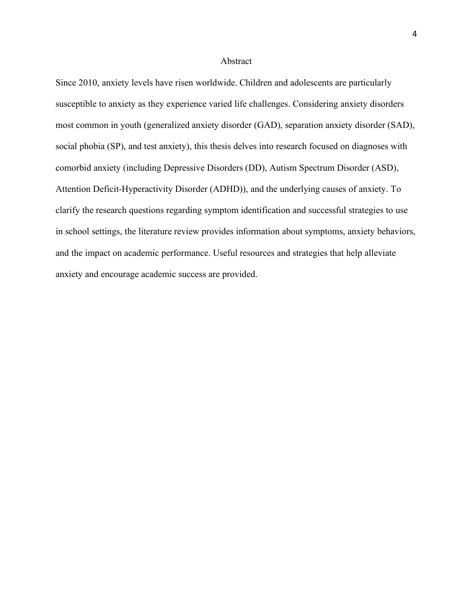#### Abstract

Since 2010, anxiety levels have risen worldwide. Children and adolescents are particularly susceptible to anxiety as they experience varied life challenges. Considering anxiety disorders most common in youth (generalized anxiety disorder (GAD), separation anxiety disorder (SAD), social phobia (SP), and test anxiety), this thesis delves into research focused on diagnoses with comorbid anxiety (including Depressive Disorders (DD), Autism Spectrum Disorder (ASD), Attention Deficit-Hyperactivity Disorder (ADHD)), and the underlying causes of anxiety. To clarify the research questions regarding symptom identification and successful strategies to use in school settings, the literature review provides information about symptoms, anxiety behaviors, and the impact on academic performance. Useful resources and strategies that help alleviate anxiety and encourage academic success are provided.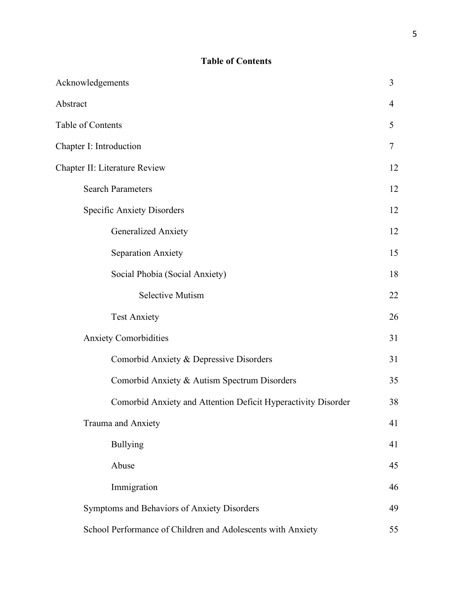## **Table of Contents**

| Acknowledgements                                              | 3  |
|---------------------------------------------------------------|----|
| Abstract                                                      | 4  |
| Table of Contents                                             | 5  |
| Chapter I: Introduction                                       | 7  |
| Chapter II: Literature Review                                 | 12 |
| <b>Search Parameters</b>                                      | 12 |
| <b>Specific Anxiety Disorders</b>                             | 12 |
| Generalized Anxiety                                           | 12 |
| Separation Anxiety                                            | 15 |
| Social Phobia (Social Anxiety)                                | 18 |
| <b>Selective Mutism</b>                                       | 22 |
| <b>Test Anxiety</b>                                           | 26 |
| <b>Anxiety Comorbidities</b>                                  | 31 |
| Comorbid Anxiety & Depressive Disorders                       | 31 |
| Comorbid Anxiety & Autism Spectrum Disorders                  | 35 |
| Comorbid Anxiety and Attention Deficit Hyperactivity Disorder | 38 |
| <b>Trauma and Anxiety</b>                                     | 41 |
| <b>Bullying</b>                                               | 41 |
| Abuse                                                         | 45 |
| Immigration                                                   | 46 |
| Symptoms and Behaviors of Anxiety Disorders                   | 49 |
| School Performance of Children and Adolescents with Anxiety   | 55 |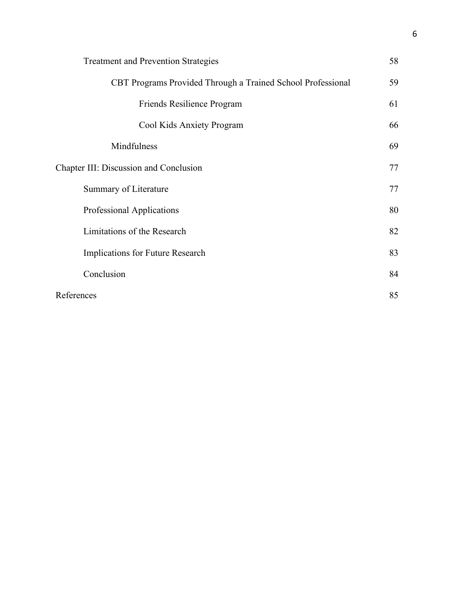| <b>Treatment and Prevention Strategies</b>                  | 58 |
|-------------------------------------------------------------|----|
| CBT Programs Provided Through a Trained School Professional | 59 |
| Friends Resilience Program                                  | 61 |
| Cool Kids Anxiety Program                                   | 66 |
| Mindfulness                                                 | 69 |
| Chapter III: Discussion and Conclusion                      | 77 |
| Summary of Literature                                       | 77 |
| Professional Applications                                   | 80 |
| Limitations of the Research                                 | 82 |
| Implications for Future Research                            | 83 |
| Conclusion                                                  | 84 |
| References                                                  | 85 |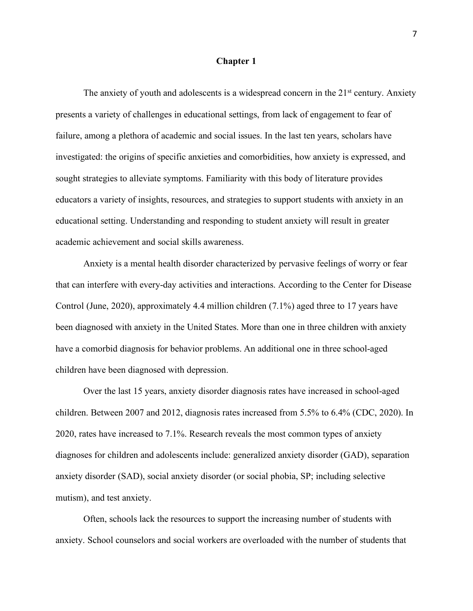#### **Chapter 1**

The anxiety of youth and adolescents is a widespread concern in the  $21<sup>st</sup>$  century. Anxiety presents a variety of challenges in educational settings, from lack of engagement to fear of failure, among a plethora of academic and social issues. In the last ten years, scholars have investigated: the origins of specific anxieties and comorbidities, how anxiety is expressed, and sought strategies to alleviate symptoms. Familiarity with this body of literature provides educators a variety of insights, resources, and strategies to support students with anxiety in an educational setting. Understanding and responding to student anxiety will result in greater academic achievement and social skills awareness.

Anxiety is a mental health disorder characterized by pervasive feelings of worry or fear that can interfere with every-day activities and interactions. According to the Center for Disease Control (June, 2020), approximately 4.4 million children (7.1%) aged three to 17 years have been diagnosed with anxiety in the United States. More than one in three children with anxiety have a comorbid diagnosis for behavior problems. An additional one in three school-aged children have been diagnosed with depression.

Over the last 15 years, anxiety disorder diagnosis rates have increased in school-aged children. Between 2007 and 2012, diagnosis rates increased from 5.5% to 6.4% (CDC, 2020). In 2020, rates have increased to 7.1%. Research reveals the most common types of anxiety diagnoses for children and adolescents include: generalized anxiety disorder (GAD), separation anxiety disorder (SAD), social anxiety disorder (or social phobia, SP; including selective mutism), and test anxiety.

Often, schools lack the resources to support the increasing number of students with anxiety. School counselors and social workers are overloaded with the number of students that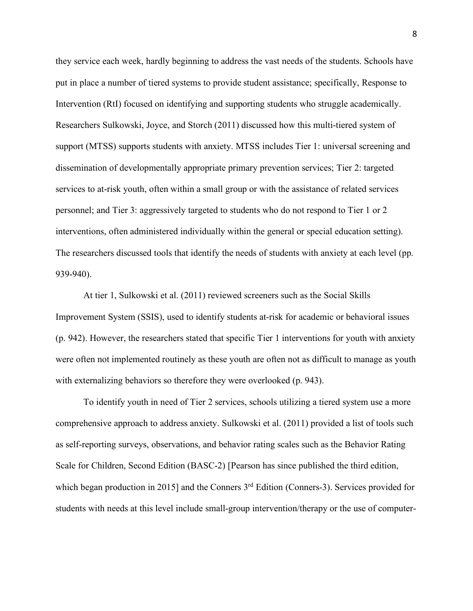they service each week, hardly beginning to address the vast needs of the students. Schools have put in place a number of tiered systems to provide student assistance; specifically, Response to Intervention (RtI) focused on identifying and supporting students who struggle academically. Researchers Sulkowski, Joyce, and Storch (2011) discussed how this multi-tiered system of support (MTSS) supports students with anxiety. MTSS includes Tier 1: universal screening and dissemination of developmentally appropriate primary prevention services; Tier 2: targeted services to at-risk youth, often within a small group or with the assistance of related services personnel; and Tier 3: aggressively targeted to students who do not respond to Tier 1 or 2 interventions, often administered individually within the general or special education setting). The researchers discussed tools that identify the needs of students with anxiety at each level (pp. 939-940).

At tier 1, Sulkowski et al. (2011) reviewed screeners such as the Social Skills Improvement System (SSIS), used to identify students at-risk for academic or behavioral issues (p. 942). However, the researchers stated that specific Tier 1 interventions for youth with anxiety were often not implemented routinely as these youth are often not as difficult to manage as youth with externalizing behaviors so therefore they were overlooked (p. 943).

To identify youth in need of Tier 2 services, schools utilizing a tiered system use a more comprehensive approach to address anxiety. Sulkowski et al. (2011) provided a list of tools such as self-reporting surveys, observations, and behavior rating scales such as the Behavior Rating Scale for Children, Second Edition (BASC-2) [Pearson has since published the third edition, which began production in 2015] and the Conners 3<sup>rd</sup> Edition (Conners-3). Services provided for students with needs at this level include small-group intervention/therapy or the use of computer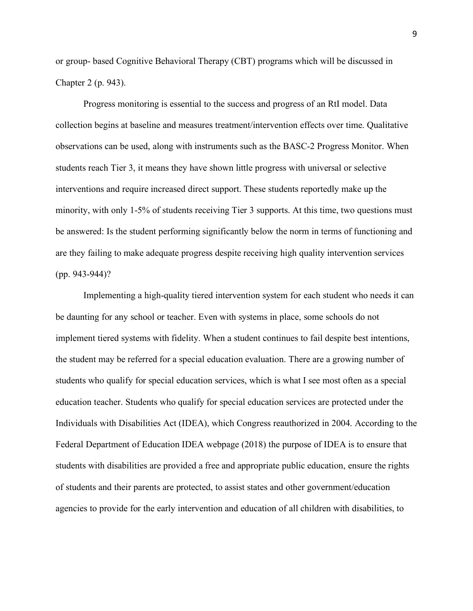or group- based Cognitive Behavioral Therapy (CBT) programs which will be discussed in Chapter 2 (p. 943).

Progress monitoring is essential to the success and progress of an RtI model. Data collection begins at baseline and measures treatment/intervention effects over time. Qualitative observations can be used, along with instruments such as the BASC-2 Progress Monitor. When students reach Tier 3, it means they have shown little progress with universal or selective interventions and require increased direct support. These students reportedly make up the minority, with only 1-5% of students receiving Tier 3 supports. At this time, two questions must be answered: Is the student performing significantly below the norm in terms of functioning and are they failing to make adequate progress despite receiving high quality intervention services (pp. 943-944)?

Implementing a high-quality tiered intervention system for each student who needs it can be daunting for any school or teacher. Even with systems in place, some schools do not implement tiered systems with fidelity. When a student continues to fail despite best intentions, the student may be referred for a special education evaluation. There are a growing number of students who qualify for special education services, which is what I see most often as a special education teacher. Students who qualify for special education services are protected under the Individuals with Disabilities Act (IDEA), which Congress reauthorized in 2004. According to the Federal Department of Education IDEA webpage (2018) the purpose of IDEA is to ensure that students with disabilities are provided a free and appropriate public education, ensure the rights of students and their parents are protected, to assist states and other government/education agencies to provide for the early intervention and education of all children with disabilities, to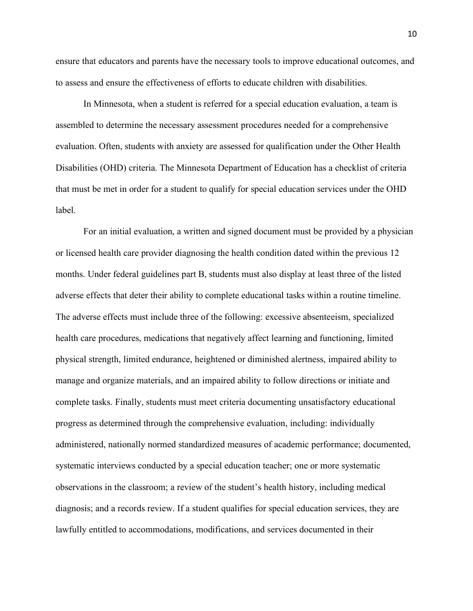ensure that educators and parents have the necessary tools to improve educational outcomes, and to assess and ensure the effectiveness of efforts to educate children with disabilities.

In Minnesota, when a student is referred for a special education evaluation, a team is assembled to determine the necessary assessment procedures needed for a comprehensive evaluation. Often, students with anxiety are assessed for qualification under the Other Health Disabilities (OHD) criteria. The Minnesota Department of Education has a checklist of criteria that must be met in order for a student to qualify for special education services under the OHD label.

For an initial evaluation, a written and signed document must be provided by a physician or licensed health care provider diagnosing the health condition dated within the previous 12 months. Under federal guidelines part B, students must also display at least three of the listed adverse effects that deter their ability to complete educational tasks within a routine timeline. The adverse effects must include three of the following: excessive absenteeism, specialized health care procedures, medications that negatively affect learning and functioning, limited physical strength, limited endurance, heightened or diminished alertness, impaired ability to manage and organize materials, and an impaired ability to follow directions or initiate and complete tasks. Finally, students must meet criteria documenting unsatisfactory educational progress as determined through the comprehensive evaluation, including: individually administered, nationally normed standardized measures of academic performance; documented, systematic interviews conducted by a special education teacher; one or more systematic observations in the classroom; a review of the student's health history, including medical diagnosis; and a records review. If a student qualifies for special education services, they are lawfully entitled to accommodations, modifications, and services documented in their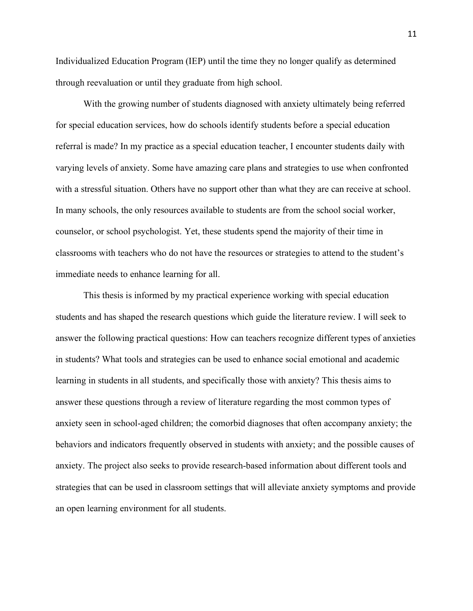Individualized Education Program (IEP) until the time they no longer qualify as determined through reevaluation or until they graduate from high school.

With the growing number of students diagnosed with anxiety ultimately being referred for special education services, how do schools identify students before a special education referral is made? In my practice as a special education teacher, I encounter students daily with varying levels of anxiety. Some have amazing care plans and strategies to use when confronted with a stressful situation. Others have no support other than what they are can receive at school. In many schools, the only resources available to students are from the school social worker, counselor, or school psychologist. Yet, these students spend the majority of their time in classrooms with teachers who do not have the resources or strategies to attend to the student's immediate needs to enhance learning for all.

This thesis is informed by my practical experience working with special education students and has shaped the research questions which guide the literature review. I will seek to answer the following practical questions: How can teachers recognize different types of anxieties in students? What tools and strategies can be used to enhance social emotional and academic learning in students in all students, and specifically those with anxiety? This thesis aims to answer these questions through a review of literature regarding the most common types of anxiety seen in school-aged children; the comorbid diagnoses that often accompany anxiety; the behaviors and indicators frequently observed in students with anxiety; and the possible causes of anxiety. The project also seeks to provide research-based information about different tools and strategies that can be used in classroom settings that will alleviate anxiety symptoms and provide an open learning environment for all students.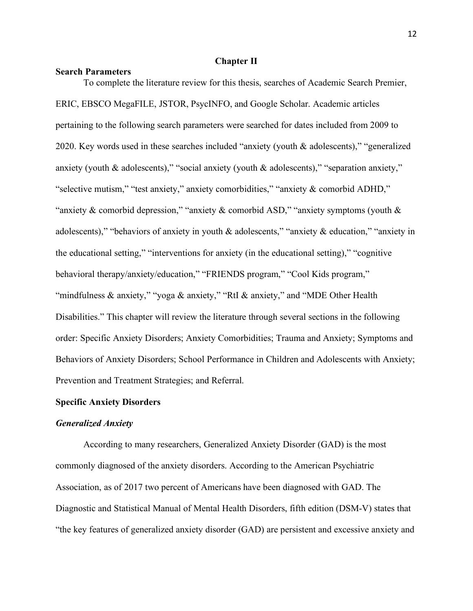#### **Chapter II**

#### **Search Parameters**

To complete the literature review for this thesis, searches of Academic Search Premier, ERIC, EBSCO MegaFILE, JSTOR, PsycINFO, and Google Scholar. Academic articles pertaining to the following search parameters were searched for dates included from 2009 to 2020. Key words used in these searches included "anxiety (youth & adolescents)," "generalized anxiety (youth & adolescents)," "social anxiety (youth & adolescents)," "separation anxiety," "selective mutism," "test anxiety," anxiety comorbidities," "anxiety & comorbid ADHD," "anxiety  $\&$  comorbid depression," "anxiety  $\&$  comorbid ASD," "anxiety symptoms (youth  $\&$ adolescents)," "behaviors of anxiety in youth & adolescents," "anxiety & education," "anxiety in the educational setting," "interventions for anxiety (in the educational setting)," "cognitive behavioral therapy/anxiety/education," "FRIENDS program," "Cool Kids program," "mindfulness & anxiety," "yoga & anxiety," "RtI & anxiety," and "MDE Other Health Disabilities." This chapter will review the literature through several sections in the following order: Specific Anxiety Disorders; Anxiety Comorbidities; Trauma and Anxiety; Symptoms and Behaviors of Anxiety Disorders; School Performance in Children and Adolescents with Anxiety; Prevention and Treatment Strategies; and Referral.

#### **Specific Anxiety Disorders**

#### *Generalized Anxiety*

According to many researchers, Generalized Anxiety Disorder (GAD) is the most commonly diagnosed of the anxiety disorders. According to the American Psychiatric Association, as of 2017 two percent of Americans have been diagnosed with GAD. The Diagnostic and Statistical Manual of Mental Health Disorders, fifth edition (DSM-V) states that "the key features of generalized anxiety disorder (GAD) are persistent and excessive anxiety and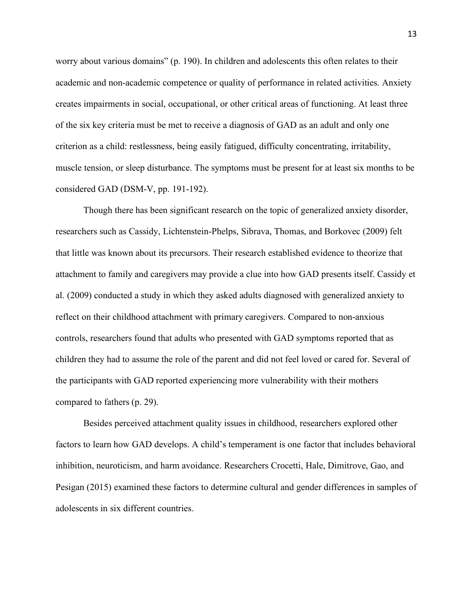worry about various domains" (p. 190). In children and adolescents this often relates to their academic and non-academic competence or quality of performance in related activities. Anxiety creates impairments in social, occupational, or other critical areas of functioning. At least three of the six key criteria must be met to receive a diagnosis of GAD as an adult and only one criterion as a child: restlessness, being easily fatigued, difficulty concentrating, irritability, muscle tension, or sleep disturbance. The symptoms must be present for at least six months to be considered GAD (DSM-V, pp. 191-192).

Though there has been significant research on the topic of generalized anxiety disorder, researchers such as Cassidy, Lichtenstein-Phelps, Sibrava, Thomas, and Borkovec (2009) felt that little was known about its precursors. Their research established evidence to theorize that attachment to family and caregivers may provide a clue into how GAD presents itself. Cassidy et al. (2009) conducted a study in which they asked adults diagnosed with generalized anxiety to reflect on their childhood attachment with primary caregivers. Compared to non-anxious controls, researchers found that adults who presented with GAD symptoms reported that as children they had to assume the role of the parent and did not feel loved or cared for. Several of the participants with GAD reported experiencing more vulnerability with their mothers compared to fathers (p. 29).

Besides perceived attachment quality issues in childhood, researchers explored other factors to learn how GAD develops. A child's temperament is one factor that includes behavioral inhibition, neuroticism, and harm avoidance. Researchers Crocetti, Hale, Dimitrove, Gao, and Pesigan (2015) examined these factors to determine cultural and gender differences in samples of adolescents in six different countries.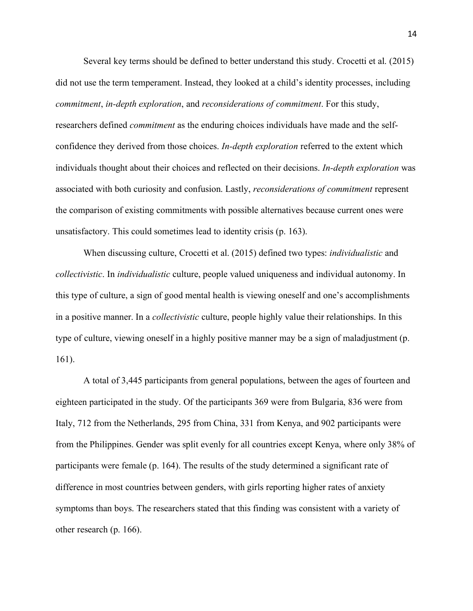Several key terms should be defined to better understand this study. Crocetti et al. (2015) did not use the term temperament. Instead, they looked at a child's identity processes, including *commitment*, *in-depth exploration*, and *reconsiderations of commitment*. For this study, researchers defined *commitment* as the enduring choices individuals have made and the selfconfidence they derived from those choices. *In-depth exploration* referred to the extent which individuals thought about their choices and reflected on their decisions. *In-depth exploration* was associated with both curiosity and confusion. Lastly, *reconsiderations of commitment* represent the comparison of existing commitments with possible alternatives because current ones were unsatisfactory. This could sometimes lead to identity crisis (p. 163).

When discussing culture, Crocetti et al. (2015) defined two types: *individualistic* and *collectivistic*. In *individualistic* culture, people valued uniqueness and individual autonomy. In this type of culture, a sign of good mental health is viewing oneself and one's accomplishments in a positive manner. In a *collectivistic* culture, people highly value their relationships. In this type of culture, viewing oneself in a highly positive manner may be a sign of maladjustment (p. 161).

A total of 3,445 participants from general populations, between the ages of fourteen and eighteen participated in the study. Of the participants 369 were from Bulgaria, 836 were from Italy, 712 from the Netherlands, 295 from China, 331 from Kenya, and 902 participants were from the Philippines. Gender was split evenly for all countries except Kenya, where only 38% of participants were female (p. 164). The results of the study determined a significant rate of difference in most countries between genders, with girls reporting higher rates of anxiety symptoms than boys. The researchers stated that this finding was consistent with a variety of other research (p. 166).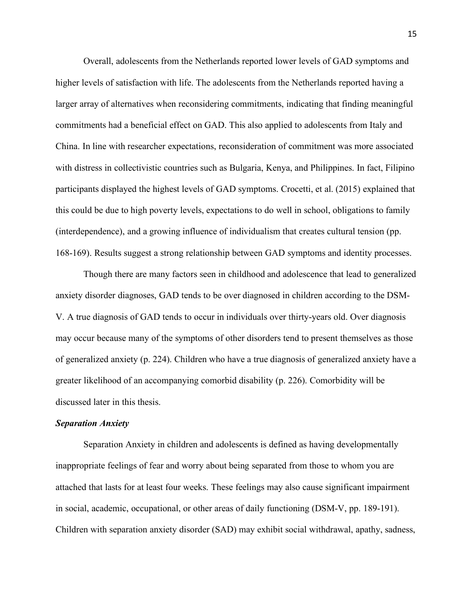Overall, adolescents from the Netherlands reported lower levels of GAD symptoms and higher levels of satisfaction with life. The adolescents from the Netherlands reported having a larger array of alternatives when reconsidering commitments, indicating that finding meaningful commitments had a beneficial effect on GAD. This also applied to adolescents from Italy and China. In line with researcher expectations, reconsideration of commitment was more associated with distress in collectivistic countries such as Bulgaria, Kenya, and Philippines. In fact, Filipino participants displayed the highest levels of GAD symptoms. Crocetti, et al. (2015) explained that this could be due to high poverty levels, expectations to do well in school, obligations to family (interdependence), and a growing influence of individualism that creates cultural tension (pp. 168-169). Results suggest a strong relationship between GAD symptoms and identity processes.

Though there are many factors seen in childhood and adolescence that lead to generalized anxiety disorder diagnoses, GAD tends to be over diagnosed in children according to the DSM-V. A true diagnosis of GAD tends to occur in individuals over thirty-years old. Over diagnosis may occur because many of the symptoms of other disorders tend to present themselves as those of generalized anxiety (p. 224). Children who have a true diagnosis of generalized anxiety have a greater likelihood of an accompanying comorbid disability (p. 226). Comorbidity will be discussed later in this thesis.

#### *Separation Anxiety*

Separation Anxiety in children and adolescents is defined as having developmentally inappropriate feelings of fear and worry about being separated from those to whom you are attached that lasts for at least four weeks. These feelings may also cause significant impairment in social, academic, occupational, or other areas of daily functioning (DSM-V, pp. 189-191). Children with separation anxiety disorder (SAD) may exhibit social withdrawal, apathy, sadness,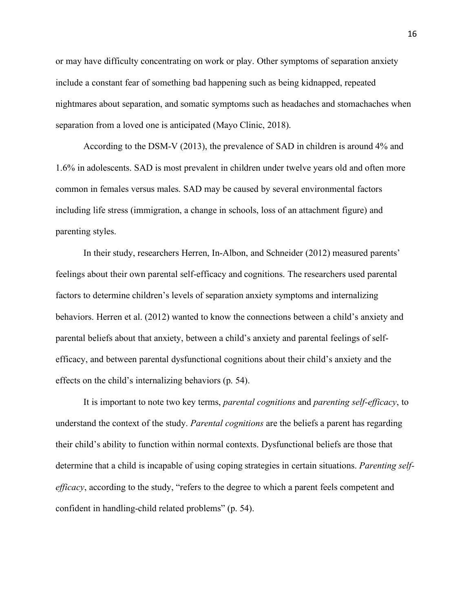or may have difficulty concentrating on work or play. Other symptoms of separation anxiety include a constant fear of something bad happening such as being kidnapped, repeated nightmares about separation, and somatic symptoms such as headaches and stomachaches when separation from a loved one is anticipated (Mayo Clinic, 2018).

According to the DSM-V (2013), the prevalence of SAD in children is around 4% and 1.6% in adolescents. SAD is most prevalent in children under twelve years old and often more common in females versus males. SAD may be caused by several environmental factors including life stress (immigration, a change in schools, loss of an attachment figure) and parenting styles.

In their study, researchers Herren, In-Albon, and Schneider (2012) measured parents' feelings about their own parental self-efficacy and cognitions. The researchers used parental factors to determine children's levels of separation anxiety symptoms and internalizing behaviors. Herren et al. (2012) wanted to know the connections between a child's anxiety and parental beliefs about that anxiety, between a child's anxiety and parental feelings of selfefficacy, and between parental dysfunctional cognitions about their child's anxiety and the effects on the child's internalizing behaviors (p. 54).

It is important to note two key terms, *parental cognitions* and *parenting self-efficacy*, to understand the context of the study. *Parental cognitions* are the beliefs a parent has regarding their child's ability to function within normal contexts. Dysfunctional beliefs are those that determine that a child is incapable of using coping strategies in certain situations. *Parenting selfefficacy*, according to the study, "refers to the degree to which a parent feels competent and confident in handling-child related problems" (p. 54).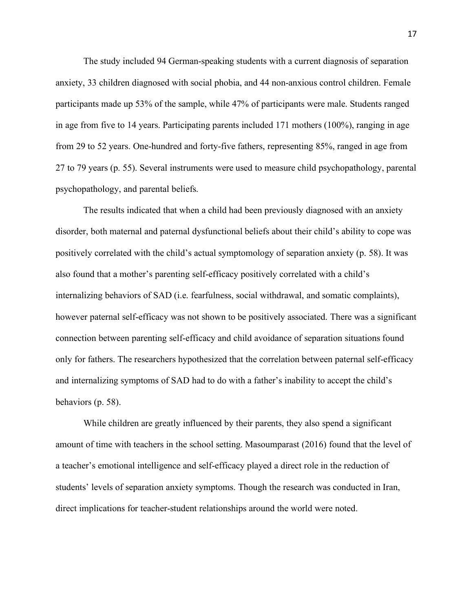The study included 94 German-speaking students with a current diagnosis of separation anxiety, 33 children diagnosed with social phobia, and 44 non-anxious control children. Female participants made up 53% of the sample, while 47% of participants were male. Students ranged in age from five to 14 years. Participating parents included 171 mothers (100%), ranging in age from 29 to 52 years. One-hundred and forty-five fathers, representing 85%, ranged in age from 27 to 79 years (p. 55). Several instruments were used to measure child psychopathology, parental psychopathology, and parental beliefs.

The results indicated that when a child had been previously diagnosed with an anxiety disorder, both maternal and paternal dysfunctional beliefs about their child's ability to cope was positively correlated with the child's actual symptomology of separation anxiety (p. 58). It was also found that a mother's parenting self-efficacy positively correlated with a child's internalizing behaviors of SAD (i.e. fearfulness, social withdrawal, and somatic complaints), however paternal self-efficacy was not shown to be positively associated. There was a significant connection between parenting self-efficacy and child avoidance of separation situations found only for fathers. The researchers hypothesized that the correlation between paternal self-efficacy and internalizing symptoms of SAD had to do with a father's inability to accept the child's behaviors (p. 58).

While children are greatly influenced by their parents, they also spend a significant amount of time with teachers in the school setting. Masoumparast (2016) found that the level of a teacher's emotional intelligence and self-efficacy played a direct role in the reduction of students' levels of separation anxiety symptoms. Though the research was conducted in Iran, direct implications for teacher-student relationships around the world were noted.

17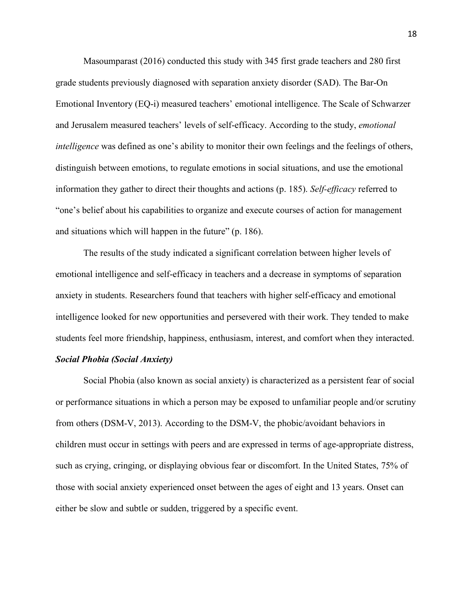Masoumparast (2016) conducted this study with 345 first grade teachers and 280 first grade students previously diagnosed with separation anxiety disorder (SAD). The Bar-On Emotional Inventory (EQ-i) measured teachers' emotional intelligence. The Scale of Schwarzer and Jerusalem measured teachers' levels of self-efficacy. According to the study, *emotional intelligence* was defined as one's ability to monitor their own feelings and the feelings of others, distinguish between emotions, to regulate emotions in social situations, and use the emotional information they gather to direct their thoughts and actions (p. 185). *Self-efficacy* referred to "one's belief about his capabilities to organize and execute courses of action for management and situations which will happen in the future" (p. 186).

The results of the study indicated a significant correlation between higher levels of emotional intelligence and self-efficacy in teachers and a decrease in symptoms of separation anxiety in students. Researchers found that teachers with higher self-efficacy and emotional intelligence looked for new opportunities and persevered with their work. They tended to make students feel more friendship, happiness, enthusiasm, interest, and comfort when they interacted.

#### *Social Phobia (Social Anxiety)*

Social Phobia (also known as social anxiety) is characterized as a persistent fear of social or performance situations in which a person may be exposed to unfamiliar people and/or scrutiny from others (DSM-V, 2013). According to the DSM-V, the phobic/avoidant behaviors in children must occur in settings with peers and are expressed in terms of age-appropriate distress, such as crying, cringing, or displaying obvious fear or discomfort. In the United States, 75% of those with social anxiety experienced onset between the ages of eight and 13 years. Onset can either be slow and subtle or sudden, triggered by a specific event.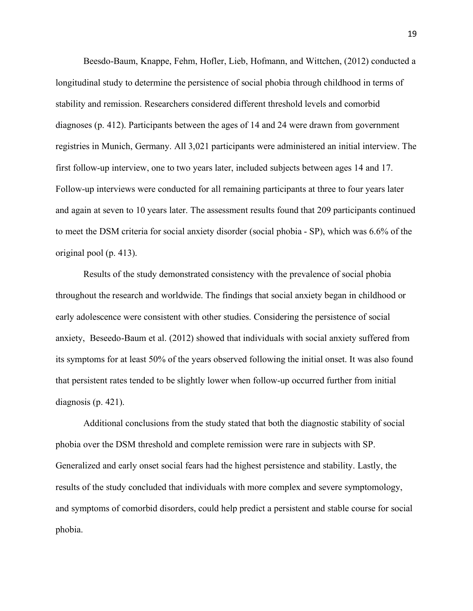Beesdo-Baum, Knappe, Fehm, Hofler, Lieb, Hofmann, and Wittchen, (2012) conducted a longitudinal study to determine the persistence of social phobia through childhood in terms of stability and remission. Researchers considered different threshold levels and comorbid diagnoses (p. 412). Participants between the ages of 14 and 24 were drawn from government registries in Munich, Germany. All 3,021 participants were administered an initial interview. The first follow-up interview, one to two years later, included subjects between ages 14 and 17. Follow-up interviews were conducted for all remaining participants at three to four years later and again at seven to 10 years later. The assessment results found that 209 participants continued to meet the DSM criteria for social anxiety disorder (social phobia - SP), which was 6.6% of the original pool (p. 413).

Results of the study demonstrated consistency with the prevalence of social phobia throughout the research and worldwide. The findings that social anxiety began in childhood or early adolescence were consistent with other studies. Considering the persistence of social anxiety, Beseedo-Baum et al. (2012) showed that individuals with social anxiety suffered from its symptoms for at least 50% of the years observed following the initial onset. It was also found that persistent rates tended to be slightly lower when follow-up occurred further from initial diagnosis (p. 421).

Additional conclusions from the study stated that both the diagnostic stability of social phobia over the DSM threshold and complete remission were rare in subjects with SP. Generalized and early onset social fears had the highest persistence and stability. Lastly, the results of the study concluded that individuals with more complex and severe symptomology, and symptoms of comorbid disorders, could help predict a persistent and stable course for social phobia.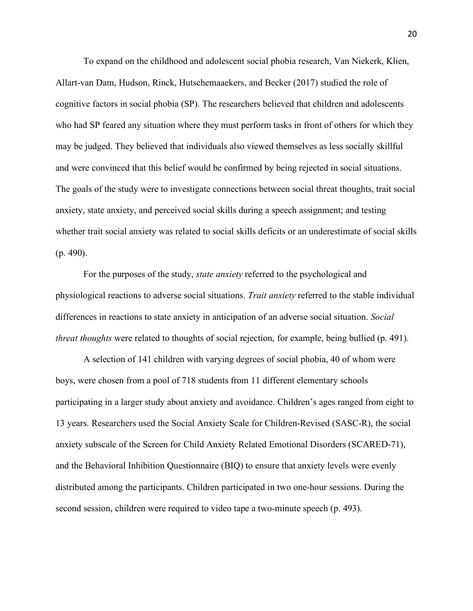To expand on the childhood and adolescent social phobia research, Van Niekerk, Klien, Allart-van Dam, Hudson, Rinck, Hutschemaaekers, and Becker (2017) studied the role of cognitive factors in social phobia (SP). The researchers believed that children and adolescents who had SP feared any situation where they must perform tasks in front of others for which they may be judged. They believed that individuals also viewed themselves as less socially skillful and were convinced that this belief would be confirmed by being rejected in social situations. The goals of the study were to investigate connections between social threat thoughts, trait social anxiety, state anxiety, and perceived social skills during a speech assignment; and testing whether trait social anxiety was related to social skills deficits or an underestimate of social skills (p. 490).

For the purposes of the study, *state anxiety* referred to the psychological and physiological reactions to adverse social situations. *Trait anxiety* referred to the stable individual differences in reactions to state anxiety in anticipation of an adverse social situation. *Social threat thoughts* were related to thoughts of social rejection, for example, being bullied (p. 491).

A selection of 141 children with varying degrees of social phobia, 40 of whom were boys, were chosen from a pool of 718 students from 11 different elementary schools participating in a larger study about anxiety and avoidance. Children's ages ranged from eight to 13 years. Researchers used the Social Anxiety Scale for Children-Revised (SASC-R), the social anxiety subscale of the Screen for Child Anxiety Related Emotional Disorders (SCARED-71), and the Behavioral Inhibition Questionnaire (BIQ) to ensure that anxiety levels were evenly distributed among the participants. Children participated in two one-hour sessions. During the second session, children were required to video tape a two-minute speech (p. 493).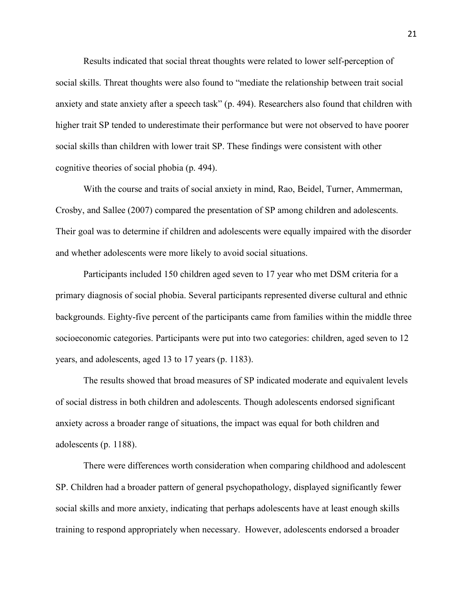Results indicated that social threat thoughts were related to lower self-perception of social skills. Threat thoughts were also found to "mediate the relationship between trait social anxiety and state anxiety after a speech task" (p. 494). Researchers also found that children with higher trait SP tended to underestimate their performance but were not observed to have poorer social skills than children with lower trait SP. These findings were consistent with other cognitive theories of social phobia (p. 494).

With the course and traits of social anxiety in mind, Rao, Beidel, Turner, Ammerman, Crosby, and Sallee (2007) compared the presentation of SP among children and adolescents. Their goal was to determine if children and adolescents were equally impaired with the disorder and whether adolescents were more likely to avoid social situations.

Participants included 150 children aged seven to 17 year who met DSM criteria for a primary diagnosis of social phobia. Several participants represented diverse cultural and ethnic backgrounds. Eighty-five percent of the participants came from families within the middle three socioeconomic categories. Participants were put into two categories: children, aged seven to 12 years, and adolescents, aged 13 to 17 years (p. 1183).

The results showed that broad measures of SP indicated moderate and equivalent levels of social distress in both children and adolescents. Though adolescents endorsed significant anxiety across a broader range of situations, the impact was equal for both children and adolescents (p. 1188).

There were differences worth consideration when comparing childhood and adolescent SP. Children had a broader pattern of general psychopathology, displayed significantly fewer social skills and more anxiety, indicating that perhaps adolescents have at least enough skills training to respond appropriately when necessary. However, adolescents endorsed a broader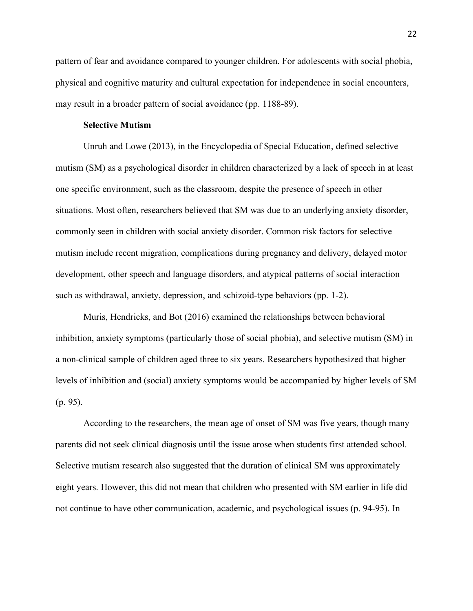pattern of fear and avoidance compared to younger children. For adolescents with social phobia, physical and cognitive maturity and cultural expectation for independence in social encounters, may result in a broader pattern of social avoidance (pp. 1188-89).

#### **Selective Mutism**

Unruh and Lowe (2013), in the Encyclopedia of Special Education, defined selective mutism (SM) as a psychological disorder in children characterized by a lack of speech in at least one specific environment, such as the classroom, despite the presence of speech in other situations. Most often, researchers believed that SM was due to an underlying anxiety disorder, commonly seen in children with social anxiety disorder. Common risk factors for selective mutism include recent migration, complications during pregnancy and delivery, delayed motor development, other speech and language disorders, and atypical patterns of social interaction such as withdrawal, anxiety, depression, and schizoid-type behaviors (pp. 1-2).

Muris, Hendricks, and Bot (2016) examined the relationships between behavioral inhibition, anxiety symptoms (particularly those of social phobia), and selective mutism (SM) in a non-clinical sample of children aged three to six years. Researchers hypothesized that higher levels of inhibition and (social) anxiety symptoms would be accompanied by higher levels of SM (p. 95).

According to the researchers, the mean age of onset of SM was five years, though many parents did not seek clinical diagnosis until the issue arose when students first attended school. Selective mutism research also suggested that the duration of clinical SM was approximately eight years. However, this did not mean that children who presented with SM earlier in life did not continue to have other communication, academic, and psychological issues (p. 94-95). In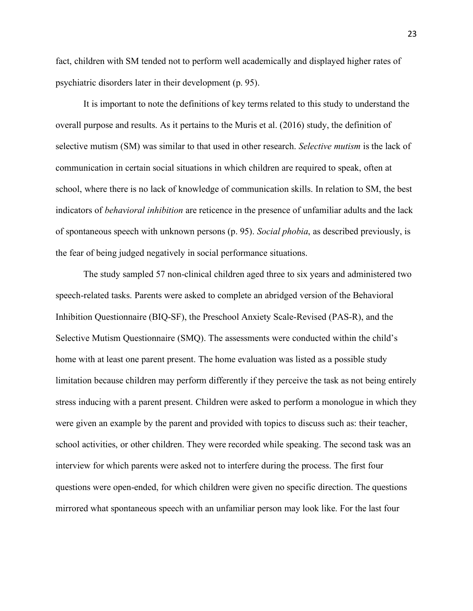fact, children with SM tended not to perform well academically and displayed higher rates of psychiatric disorders later in their development (p. 95).

It is important to note the definitions of key terms related to this study to understand the overall purpose and results. As it pertains to the Muris et al. (2016) study, the definition of selective mutism (SM) was similar to that used in other research. *Selective mutism* is the lack of communication in certain social situations in which children are required to speak, often at school, where there is no lack of knowledge of communication skills. In relation to SM, the best indicators of *behavioral inhibition* are reticence in the presence of unfamiliar adults and the lack of spontaneous speech with unknown persons (p. 95). *Social phobia*, as described previously, is the fear of being judged negatively in social performance situations.

The study sampled 57 non-clinical children aged three to six years and administered two speech-related tasks. Parents were asked to complete an abridged version of the Behavioral Inhibition Questionnaire (BIQ-SF), the Preschool Anxiety Scale-Revised (PAS-R), and the Selective Mutism Questionnaire (SMQ). The assessments were conducted within the child's home with at least one parent present. The home evaluation was listed as a possible study limitation because children may perform differently if they perceive the task as not being entirely stress inducing with a parent present. Children were asked to perform a monologue in which they were given an example by the parent and provided with topics to discuss such as: their teacher, school activities, or other children. They were recorded while speaking. The second task was an interview for which parents were asked not to interfere during the process. The first four questions were open-ended, for which children were given no specific direction. The questions mirrored what spontaneous speech with an unfamiliar person may look like. For the last four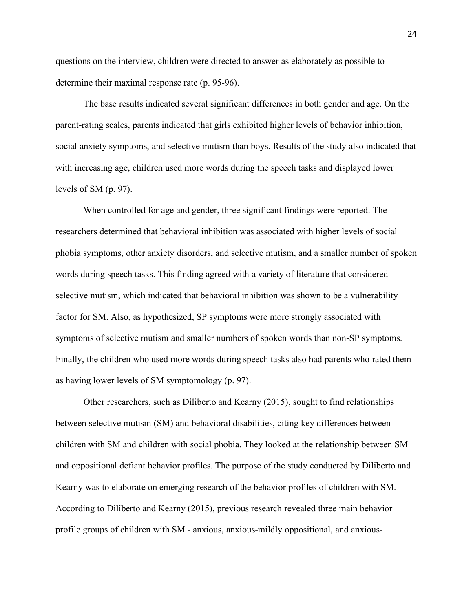questions on the interview, children were directed to answer as elaborately as possible to determine their maximal response rate (p. 95-96).

The base results indicated several significant differences in both gender and age. On the parent-rating scales, parents indicated that girls exhibited higher levels of behavior inhibition, social anxiety symptoms, and selective mutism than boys. Results of the study also indicated that with increasing age, children used more words during the speech tasks and displayed lower levels of SM (p. 97).

When controlled for age and gender, three significant findings were reported. The researchers determined that behavioral inhibition was associated with higher levels of social phobia symptoms, other anxiety disorders, and selective mutism, and a smaller number of spoken words during speech tasks. This finding agreed with a variety of literature that considered selective mutism, which indicated that behavioral inhibition was shown to be a vulnerability factor for SM. Also, as hypothesized, SP symptoms were more strongly associated with symptoms of selective mutism and smaller numbers of spoken words than non-SP symptoms. Finally, the children who used more words during speech tasks also had parents who rated them as having lower levels of SM symptomology (p. 97).

Other researchers, such as Diliberto and Kearny (2015), sought to find relationships between selective mutism (SM) and behavioral disabilities, citing key differences between children with SM and children with social phobia. They looked at the relationship between SM and oppositional defiant behavior profiles. The purpose of the study conducted by Diliberto and Kearny was to elaborate on emerging research of the behavior profiles of children with SM. According to Diliberto and Kearny (2015), previous research revealed three main behavior profile groups of children with SM - anxious, anxious-mildly oppositional, and anxious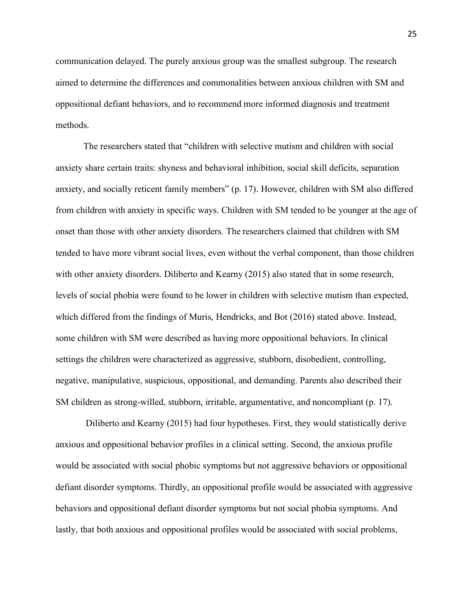communication delayed. The purely anxious group was the smallest subgroup. The research aimed to determine the differences and commonalities between anxious children with SM and oppositional defiant behaviors, and to recommend more informed diagnosis and treatment methods.

The researchers stated that "children with selective mutism and children with social anxiety share certain traits: shyness and behavioral inhibition, social skill deficits, separation anxiety, and socially reticent family members" (p. 17). However, children with SM also differed from children with anxiety in specific ways. Children with SM tended to be younger at the age of onset than those with other anxiety disorders. The researchers claimed that children with SM tended to have more vibrant social lives, even without the verbal component, than those children with other anxiety disorders. Diliberto and Kearny (2015) also stated that in some research, levels of social phobia were found to be lower in children with selective mutism than expected, which differed from the findings of Muris, Hendricks, and Bot (2016) stated above. Instead, some children with SM were described as having more oppositional behaviors. In clinical settings the children were characterized as aggressive, stubborn, disobedient, controlling, negative, manipulative, suspicious, oppositional, and demanding. Parents also described their SM children as strong-willed, stubborn, irritable, argumentative, and noncompliant (p. 17).

Diliberto and Kearny (2015) had four hypotheses. First, they would statistically derive anxious and oppositional behavior profiles in a clinical setting. Second, the anxious profile would be associated with social phobic symptoms but not aggressive behaviors or oppositional defiant disorder symptoms. Thirdly, an oppositional profile would be associated with aggressive behaviors and oppositional defiant disorder symptoms but not social phobia symptoms. And lastly, that both anxious and oppositional profiles would be associated with social problems,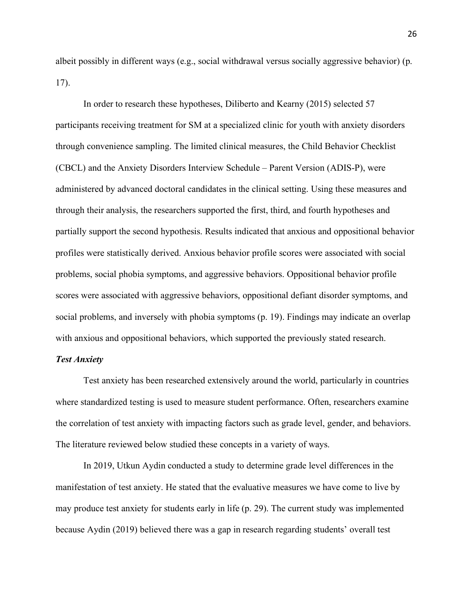albeit possibly in different ways (e.g., social withdrawal versus socially aggressive behavior) (p. 17).

In order to research these hypotheses, Diliberto and Kearny (2015) selected 57 participants receiving treatment for SM at a specialized clinic for youth with anxiety disorders through convenience sampling. The limited clinical measures, the Child Behavior Checklist (CBCL) and the Anxiety Disorders Interview Schedule – Parent Version (ADIS-P), were administered by advanced doctoral candidates in the clinical setting. Using these measures and through their analysis, the researchers supported the first, third, and fourth hypotheses and partially support the second hypothesis. Results indicated that anxious and oppositional behavior profiles were statistically derived. Anxious behavior profile scores were associated with social problems, social phobia symptoms, and aggressive behaviors. Oppositional behavior profile scores were associated with aggressive behaviors, oppositional defiant disorder symptoms, and social problems, and inversely with phobia symptoms (p. 19). Findings may indicate an overlap with anxious and oppositional behaviors, which supported the previously stated research.

#### *Test Anxiety*

Test anxiety has been researched extensively around the world, particularly in countries where standardized testing is used to measure student performance. Often, researchers examine the correlation of test anxiety with impacting factors such as grade level, gender, and behaviors. The literature reviewed below studied these concepts in a variety of ways.

In 2019, Utkun Aydin conducted a study to determine grade level differences in the manifestation of test anxiety. He stated that the evaluative measures we have come to live by may produce test anxiety for students early in life (p. 29). The current study was implemented because Aydin (2019) believed there was a gap in research regarding students' overall test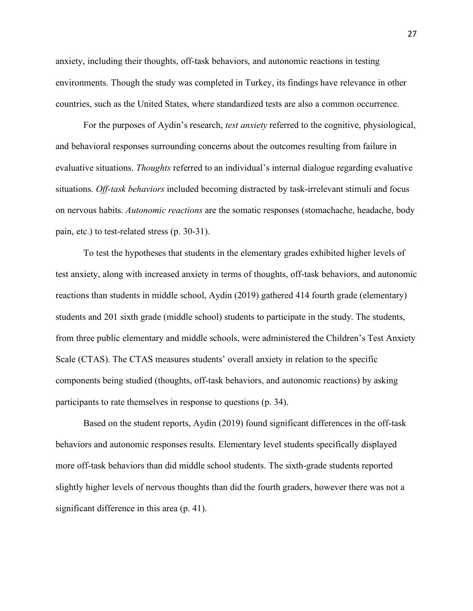anxiety, including their thoughts, off-task behaviors, and autonomic reactions in testing environments. Though the study was completed in Turkey, its findings have relevance in other countries, such as the United States, where standardized tests are also a common occurrence.

For the purposes of Aydin's research, *test anxiety* referred to the cognitive, physiological, and behavioral responses surrounding concerns about the outcomes resulting from failure in evaluative situations. *Thoughts* referred to an individual's internal dialogue regarding evaluative situations. *Off-task behaviors* included becoming distracted by task-irrelevant stimuli and focus on nervous habits. *Autonomic reactions* are the somatic responses (stomachache, headache, body pain, etc.) to test-related stress (p. 30-31).

To test the hypotheses that students in the elementary grades exhibited higher levels of test anxiety, along with increased anxiety in terms of thoughts, off-task behaviors, and autonomic reactions than students in middle school, Aydin (2019) gathered 414 fourth grade (elementary) students and 201 sixth grade (middle school) students to participate in the study. The students, from three public elementary and middle schools, were administered the Children's Test Anxiety Scale (CTAS). The CTAS measures students' overall anxiety in relation to the specific components being studied (thoughts, off-task behaviors, and autonomic reactions) by asking participants to rate themselves in response to questions (p. 34).

Based on the student reports, Aydin (2019) found significant differences in the off-task behaviors and autonomic responses results. Elementary level students specifically displayed more off-task behaviors than did middle school students. The sixth-grade students reported slightly higher levels of nervous thoughts than did the fourth graders, however there was not a significant difference in this area (p. 41).

27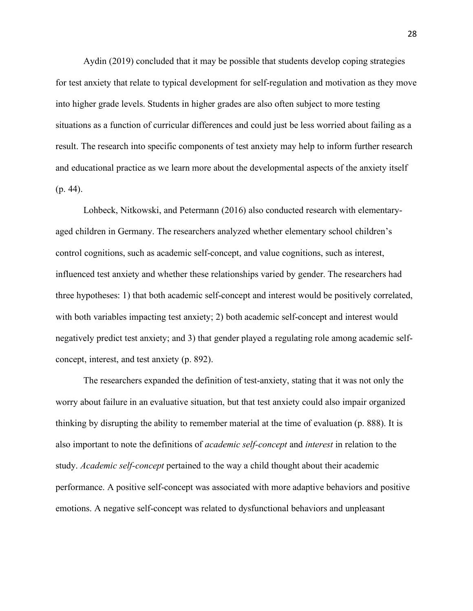Aydin (2019) concluded that it may be possible that students develop coping strategies for test anxiety that relate to typical development for self-regulation and motivation as they move into higher grade levels. Students in higher grades are also often subject to more testing situations as a function of curricular differences and could just be less worried about failing as a result. The research into specific components of test anxiety may help to inform further research and educational practice as we learn more about the developmental aspects of the anxiety itself (p. 44).

Lohbeck, Nitkowski, and Petermann (2016) also conducted research with elementaryaged children in Germany. The researchers analyzed whether elementary school children's control cognitions, such as academic self-concept, and value cognitions, such as interest, influenced test anxiety and whether these relationships varied by gender. The researchers had three hypotheses: 1) that both academic self-concept and interest would be positively correlated, with both variables impacting test anxiety; 2) both academic self-concept and interest would negatively predict test anxiety; and 3) that gender played a regulating role among academic selfconcept, interest, and test anxiety (p. 892).

The researchers expanded the definition of test-anxiety, stating that it was not only the worry about failure in an evaluative situation, but that test anxiety could also impair organized thinking by disrupting the ability to remember material at the time of evaluation (p. 888). It is also important to note the definitions of *academic self-concept* and *interest* in relation to the study. *Academic self-concept* pertained to the way a child thought about their academic performance. A positive self-concept was associated with more adaptive behaviors and positive emotions. A negative self-concept was related to dysfunctional behaviors and unpleasant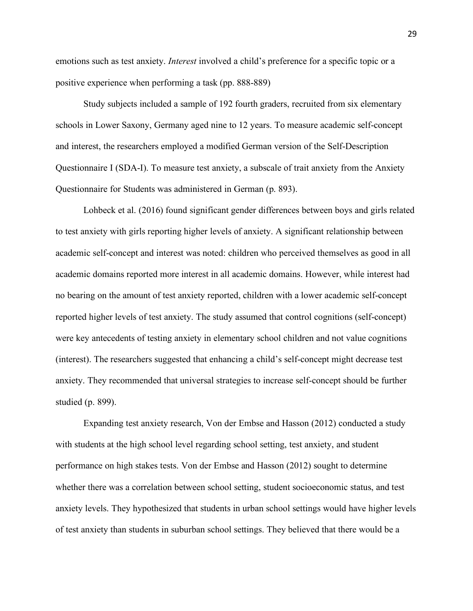emotions such as test anxiety. *Interest* involved a child's preference for a specific topic or a positive experience when performing a task (pp. 888-889)

Study subjects included a sample of 192 fourth graders, recruited from six elementary schools in Lower Saxony, Germany aged nine to 12 years. To measure academic self-concept and interest, the researchers employed a modified German version of the Self-Description Questionnaire I (SDA-I). To measure test anxiety, a subscale of trait anxiety from the Anxiety Questionnaire for Students was administered in German (p. 893).

Lohbeck et al. (2016) found significant gender differences between boys and girls related to test anxiety with girls reporting higher levels of anxiety. A significant relationship between academic self-concept and interest was noted: children who perceived themselves as good in all academic domains reported more interest in all academic domains. However, while interest had no bearing on the amount of test anxiety reported, children with a lower academic self-concept reported higher levels of test anxiety. The study assumed that control cognitions (self-concept) were key antecedents of testing anxiety in elementary school children and not value cognitions (interest). The researchers suggested that enhancing a child's self-concept might decrease test anxiety. They recommended that universal strategies to increase self-concept should be further studied (p. 899).

Expanding test anxiety research, Von der Embse and Hasson (2012) conducted a study with students at the high school level regarding school setting, test anxiety, and student performance on high stakes tests. Von der Embse and Hasson (2012) sought to determine whether there was a correlation between school setting, student socioeconomic status, and test anxiety levels. They hypothesized that students in urban school settings would have higher levels of test anxiety than students in suburban school settings. They believed that there would be a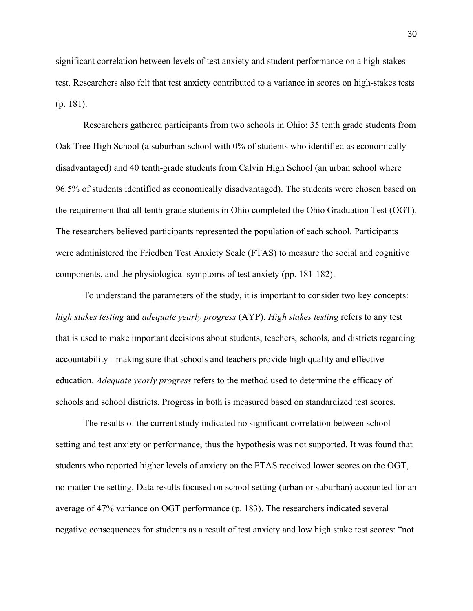significant correlation between levels of test anxiety and student performance on a high-stakes test. Researchers also felt that test anxiety contributed to a variance in scores on high-stakes tests (p. 181).

Researchers gathered participants from two schools in Ohio: 35 tenth grade students from Oak Tree High School (a suburban school with 0% of students who identified as economically disadvantaged) and 40 tenth-grade students from Calvin High School (an urban school where 96.5% of students identified as economically disadvantaged). The students were chosen based on the requirement that all tenth-grade students in Ohio completed the Ohio Graduation Test (OGT). The researchers believed participants represented the population of each school. Participants were administered the Friedben Test Anxiety Scale (FTAS) to measure the social and cognitive components, and the physiological symptoms of test anxiety (pp. 181-182).

To understand the parameters of the study, it is important to consider two key concepts: *high stakes testing* and *adequate yearly progress* (AYP). *High stakes testing* refers to any test that is used to make important decisions about students, teachers, schools, and districts regarding accountability - making sure that schools and teachers provide high quality and effective education. *Adequate yearly progress* refers to the method used to determine the efficacy of schools and school districts. Progress in both is measured based on standardized test scores.

The results of the current study indicated no significant correlation between school setting and test anxiety or performance, thus the hypothesis was not supported. It was found that students who reported higher levels of anxiety on the FTAS received lower scores on the OGT, no matter the setting. Data results focused on school setting (urban or suburban) accounted for an average of 47% variance on OGT performance (p. 183). The researchers indicated several negative consequences for students as a result of test anxiety and low high stake test scores: "not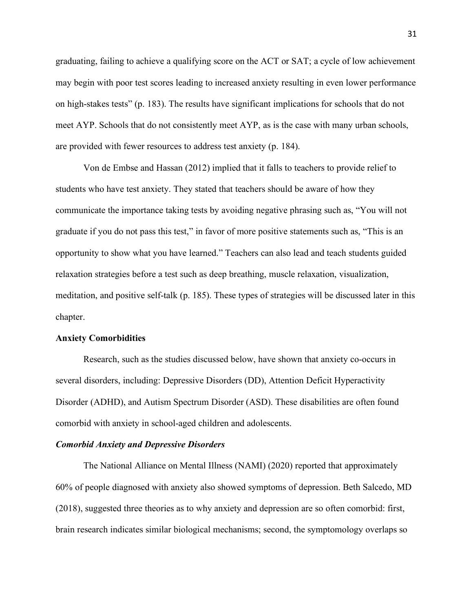graduating, failing to achieve a qualifying score on the ACT or SAT; a cycle of low achievement may begin with poor test scores leading to increased anxiety resulting in even lower performance on high-stakes tests" (p. 183). The results have significant implications for schools that do not meet AYP. Schools that do not consistently meet AYP, as is the case with many urban schools, are provided with fewer resources to address test anxiety (p. 184).

Von de Embse and Hassan (2012) implied that it falls to teachers to provide relief to students who have test anxiety. They stated that teachers should be aware of how they communicate the importance taking tests by avoiding negative phrasing such as, "You will not graduate if you do not pass this test," in favor of more positive statements such as, "This is an opportunity to show what you have learned." Teachers can also lead and teach students guided relaxation strategies before a test such as deep breathing, muscle relaxation, visualization, meditation, and positive self-talk (p. 185). These types of strategies will be discussed later in this chapter.

#### **Anxiety Comorbidities**

Research, such as the studies discussed below, have shown that anxiety co-occurs in several disorders, including: Depressive Disorders (DD), Attention Deficit Hyperactivity Disorder (ADHD), and Autism Spectrum Disorder (ASD). These disabilities are often found comorbid with anxiety in school-aged children and adolescents.

#### *Comorbid Anxiety and Depressive Disorders*

The National Alliance on Mental Illness (NAMI) (2020) reported that approximately 60% of people diagnosed with anxiety also showed symptoms of depression. Beth Salcedo, MD (2018), suggested three theories as to why anxiety and depression are so often comorbid: first, brain research indicates similar biological mechanisms; second, the symptomology overlaps so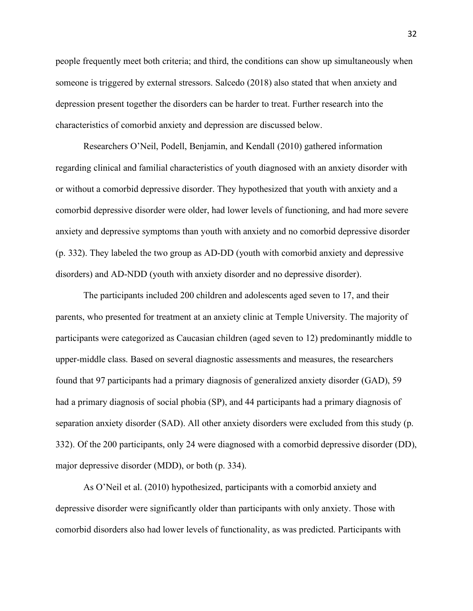people frequently meet both criteria; and third, the conditions can show up simultaneously when someone is triggered by external stressors. Salcedo (2018) also stated that when anxiety and depression present together the disorders can be harder to treat. Further research into the characteristics of comorbid anxiety and depression are discussed below.

Researchers O'Neil, Podell, Benjamin, and Kendall (2010) gathered information regarding clinical and familial characteristics of youth diagnosed with an anxiety disorder with or without a comorbid depressive disorder. They hypothesized that youth with anxiety and a comorbid depressive disorder were older, had lower levels of functioning, and had more severe anxiety and depressive symptoms than youth with anxiety and no comorbid depressive disorder (p. 332). They labeled the two group as AD-DD (youth with comorbid anxiety and depressive disorders) and AD-NDD (youth with anxiety disorder and no depressive disorder).

The participants included 200 children and adolescents aged seven to 17, and their parents, who presented for treatment at an anxiety clinic at Temple University. The majority of participants were categorized as Caucasian children (aged seven to 12) predominantly middle to upper-middle class. Based on several diagnostic assessments and measures, the researchers found that 97 participants had a primary diagnosis of generalized anxiety disorder (GAD), 59 had a primary diagnosis of social phobia (SP), and 44 participants had a primary diagnosis of separation anxiety disorder (SAD). All other anxiety disorders were excluded from this study (p. 332). Of the 200 participants, only 24 were diagnosed with a comorbid depressive disorder (DD), major depressive disorder (MDD), or both (p. 334).

As O'Neil et al. (2010) hypothesized, participants with a comorbid anxiety and depressive disorder were significantly older than participants with only anxiety. Those with comorbid disorders also had lower levels of functionality, as was predicted. Participants with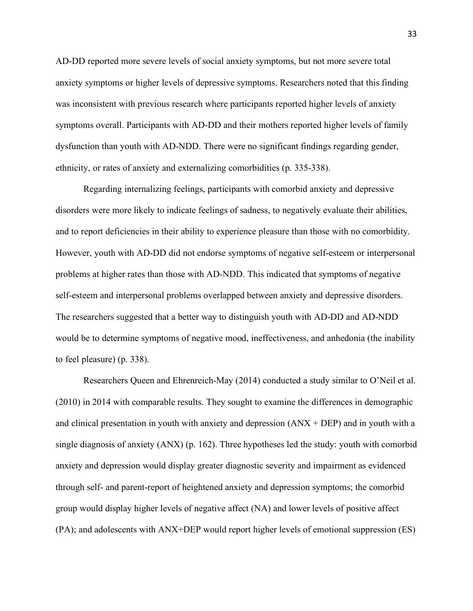AD-DD reported more severe levels of social anxiety symptoms, but not more severe total anxiety symptoms or higher levels of depressive symptoms. Researchers noted that this finding was inconsistent with previous research where participants reported higher levels of anxiety symptoms overall. Participants with AD-DD and their mothers reported higher levels of family dysfunction than youth with AD-NDD. There were no significant findings regarding gender, ethnicity, or rates of anxiety and externalizing comorbidities (p. 335-338).

Regarding internalizing feelings, participants with comorbid anxiety and depressive disorders were more likely to indicate feelings of sadness, to negatively evaluate their abilities, and to report deficiencies in their ability to experience pleasure than those with no comorbidity. However, youth with AD-DD did not endorse symptoms of negative self-esteem or interpersonal problems at higher rates than those with AD-NDD. This indicated that symptoms of negative self-esteem and interpersonal problems overlapped between anxiety and depressive disorders. The researchers suggested that a better way to distinguish youth with AD-DD and AD-NDD would be to determine symptoms of negative mood, ineffectiveness, and anhedonia (the inability to feel pleasure) (p. 338).

Researchers Queen and Ehrenreich-May (2014) conducted a study similar to O'Neil et al. (2010) in 2014 with comparable results. They sought to examine the differences in demographic and clinical presentation in youth with anxiety and depression  $(ANX + DEP)$  and in youth with a single diagnosis of anxiety (ANX) (p. 162). Three hypotheses led the study: youth with comorbid anxiety and depression would display greater diagnostic severity and impairment as evidenced through self- and parent-report of heightened anxiety and depression symptoms; the comorbid group would display higher levels of negative affect (NA) and lower levels of positive affect (PA); and adolescents with ANX+DEP would report higher levels of emotional suppression (ES)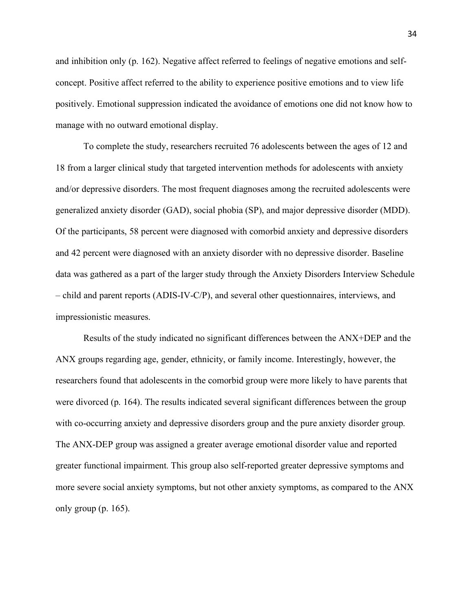and inhibition only (p. 162). Negative affect referred to feelings of negative emotions and selfconcept. Positive affect referred to the ability to experience positive emotions and to view life positively. Emotional suppression indicated the avoidance of emotions one did not know how to manage with no outward emotional display.

To complete the study, researchers recruited 76 adolescents between the ages of 12 and 18 from a larger clinical study that targeted intervention methods for adolescents with anxiety and/or depressive disorders. The most frequent diagnoses among the recruited adolescents were generalized anxiety disorder (GAD), social phobia (SP), and major depressive disorder (MDD). Of the participants, 58 percent were diagnosed with comorbid anxiety and depressive disorders and 42 percent were diagnosed with an anxiety disorder with no depressive disorder. Baseline data was gathered as a part of the larger study through the Anxiety Disorders Interview Schedule – child and parent reports (ADIS-IV-C/P), and several other questionnaires, interviews, and impressionistic measures.

Results of the study indicated no significant differences between the ANX+DEP and the ANX groups regarding age, gender, ethnicity, or family income. Interestingly, however, the researchers found that adolescents in the comorbid group were more likely to have parents that were divorced (p. 164). The results indicated several significant differences between the group with co-occurring anxiety and depressive disorders group and the pure anxiety disorder group. The ANX-DEP group was assigned a greater average emotional disorder value and reported greater functional impairment. This group also self-reported greater depressive symptoms and more severe social anxiety symptoms, but not other anxiety symptoms, as compared to the ANX only group (p. 165).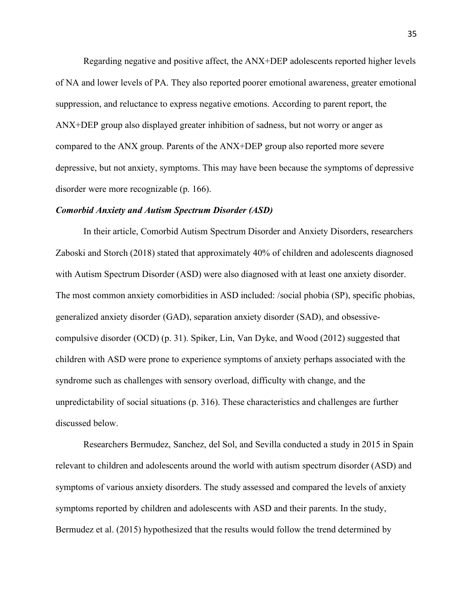Regarding negative and positive affect, the ANX+DEP adolescents reported higher levels of NA and lower levels of PA. They also reported poorer emotional awareness, greater emotional suppression, and reluctance to express negative emotions. According to parent report, the ANX+DEP group also displayed greater inhibition of sadness, but not worry or anger as compared to the ANX group. Parents of the ANX+DEP group also reported more severe depressive, but not anxiety, symptoms. This may have been because the symptoms of depressive disorder were more recognizable (p. 166).

#### *Comorbid Anxiety and Autism Spectrum Disorder (ASD)*

In their article, Comorbid Autism Spectrum Disorder and Anxiety Disorders, researchers Zaboski and Storch (2018) stated that approximately 40% of children and adolescents diagnosed with Autism Spectrum Disorder (ASD) were also diagnosed with at least one anxiety disorder. The most common anxiety comorbidities in ASD included: /social phobia (SP), specific phobias, generalized anxiety disorder (GAD), separation anxiety disorder (SAD), and obsessivecompulsive disorder (OCD) (p. 31). Spiker, Lin, Van Dyke, and Wood (2012) suggested that children with ASD were prone to experience symptoms of anxiety perhaps associated with the syndrome such as challenges with sensory overload, difficulty with change, and the unpredictability of social situations (p. 316). These characteristics and challenges are further discussed below.

Researchers Bermudez, Sanchez, del Sol, and Sevilla conducted a study in 2015 in Spain relevant to children and adolescents around the world with autism spectrum disorder (ASD) and symptoms of various anxiety disorders. The study assessed and compared the levels of anxiety symptoms reported by children and adolescents with ASD and their parents. In the study, Bermudez et al. (2015) hypothesized that the results would follow the trend determined by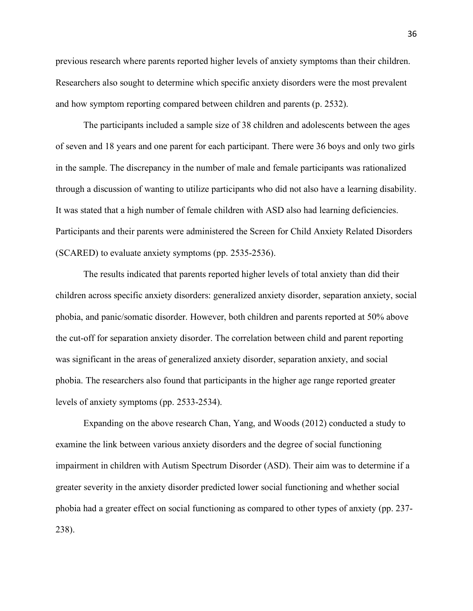previous research where parents reported higher levels of anxiety symptoms than their children. Researchers also sought to determine which specific anxiety disorders were the most prevalent and how symptom reporting compared between children and parents (p. 2532).

The participants included a sample size of 38 children and adolescents between the ages of seven and 18 years and one parent for each participant. There were 36 boys and only two girls in the sample. The discrepancy in the number of male and female participants was rationalized through a discussion of wanting to utilize participants who did not also have a learning disability. It was stated that a high number of female children with ASD also had learning deficiencies. Participants and their parents were administered the Screen for Child Anxiety Related Disorders (SCARED) to evaluate anxiety symptoms (pp. 2535-2536).

The results indicated that parents reported higher levels of total anxiety than did their children across specific anxiety disorders: generalized anxiety disorder, separation anxiety, social phobia, and panic/somatic disorder. However, both children and parents reported at 50% above the cut-off for separation anxiety disorder. The correlation between child and parent reporting was significant in the areas of generalized anxiety disorder, separation anxiety, and social phobia. The researchers also found that participants in the higher age range reported greater levels of anxiety symptoms (pp. 2533-2534).

Expanding on the above research Chan, Yang, and Woods (2012) conducted a study to examine the link between various anxiety disorders and the degree of social functioning impairment in children with Autism Spectrum Disorder (ASD). Their aim was to determine if a greater severity in the anxiety disorder predicted lower social functioning and whether social phobia had a greater effect on social functioning as compared to other types of anxiety (pp. 237- 238).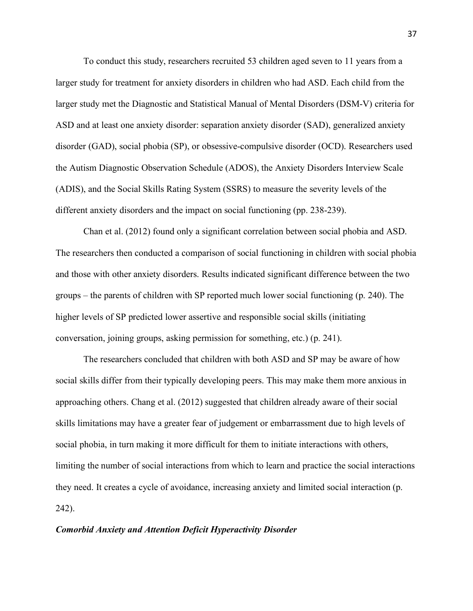To conduct this study, researchers recruited 53 children aged seven to 11 years from a larger study for treatment for anxiety disorders in children who had ASD. Each child from the larger study met the Diagnostic and Statistical Manual of Mental Disorders (DSM-V) criteria for ASD and at least one anxiety disorder: separation anxiety disorder (SAD), generalized anxiety disorder (GAD), social phobia (SP), or obsessive-compulsive disorder (OCD). Researchers used the Autism Diagnostic Observation Schedule (ADOS), the Anxiety Disorders Interview Scale (ADIS), and the Social Skills Rating System (SSRS) to measure the severity levels of the different anxiety disorders and the impact on social functioning (pp. 238-239).

Chan et al. (2012) found only a significant correlation between social phobia and ASD. The researchers then conducted a comparison of social functioning in children with social phobia and those with other anxiety disorders. Results indicated significant difference between the two groups – the parents of children with SP reported much lower social functioning (p. 240). The higher levels of SP predicted lower assertive and responsible social skills (initiating conversation, joining groups, asking permission for something, etc.) (p. 241).

The researchers concluded that children with both ASD and SP may be aware of how social skills differ from their typically developing peers. This may make them more anxious in approaching others. Chang et al. (2012) suggested that children already aware of their social skills limitations may have a greater fear of judgement or embarrassment due to high levels of social phobia, in turn making it more difficult for them to initiate interactions with others, limiting the number of social interactions from which to learn and practice the social interactions they need. It creates a cycle of avoidance, increasing anxiety and limited social interaction (p. 242).

## *Comorbid Anxiety and Attention Deficit Hyperactivity Disorder*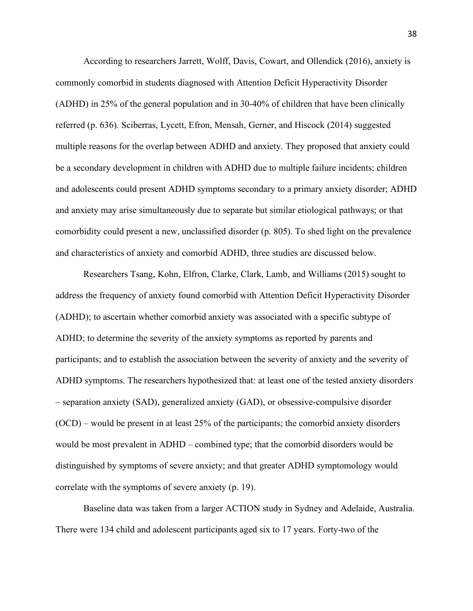According to researchers Jarrett, Wolff, Davis, Cowart, and Ollendick (2016), anxiety is commonly comorbid in students diagnosed with Attention Deficit Hyperactivity Disorder (ADHD) in 25% of the general population and in 30-40% of children that have been clinically referred (p. 636). Sciberras, Lycett, Efron, Mensah, Gerner, and Hiscock (2014) suggested multiple reasons for the overlap between ADHD and anxiety. They proposed that anxiety could be a secondary development in children with ADHD due to multiple failure incidents; children and adolescents could present ADHD symptoms secondary to a primary anxiety disorder; ADHD and anxiety may arise simultaneously due to separate but similar etiological pathways; or that comorbidity could present a new, unclassified disorder (p. 805). To shed light on the prevalence and characteristics of anxiety and comorbid ADHD, three studies are discussed below.

Researchers Tsang, Kohn, Elfron, Clarke, Clark, Lamb, and Williams (2015) sought to address the frequency of anxiety found comorbid with Attention Deficit Hyperactivity Disorder (ADHD); to ascertain whether comorbid anxiety was associated with a specific subtype of ADHD; to determine the severity of the anxiety symptoms as reported by parents and participants; and to establish the association between the severity of anxiety and the severity of ADHD symptoms. The researchers hypothesized that: at least one of the tested anxiety disorders – separation anxiety (SAD), generalized anxiety (GAD), or obsessive-compulsive disorder (OCD) – would be present in at least 25% of the participants; the comorbid anxiety disorders would be most prevalent in ADHD – combined type; that the comorbid disorders would be distinguished by symptoms of severe anxiety; and that greater ADHD symptomology would correlate with the symptoms of severe anxiety (p. 19).

Baseline data was taken from a larger ACTION study in Sydney and Adelaide, Australia. There were 134 child and adolescent participants aged six to 17 years. Forty-two of the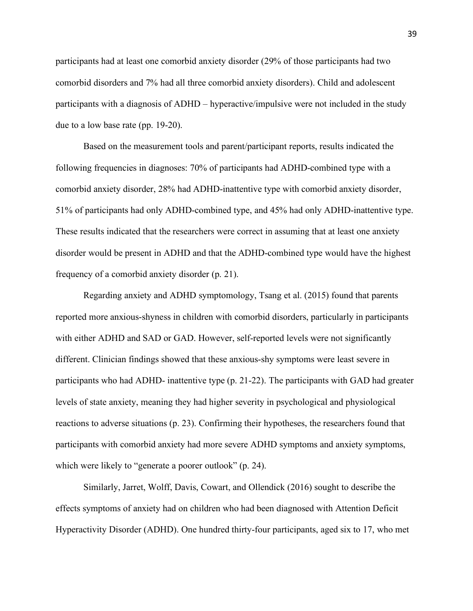participants had at least one comorbid anxiety disorder (29% of those participants had two comorbid disorders and 7% had all three comorbid anxiety disorders). Child and adolescent participants with a diagnosis of ADHD – hyperactive/impulsive were not included in the study due to a low base rate (pp. 19-20).

Based on the measurement tools and parent/participant reports, results indicated the following frequencies in diagnoses: 70% of participants had ADHD-combined type with a comorbid anxiety disorder, 28% had ADHD-inattentive type with comorbid anxiety disorder, 51% of participants had only ADHD-combined type, and 45% had only ADHD-inattentive type. These results indicated that the researchers were correct in assuming that at least one anxiety disorder would be present in ADHD and that the ADHD-combined type would have the highest frequency of a comorbid anxiety disorder (p. 21).

Regarding anxiety and ADHD symptomology, Tsang et al. (2015) found that parents reported more anxious-shyness in children with comorbid disorders, particularly in participants with either ADHD and SAD or GAD. However, self-reported levels were not significantly different. Clinician findings showed that these anxious-shy symptoms were least severe in participants who had ADHD- inattentive type (p. 21-22). The participants with GAD had greater levels of state anxiety, meaning they had higher severity in psychological and physiological reactions to adverse situations (p. 23). Confirming their hypotheses, the researchers found that participants with comorbid anxiety had more severe ADHD symptoms and anxiety symptoms, which were likely to "generate a poorer outlook" (p. 24).

Similarly, Jarret, Wolff, Davis, Cowart, and Ollendick (2016) sought to describe the effects symptoms of anxiety had on children who had been diagnosed with Attention Deficit Hyperactivity Disorder (ADHD). One hundred thirty-four participants, aged six to 17, who met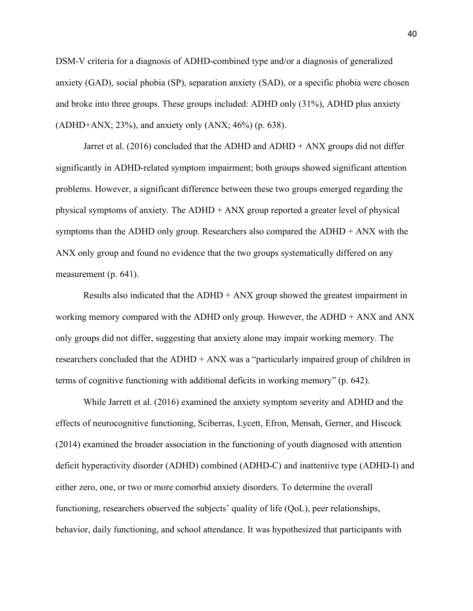DSM-V criteria for a diagnosis of ADHD-combined type and/or a diagnosis of generalized anxiety (GAD), social phobia (SP), separation anxiety (SAD), or a specific phobia were chosen and broke into three groups. These groups included: ADHD only (31%), ADHD plus anxiety  $(ADHD+ANX; 23\%)$ , and anxiety only  $(ANX; 46\%)$  (p. 638).

Jarret et al. (2016) concluded that the ADHD and ADHD + ANX groups did not differ significantly in ADHD-related symptom impairment; both groups showed significant attention problems. However, a significant difference between these two groups emerged regarding the physical symptoms of anxiety. The ADHD + ANX group reported a greater level of physical symptoms than the ADHD only group. Researchers also compared the ADHD + ANX with the ANX only group and found no evidence that the two groups systematically differed on any measurement (p. 641).

Results also indicated that the  $ADHD + ANX$  group showed the greatest impairment in working memory compared with the ADHD only group. However, the ADHD + ANX and ANX only groups did not differ, suggesting that anxiety alone may impair working memory. The researchers concluded that the ADHD + ANX was a "particularly impaired group of children in terms of cognitive functioning with additional deficits in working memory" (p. 642).

While Jarrett et al. (2016) examined the anxiety symptom severity and ADHD and the effects of neurocognitive functioning, Sciberras, Lycett, Efron, Mensah, Gerner, and Hiscock (2014) examined the broader association in the functioning of youth diagnosed with attention deficit hyperactivity disorder (ADHD) combined (ADHD-C) and inattentive type (ADHD-I) and either zero, one, or two or more comorbid anxiety disorders. To determine the overall functioning, researchers observed the subjects' quality of life (QoL), peer relationships, behavior, daily functioning, and school attendance. It was hypothesized that participants with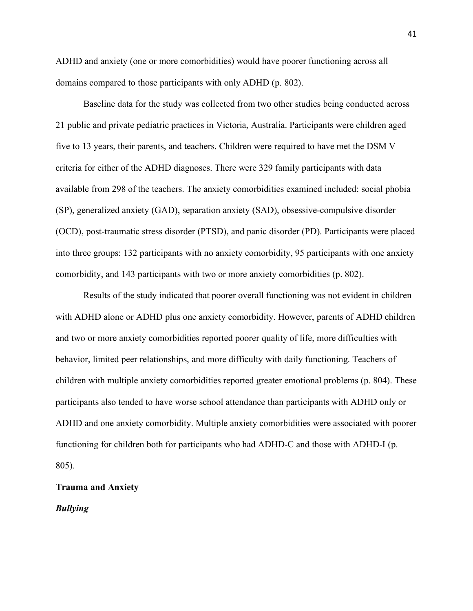ADHD and anxiety (one or more comorbidities) would have poorer functioning across all domains compared to those participants with only ADHD (p. 802).

Baseline data for the study was collected from two other studies being conducted across 21 public and private pediatric practices in Victoria, Australia. Participants were children aged five to 13 years, their parents, and teachers. Children were required to have met the DSM V criteria for either of the ADHD diagnoses. There were 329 family participants with data available from 298 of the teachers. The anxiety comorbidities examined included: social phobia (SP), generalized anxiety (GAD), separation anxiety (SAD), obsessive-compulsive disorder (OCD), post-traumatic stress disorder (PTSD), and panic disorder (PD). Participants were placed into three groups: 132 participants with no anxiety comorbidity, 95 participants with one anxiety comorbidity, and 143 participants with two or more anxiety comorbidities (p. 802).

Results of the study indicated that poorer overall functioning was not evident in children with ADHD alone or ADHD plus one anxiety comorbidity. However, parents of ADHD children and two or more anxiety comorbidities reported poorer quality of life, more difficulties with behavior, limited peer relationships, and more difficulty with daily functioning. Teachers of children with multiple anxiety comorbidities reported greater emotional problems (p. 804). These participants also tended to have worse school attendance than participants with ADHD only or ADHD and one anxiety comorbidity. Multiple anxiety comorbidities were associated with poorer functioning for children both for participants who had ADHD-C and those with ADHD-I (p. 805).

# **Trauma and Anxiety**

*Bullying*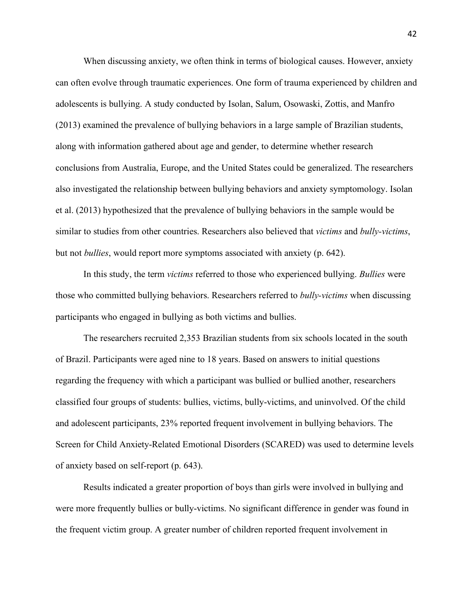When discussing anxiety, we often think in terms of biological causes. However, anxiety can often evolve through traumatic experiences. One form of trauma experienced by children and adolescents is bullying. A study conducted by Isolan, Salum, Osowaski, Zottis, and Manfro (2013) examined the prevalence of bullying behaviors in a large sample of Brazilian students, along with information gathered about age and gender, to determine whether research conclusions from Australia, Europe, and the United States could be generalized. The researchers also investigated the relationship between bullying behaviors and anxiety symptomology. Isolan et al. (2013) hypothesized that the prevalence of bullying behaviors in the sample would be similar to studies from other countries. Researchers also believed that *victims* and *bully-victims*, but not *bullies*, would report more symptoms associated with anxiety (p. 642).

In this study, the term *victims* referred to those who experienced bullying. *Bullies* were those who committed bullying behaviors. Researchers referred to *bully-victims* when discussing participants who engaged in bullying as both victims and bullies.

The researchers recruited 2,353 Brazilian students from six schools located in the south of Brazil. Participants were aged nine to 18 years. Based on answers to initial questions regarding the frequency with which a participant was bullied or bullied another, researchers classified four groups of students: bullies, victims, bully-victims, and uninvolved. Of the child and adolescent participants, 23% reported frequent involvement in bullying behaviors. The Screen for Child Anxiety-Related Emotional Disorders (SCARED) was used to determine levels of anxiety based on self-report (p. 643).

Results indicated a greater proportion of boys than girls were involved in bullying and were more frequently bullies or bully-victims. No significant difference in gender was found in the frequent victim group. A greater number of children reported frequent involvement in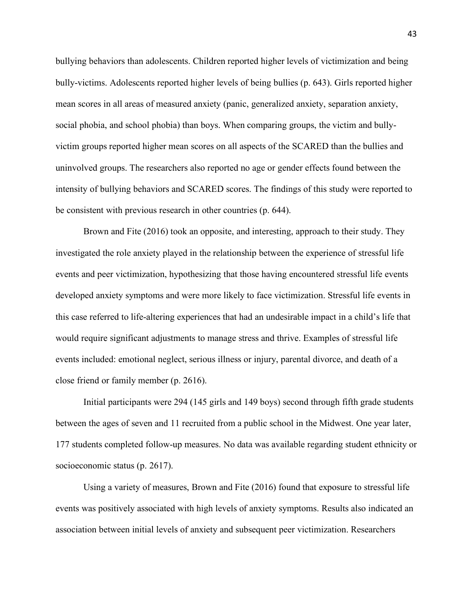bullying behaviors than adolescents. Children reported higher levels of victimization and being bully-victims. Adolescents reported higher levels of being bullies (p. 643). Girls reported higher mean scores in all areas of measured anxiety (panic, generalized anxiety, separation anxiety, social phobia, and school phobia) than boys. When comparing groups, the victim and bullyvictim groups reported higher mean scores on all aspects of the SCARED than the bullies and uninvolved groups. The researchers also reported no age or gender effects found between the intensity of bullying behaviors and SCARED scores. The findings of this study were reported to be consistent with previous research in other countries (p. 644).

Brown and Fite (2016) took an opposite, and interesting, approach to their study. They investigated the role anxiety played in the relationship between the experience of stressful life events and peer victimization, hypothesizing that those having encountered stressful life events developed anxiety symptoms and were more likely to face victimization. Stressful life events in this case referred to life-altering experiences that had an undesirable impact in a child's life that would require significant adjustments to manage stress and thrive. Examples of stressful life events included: emotional neglect, serious illness or injury, parental divorce, and death of a close friend or family member (p. 2616).

Initial participants were 294 (145 girls and 149 boys) second through fifth grade students between the ages of seven and 11 recruited from a public school in the Midwest. One year later, 177 students completed follow-up measures. No data was available regarding student ethnicity or socioeconomic status (p. 2617).

Using a variety of measures, Brown and Fite (2016) found that exposure to stressful life events was positively associated with high levels of anxiety symptoms. Results also indicated an association between initial levels of anxiety and subsequent peer victimization. Researchers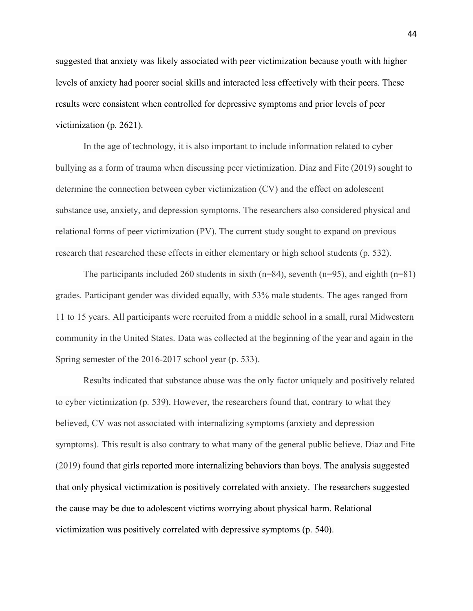suggested that anxiety was likely associated with peer victimization because youth with higher levels of anxiety had poorer social skills and interacted less effectively with their peers. These results were consistent when controlled for depressive symptoms and prior levels of peer victimization (p. 2621).

In the age of technology, it is also important to include information related to cyber bullying as a form of trauma when discussing peer victimization. Diaz and Fite (2019) sought to determine the connection between cyber victimization (CV) and the effect on adolescent substance use, anxiety, and depression symptoms. The researchers also considered physical and relational forms of peer victimization (PV). The current study sought to expand on previous research that researched these effects in either elementary or high school students (p. 532).

The participants included 260 students in sixth ( $n=84$ ), seventh ( $n=95$ ), and eighth ( $n=81$ ) grades. Participant gender was divided equally, with 53% male students. The ages ranged from 11 to 15 years. All participants were recruited from a middle school in a small, rural Midwestern community in the United States. Data was collected at the beginning of the year and again in the Spring semester of the 2016-2017 school year (p. 533).

Results indicated that substance abuse was the only factor uniquely and positively related to cyber victimization (p. 539). However, the researchers found that, contrary to what they believed, CV was not associated with internalizing symptoms (anxiety and depression symptoms). This result is also contrary to what many of the general public believe. Diaz and Fite (2019) found that girls reported more internalizing behaviors than boys. The analysis suggested that only physical victimization is positively correlated with anxiety. The researchers suggested the cause may be due to adolescent victims worrying about physical harm. Relational victimization was positively correlated with depressive symptoms (p. 540).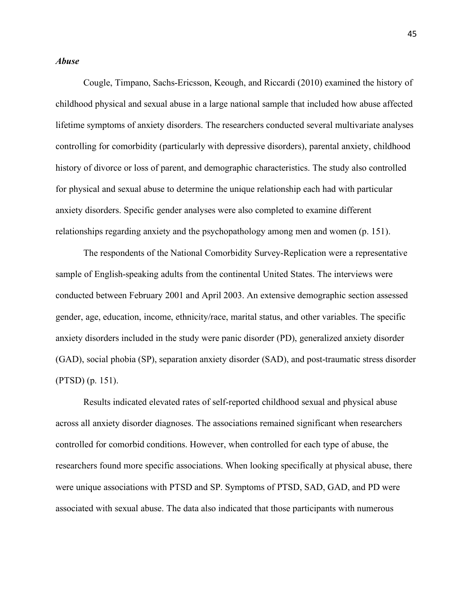### *Abuse*

Cougle, Timpano, Sachs-Ericsson, Keough, and Riccardi (2010) examined the history of childhood physical and sexual abuse in a large national sample that included how abuse affected lifetime symptoms of anxiety disorders. The researchers conducted several multivariate analyses controlling for comorbidity (particularly with depressive disorders), parental anxiety, childhood history of divorce or loss of parent, and demographic characteristics. The study also controlled for physical and sexual abuse to determine the unique relationship each had with particular anxiety disorders. Specific gender analyses were also completed to examine different relationships regarding anxiety and the psychopathology among men and women (p. 151).

The respondents of the National Comorbidity Survey-Replication were a representative sample of English-speaking adults from the continental United States. The interviews were conducted between February 2001 and April 2003. An extensive demographic section assessed gender, age, education, income, ethnicity/race, marital status, and other variables. The specific anxiety disorders included in the study were panic disorder (PD), generalized anxiety disorder (GAD), social phobia (SP), separation anxiety disorder (SAD), and post-traumatic stress disorder (PTSD) (p. 151).

Results indicated elevated rates of self-reported childhood sexual and physical abuse across all anxiety disorder diagnoses. The associations remained significant when researchers controlled for comorbid conditions. However, when controlled for each type of abuse, the researchers found more specific associations. When looking specifically at physical abuse, there were unique associations with PTSD and SP. Symptoms of PTSD, SAD, GAD, and PD were associated with sexual abuse. The data also indicated that those participants with numerous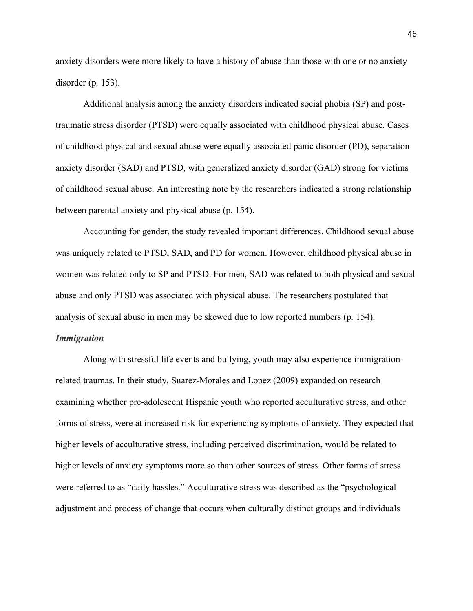anxiety disorders were more likely to have a history of abuse than those with one or no anxiety disorder (p. 153).

Additional analysis among the anxiety disorders indicated social phobia (SP) and posttraumatic stress disorder (PTSD) were equally associated with childhood physical abuse. Cases of childhood physical and sexual abuse were equally associated panic disorder (PD), separation anxiety disorder (SAD) and PTSD, with generalized anxiety disorder (GAD) strong for victims of childhood sexual abuse. An interesting note by the researchers indicated a strong relationship between parental anxiety and physical abuse (p. 154).

Accounting for gender, the study revealed important differences. Childhood sexual abuse was uniquely related to PTSD, SAD, and PD for women. However, childhood physical abuse in women was related only to SP and PTSD. For men, SAD was related to both physical and sexual abuse and only PTSD was associated with physical abuse. The researchers postulated that analysis of sexual abuse in men may be skewed due to low reported numbers (p. 154). *Immigration*

Along with stressful life events and bullying, youth may also experience immigrationrelated traumas. In their study, Suarez-Morales and Lopez (2009) expanded on research examining whether pre-adolescent Hispanic youth who reported acculturative stress, and other forms of stress, were at increased risk for experiencing symptoms of anxiety. They expected that higher levels of acculturative stress, including perceived discrimination, would be related to higher levels of anxiety symptoms more so than other sources of stress. Other forms of stress were referred to as "daily hassles." Acculturative stress was described as the "psychological adjustment and process of change that occurs when culturally distinct groups and individuals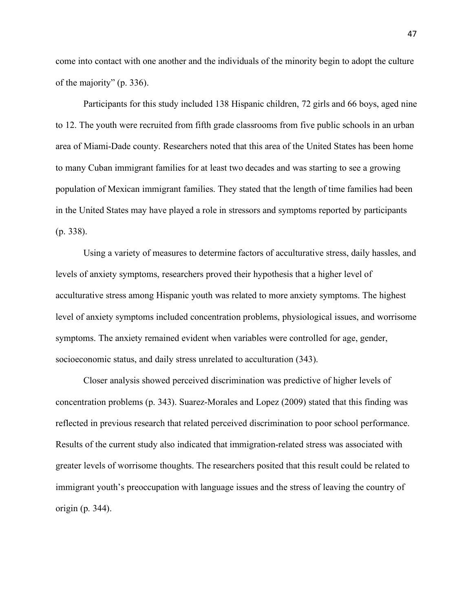come into contact with one another and the individuals of the minority begin to adopt the culture of the majority" (p. 336).

Participants for this study included 138 Hispanic children, 72 girls and 66 boys, aged nine to 12. The youth were recruited from fifth grade classrooms from five public schools in an urban area of Miami-Dade county. Researchers noted that this area of the United States has been home to many Cuban immigrant families for at least two decades and was starting to see a growing population of Mexican immigrant families. They stated that the length of time families had been in the United States may have played a role in stressors and symptoms reported by participants (p. 338).

Using a variety of measures to determine factors of acculturative stress, daily hassles, and levels of anxiety symptoms, researchers proved their hypothesis that a higher level of acculturative stress among Hispanic youth was related to more anxiety symptoms. The highest level of anxiety symptoms included concentration problems, physiological issues, and worrisome symptoms. The anxiety remained evident when variables were controlled for age, gender, socioeconomic status, and daily stress unrelated to acculturation (343).

Closer analysis showed perceived discrimination was predictive of higher levels of concentration problems (p. 343). Suarez-Morales and Lopez (2009) stated that this finding was reflected in previous research that related perceived discrimination to poor school performance. Results of the current study also indicated that immigration-related stress was associated with greater levels of worrisome thoughts. The researchers posited that this result could be related to immigrant youth's preoccupation with language issues and the stress of leaving the country of origin (p. 344).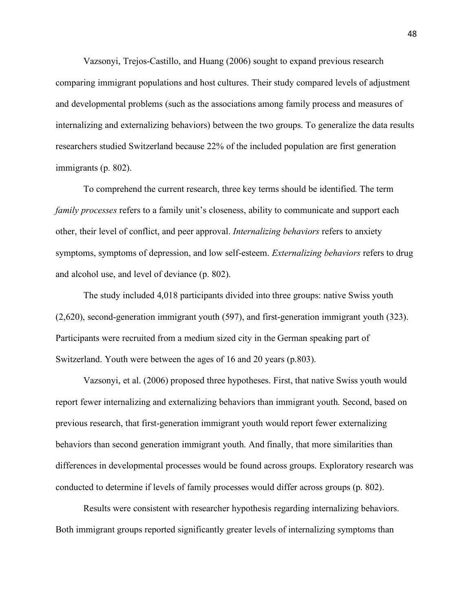Vazsonyi, Trejos-Castillo, and Huang (2006) sought to expand previous research comparing immigrant populations and host cultures. Their study compared levels of adjustment and developmental problems (such as the associations among family process and measures of internalizing and externalizing behaviors) between the two groups. To generalize the data results researchers studied Switzerland because 22% of the included population are first generation immigrants (p. 802).

To comprehend the current research, three key terms should be identified. The term *family processes* refers to a family unit's closeness, ability to communicate and support each other, their level of conflict, and peer approval. *Internalizing behaviors* refers to anxiety symptoms, symptoms of depression, and low self-esteem. *Externalizing behaviors* refers to drug and alcohol use, and level of deviance (p. 802).

The study included 4,018 participants divided into three groups: native Swiss youth (2,620), second-generation immigrant youth (597), and first-generation immigrant youth (323). Participants were recruited from a medium sized city in the German speaking part of Switzerland. Youth were between the ages of 16 and 20 years (p.803).

Vazsonyi, et al. (2006) proposed three hypotheses. First, that native Swiss youth would report fewer internalizing and externalizing behaviors than immigrant youth. Second, based on previous research, that first-generation immigrant youth would report fewer externalizing behaviors than second generation immigrant youth. And finally, that more similarities than differences in developmental processes would be found across groups. Exploratory research was conducted to determine if levels of family processes would differ across groups (p. 802).

Results were consistent with researcher hypothesis regarding internalizing behaviors. Both immigrant groups reported significantly greater levels of internalizing symptoms than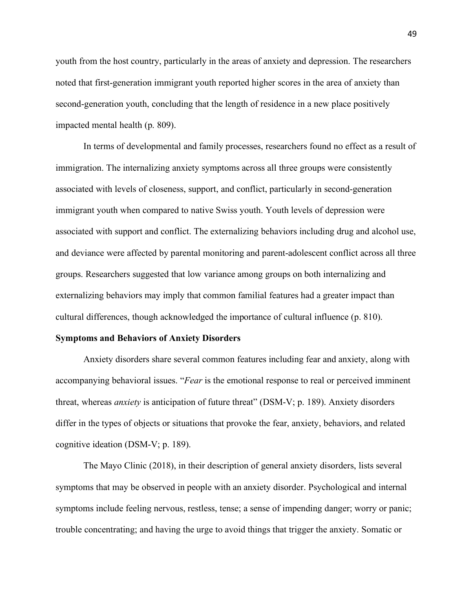youth from the host country, particularly in the areas of anxiety and depression. The researchers noted that first-generation immigrant youth reported higher scores in the area of anxiety than second-generation youth, concluding that the length of residence in a new place positively impacted mental health (p. 809).

In terms of developmental and family processes, researchers found no effect as a result of immigration. The internalizing anxiety symptoms across all three groups were consistently associated with levels of closeness, support, and conflict, particularly in second-generation immigrant youth when compared to native Swiss youth. Youth levels of depression were associated with support and conflict. The externalizing behaviors including drug and alcohol use, and deviance were affected by parental monitoring and parent-adolescent conflict across all three groups. Researchers suggested that low variance among groups on both internalizing and externalizing behaviors may imply that common familial features had a greater impact than cultural differences, though acknowledged the importance of cultural influence (p. 810).

#### **Symptoms and Behaviors of Anxiety Disorders**

Anxiety disorders share several common features including fear and anxiety, along with accompanying behavioral issues. "*Fear* is the emotional response to real or perceived imminent threat, whereas *anxiety* is anticipation of future threat" (DSM-V; p. 189). Anxiety disorders differ in the types of objects or situations that provoke the fear, anxiety, behaviors, and related cognitive ideation (DSM-V; p. 189).

The Mayo Clinic (2018), in their description of general anxiety disorders, lists several symptoms that may be observed in people with an anxiety disorder. Psychological and internal symptoms include feeling nervous, restless, tense; a sense of impending danger; worry or panic; trouble concentrating; and having the urge to avoid things that trigger the anxiety. Somatic or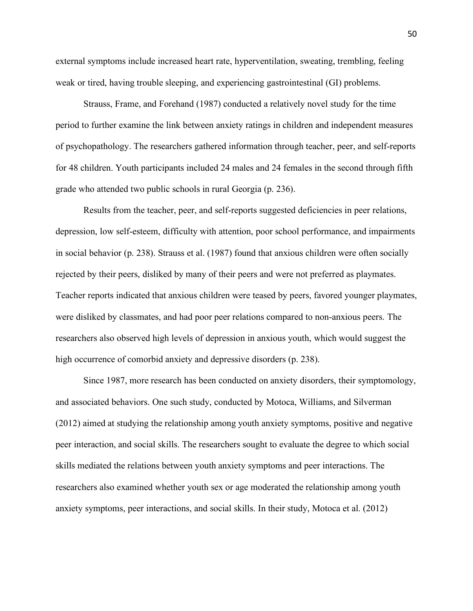external symptoms include increased heart rate, hyperventilation, sweating, trembling, feeling weak or tired, having trouble sleeping, and experiencing gastrointestinal (GI) problems.

Strauss, Frame, and Forehand (1987) conducted a relatively novel study for the time period to further examine the link between anxiety ratings in children and independent measures of psychopathology. The researchers gathered information through teacher, peer, and self-reports for 48 children. Youth participants included 24 males and 24 females in the second through fifth grade who attended two public schools in rural Georgia (p. 236).

Results from the teacher, peer, and self-reports suggested deficiencies in peer relations, depression, low self-esteem, difficulty with attention, poor school performance, and impairments in social behavior (p. 238). Strauss et al. (1987) found that anxious children were often socially rejected by their peers, disliked by many of their peers and were not preferred as playmates. Teacher reports indicated that anxious children were teased by peers, favored younger playmates, were disliked by classmates, and had poor peer relations compared to non-anxious peers. The researchers also observed high levels of depression in anxious youth, which would suggest the high occurrence of comorbid anxiety and depressive disorders (p. 238).

Since 1987, more research has been conducted on anxiety disorders, their symptomology, and associated behaviors. One such study, conducted by Motoca, Williams, and Silverman (2012) aimed at studying the relationship among youth anxiety symptoms, positive and negative peer interaction, and social skills. The researchers sought to evaluate the degree to which social skills mediated the relations between youth anxiety symptoms and peer interactions. The researchers also examined whether youth sex or age moderated the relationship among youth anxiety symptoms, peer interactions, and social skills. In their study, Motoca et al. (2012)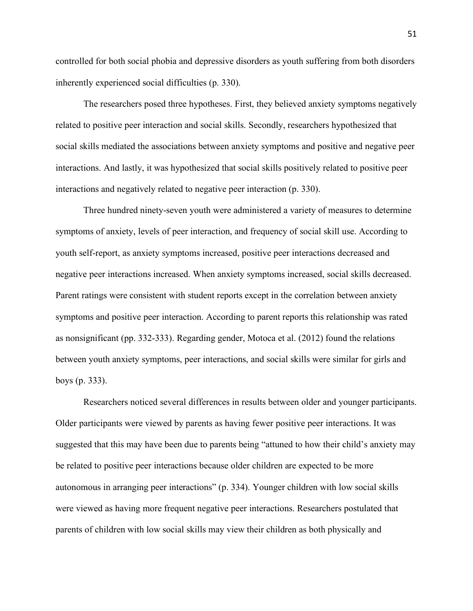controlled for both social phobia and depressive disorders as youth suffering from both disorders inherently experienced social difficulties (p. 330).

The researchers posed three hypotheses. First, they believed anxiety symptoms negatively related to positive peer interaction and social skills. Secondly, researchers hypothesized that social skills mediated the associations between anxiety symptoms and positive and negative peer interactions. And lastly, it was hypothesized that social skills positively related to positive peer interactions and negatively related to negative peer interaction (p. 330).

Three hundred ninety-seven youth were administered a variety of measures to determine symptoms of anxiety, levels of peer interaction, and frequency of social skill use. According to youth self-report, as anxiety symptoms increased, positive peer interactions decreased and negative peer interactions increased. When anxiety symptoms increased, social skills decreased. Parent ratings were consistent with student reports except in the correlation between anxiety symptoms and positive peer interaction. According to parent reports this relationship was rated as nonsignificant (pp. 332-333). Regarding gender, Motoca et al. (2012) found the relations between youth anxiety symptoms, peer interactions, and social skills were similar for girls and boys (p. 333).

Researchers noticed several differences in results between older and younger participants. Older participants were viewed by parents as having fewer positive peer interactions. It was suggested that this may have been due to parents being "attuned to how their child's anxiety may be related to positive peer interactions because older children are expected to be more autonomous in arranging peer interactions" (p. 334). Younger children with low social skills were viewed as having more frequent negative peer interactions. Researchers postulated that parents of children with low social skills may view their children as both physically and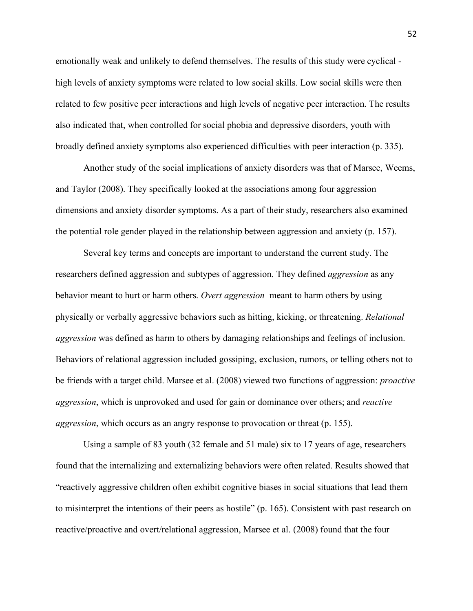emotionally weak and unlikely to defend themselves. The results of this study were cyclical high levels of anxiety symptoms were related to low social skills. Low social skills were then related to few positive peer interactions and high levels of negative peer interaction. The results also indicated that, when controlled for social phobia and depressive disorders, youth with broadly defined anxiety symptoms also experienced difficulties with peer interaction (p. 335).

Another study of the social implications of anxiety disorders was that of Marsee, Weems, and Taylor (2008). They specifically looked at the associations among four aggression dimensions and anxiety disorder symptoms. As a part of their study, researchers also examined the potential role gender played in the relationship between aggression and anxiety (p. 157).

Several key terms and concepts are important to understand the current study. The researchers defined aggression and subtypes of aggression. They defined *aggression* as any behavior meant to hurt or harm others. *Overt aggression* meant to harm others by using physically or verbally aggressive behaviors such as hitting, kicking, or threatening. *Relational aggression* was defined as harm to others by damaging relationships and feelings of inclusion. Behaviors of relational aggression included gossiping, exclusion, rumors, or telling others not to be friends with a target child. Marsee et al. (2008) viewed two functions of aggression: *proactive aggression*, which is unprovoked and used for gain or dominance over others; and *reactive aggression*, which occurs as an angry response to provocation or threat (p. 155).

Using a sample of 83 youth (32 female and 51 male) six to 17 years of age, researchers found that the internalizing and externalizing behaviors were often related. Results showed that "reactively aggressive children often exhibit cognitive biases in social situations that lead them to misinterpret the intentions of their peers as hostile" (p. 165). Consistent with past research on reactive/proactive and overt/relational aggression, Marsee et al. (2008) found that the four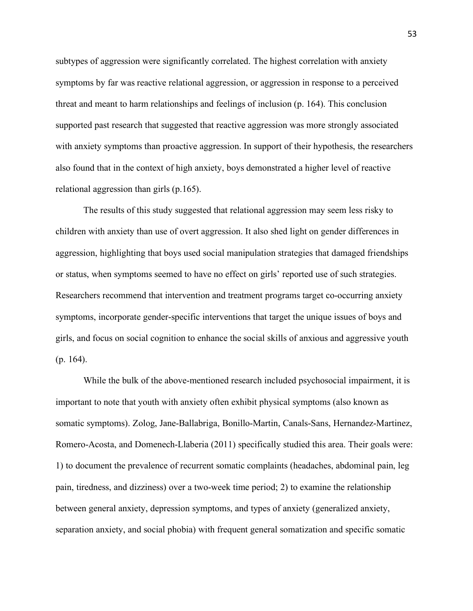subtypes of aggression were significantly correlated. The highest correlation with anxiety symptoms by far was reactive relational aggression, or aggression in response to a perceived threat and meant to harm relationships and feelings of inclusion (p. 164). This conclusion supported past research that suggested that reactive aggression was more strongly associated with anxiety symptoms than proactive aggression. In support of their hypothesis, the researchers also found that in the context of high anxiety, boys demonstrated a higher level of reactive relational aggression than girls (p.165).

The results of this study suggested that relational aggression may seem less risky to children with anxiety than use of overt aggression. It also shed light on gender differences in aggression, highlighting that boys used social manipulation strategies that damaged friendships or status, when symptoms seemed to have no effect on girls' reported use of such strategies. Researchers recommend that intervention and treatment programs target co-occurring anxiety symptoms, incorporate gender-specific interventions that target the unique issues of boys and girls, and focus on social cognition to enhance the social skills of anxious and aggressive youth (p. 164).

While the bulk of the above-mentioned research included psychosocial impairment, it is important to note that youth with anxiety often exhibit physical symptoms (also known as somatic symptoms). Zolog, Jane-Ballabriga, Bonillo-Martin, Canals-Sans, Hernandez-Martinez, Romero-Acosta, and Domenech-Llaberia (2011) specifically studied this area. Their goals were: 1) to document the prevalence of recurrent somatic complaints (headaches, abdominal pain, leg pain, tiredness, and dizziness) over a two-week time period; 2) to examine the relationship between general anxiety, depression symptoms, and types of anxiety (generalized anxiety, separation anxiety, and social phobia) with frequent general somatization and specific somatic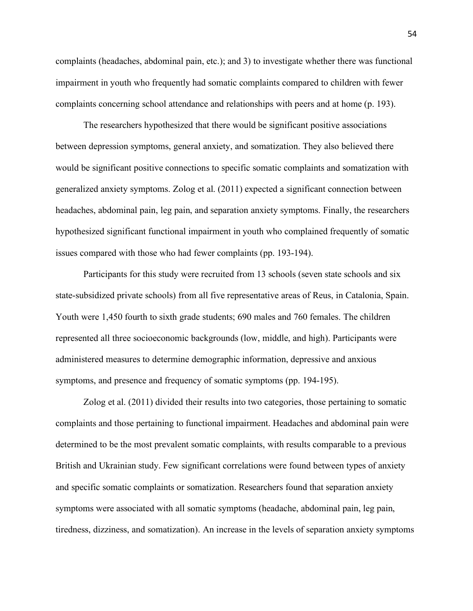complaints (headaches, abdominal pain, etc.); and 3) to investigate whether there was functional impairment in youth who frequently had somatic complaints compared to children with fewer complaints concerning school attendance and relationships with peers and at home (p. 193).

The researchers hypothesized that there would be significant positive associations between depression symptoms, general anxiety, and somatization. They also believed there would be significant positive connections to specific somatic complaints and somatization with generalized anxiety symptoms. Zolog et al. (2011) expected a significant connection between headaches, abdominal pain, leg pain, and separation anxiety symptoms. Finally, the researchers hypothesized significant functional impairment in youth who complained frequently of somatic issues compared with those who had fewer complaints (pp. 193-194).

Participants for this study were recruited from 13 schools (seven state schools and six state-subsidized private schools) from all five representative areas of Reus, in Catalonia, Spain. Youth were 1,450 fourth to sixth grade students; 690 males and 760 females. The children represented all three socioeconomic backgrounds (low, middle, and high). Participants were administered measures to determine demographic information, depressive and anxious symptoms, and presence and frequency of somatic symptoms (pp. 194-195).

Zolog et al. (2011) divided their results into two categories, those pertaining to somatic complaints and those pertaining to functional impairment. Headaches and abdominal pain were determined to be the most prevalent somatic complaints, with results comparable to a previous British and Ukrainian study. Few significant correlations were found between types of anxiety and specific somatic complaints or somatization. Researchers found that separation anxiety symptoms were associated with all somatic symptoms (headache, abdominal pain, leg pain, tiredness, dizziness, and somatization). An increase in the levels of separation anxiety symptoms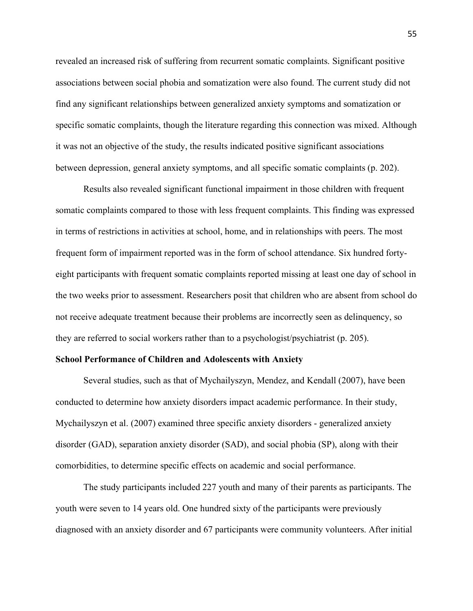revealed an increased risk of suffering from recurrent somatic complaints. Significant positive associations between social phobia and somatization were also found. The current study did not find any significant relationships between generalized anxiety symptoms and somatization or specific somatic complaints, though the literature regarding this connection was mixed. Although it was not an objective of the study, the results indicated positive significant associations between depression, general anxiety symptoms, and all specific somatic complaints (p. 202).

Results also revealed significant functional impairment in those children with frequent somatic complaints compared to those with less frequent complaints. This finding was expressed in terms of restrictions in activities at school, home, and in relationships with peers. The most frequent form of impairment reported was in the form of school attendance. Six hundred fortyeight participants with frequent somatic complaints reported missing at least one day of school in the two weeks prior to assessment. Researchers posit that children who are absent from school do not receive adequate treatment because their problems are incorrectly seen as delinquency, so they are referred to social workers rather than to a psychologist/psychiatrist (p. 205).

### **School Performance of Children and Adolescents with Anxiety**

Several studies, such as that of Mychailyszyn, Mendez, and Kendall (2007), have been conducted to determine how anxiety disorders impact academic performance. In their study, Mychailyszyn et al. (2007) examined three specific anxiety disorders - generalized anxiety disorder (GAD), separation anxiety disorder (SAD), and social phobia (SP), along with their comorbidities, to determine specific effects on academic and social performance.

The study participants included 227 youth and many of their parents as participants. The youth were seven to 14 years old. One hundred sixty of the participants were previously diagnosed with an anxiety disorder and 67 participants were community volunteers. After initial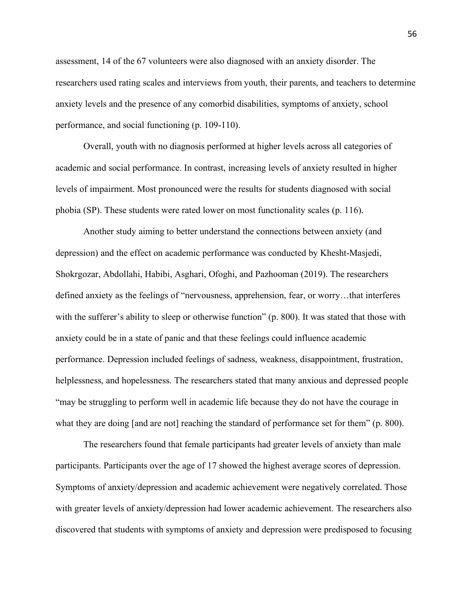assessment, 14 of the 67 volunteers were also diagnosed with an anxiety disorder. The researchers used rating scales and interviews from youth, their parents, and teachers to determine anxiety levels and the presence of any comorbid disabilities, symptoms of anxiety, school performance, and social functioning (p. 109-110).

Overall, youth with no diagnosis performed at higher levels across all categories of academic and social performance. In contrast, increasing levels of anxiety resulted in higher levels of impairment. Most pronounced were the results for students diagnosed with social phobia (SP). These students were rated lower on most functionality scales (p. 116).

Another study aiming to better understand the connections between anxiety (and depression) and the effect on academic performance was conducted by Khesht-Masjedi, Shokrgozar, Abdollahi, Habibi, Asghari, Ofoghi, and Pazhooman (2019). The researchers defined anxiety as the feelings of "nervousness, apprehension, fear, or worry…that interferes with the sufferer's ability to sleep or otherwise function" (p. 800). It was stated that those with anxiety could be in a state of panic and that these feelings could influence academic performance. Depression included feelings of sadness, weakness, disappointment, frustration, helplessness, and hopelessness. The researchers stated that many anxious and depressed people "may be struggling to perform well in academic life because they do not have the courage in what they are doing [and are not] reaching the standard of performance set for them" (p. 800).

The researchers found that female participants had greater levels of anxiety than male participants. Participants over the age of 17 showed the highest average scores of depression. Symptoms of anxiety/depression and academic achievement were negatively correlated. Those with greater levels of anxiety/depression had lower academic achievement. The researchers also discovered that students with symptoms of anxiety and depression were predisposed to focusing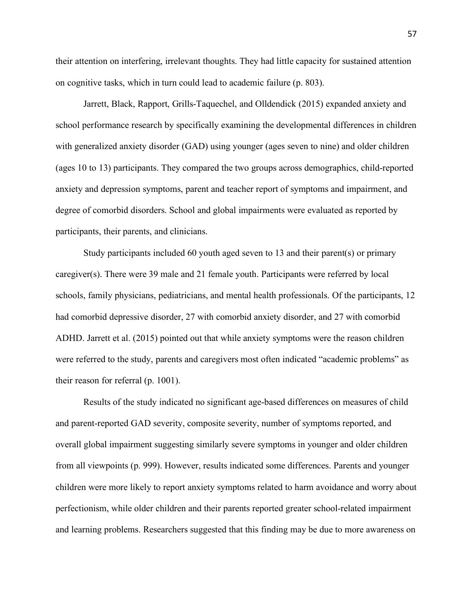their attention on interfering, irrelevant thoughts. They had little capacity for sustained attention on cognitive tasks, which in turn could lead to academic failure (p. 803).

Jarrett, Black, Rapport, Grills-Taquechel, and Olldendick (2015) expanded anxiety and school performance research by specifically examining the developmental differences in children with generalized anxiety disorder (GAD) using younger (ages seven to nine) and older children (ages 10 to 13) participants. They compared the two groups across demographics, child-reported anxiety and depression symptoms, parent and teacher report of symptoms and impairment, and degree of comorbid disorders. School and global impairments were evaluated as reported by participants, their parents, and clinicians.

Study participants included 60 youth aged seven to 13 and their parent(s) or primary caregiver(s). There were 39 male and 21 female youth. Participants were referred by local schools, family physicians, pediatricians, and mental health professionals. Of the participants, 12 had comorbid depressive disorder, 27 with comorbid anxiety disorder, and 27 with comorbid ADHD. Jarrett et al. (2015) pointed out that while anxiety symptoms were the reason children were referred to the study, parents and caregivers most often indicated "academic problems" as their reason for referral (p. 1001).

Results of the study indicated no significant age-based differences on measures of child and parent-reported GAD severity, composite severity, number of symptoms reported, and overall global impairment suggesting similarly severe symptoms in younger and older children from all viewpoints (p. 999). However, results indicated some differences. Parents and younger children were more likely to report anxiety symptoms related to harm avoidance and worry about perfectionism, while older children and their parents reported greater school-related impairment and learning problems. Researchers suggested that this finding may be due to more awareness on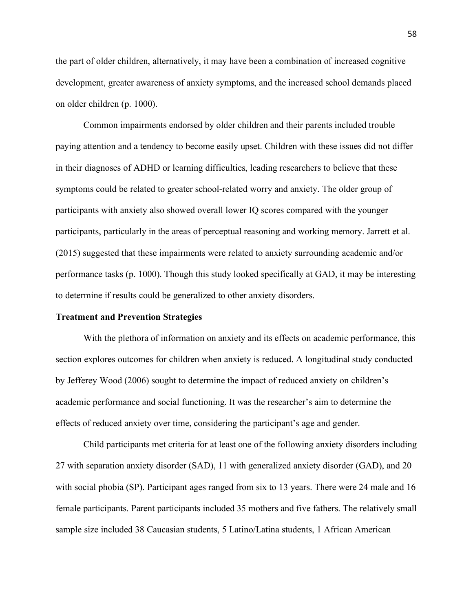the part of older children, alternatively, it may have been a combination of increased cognitive development, greater awareness of anxiety symptoms, and the increased school demands placed on older children (p. 1000).

Common impairments endorsed by older children and their parents included trouble paying attention and a tendency to become easily upset. Children with these issues did not differ in their diagnoses of ADHD or learning difficulties, leading researchers to believe that these symptoms could be related to greater school-related worry and anxiety. The older group of participants with anxiety also showed overall lower IQ scores compared with the younger participants, particularly in the areas of perceptual reasoning and working memory. Jarrett et al. (2015) suggested that these impairments were related to anxiety surrounding academic and/or performance tasks (p. 1000). Though this study looked specifically at GAD, it may be interesting to determine if results could be generalized to other anxiety disorders.

#### **Treatment and Prevention Strategies**

With the plethora of information on anxiety and its effects on academic performance, this section explores outcomes for children when anxiety is reduced. A longitudinal study conducted by Jefferey Wood (2006) sought to determine the impact of reduced anxiety on children's academic performance and social functioning. It was the researcher's aim to determine the effects of reduced anxiety over time, considering the participant's age and gender.

Child participants met criteria for at least one of the following anxiety disorders including 27 with separation anxiety disorder (SAD), 11 with generalized anxiety disorder (GAD), and 20 with social phobia (SP). Participant ages ranged from six to 13 years. There were 24 male and 16 female participants. Parent participants included 35 mothers and five fathers. The relatively small sample size included 38 Caucasian students, 5 Latino/Latina students, 1 African American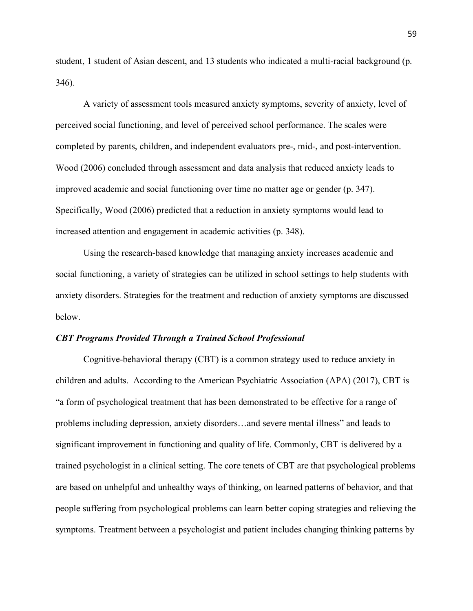student, 1 student of Asian descent, and 13 students who indicated a multi-racial background (p. 346).

A variety of assessment tools measured anxiety symptoms, severity of anxiety, level of perceived social functioning, and level of perceived school performance. The scales were completed by parents, children, and independent evaluators pre-, mid-, and post-intervention. Wood (2006) concluded through assessment and data analysis that reduced anxiety leads to improved academic and social functioning over time no matter age or gender (p. 347). Specifically, Wood (2006) predicted that a reduction in anxiety symptoms would lead to increased attention and engagement in academic activities (p. 348).

Using the research-based knowledge that managing anxiety increases academic and social functioning, a variety of strategies can be utilized in school settings to help students with anxiety disorders. Strategies for the treatment and reduction of anxiety symptoms are discussed below.

## *CBT Programs Provided Through a Trained School Professional*

Cognitive-behavioral therapy (CBT) is a common strategy used to reduce anxiety in children and adults. According to the American Psychiatric Association (APA) (2017), CBT is "a form of psychological treatment that has been demonstrated to be effective for a range of problems including depression, anxiety disorders…and severe mental illness" and leads to significant improvement in functioning and quality of life. Commonly, CBT is delivered by a trained psychologist in a clinical setting. The core tenets of CBT are that psychological problems are based on unhelpful and unhealthy ways of thinking, on learned patterns of behavior, and that people suffering from psychological problems can learn better coping strategies and relieving the symptoms. Treatment between a psychologist and patient includes changing thinking patterns by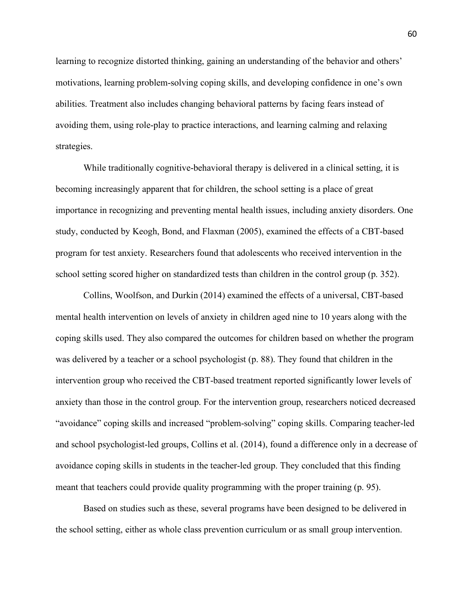learning to recognize distorted thinking, gaining an understanding of the behavior and others' motivations, learning problem-solving coping skills, and developing confidence in one's own abilities. Treatment also includes changing behavioral patterns by facing fears instead of avoiding them, using role-play to practice interactions, and learning calming and relaxing strategies.

While traditionally cognitive-behavioral therapy is delivered in a clinical setting, it is becoming increasingly apparent that for children, the school setting is a place of great importance in recognizing and preventing mental health issues, including anxiety disorders. One study, conducted by Keogh, Bond, and Flaxman (2005), examined the effects of a CBT-based program for test anxiety. Researchers found that adolescents who received intervention in the school setting scored higher on standardized tests than children in the control group (p. 352).

Collins, Woolfson, and Durkin (2014) examined the effects of a universal, CBT-based mental health intervention on levels of anxiety in children aged nine to 10 years along with the coping skills used. They also compared the outcomes for children based on whether the program was delivered by a teacher or a school psychologist (p. 88). They found that children in the intervention group who received the CBT-based treatment reported significantly lower levels of anxiety than those in the control group. For the intervention group, researchers noticed decreased "avoidance" coping skills and increased "problem-solving" coping skills. Comparing teacher-led and school psychologist-led groups, Collins et al. (2014), found a difference only in a decrease of avoidance coping skills in students in the teacher-led group. They concluded that this finding meant that teachers could provide quality programming with the proper training (p. 95).

Based on studies such as these, several programs have been designed to be delivered in the school setting, either as whole class prevention curriculum or as small group intervention.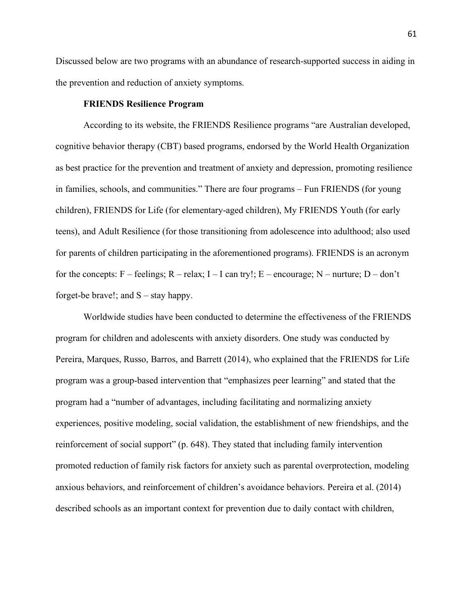Discussed below are two programs with an abundance of research-supported success in aiding in the prevention and reduction of anxiety symptoms.

# **FRIENDS Resilience Program**

According to its website, the FRIENDS Resilience programs "are Australian developed, cognitive behavior therapy (CBT) based programs, endorsed by the World Health Organization as best practice for the prevention and treatment of anxiety and depression, promoting resilience in families, schools, and communities." There are four programs – Fun FRIENDS (for young children), FRIENDS for Life (for elementary-aged children), My FRIENDS Youth (for early teens), and Adult Resilience (for those transitioning from adolescence into adulthood; also used for parents of children participating in the aforementioned programs). FRIENDS is an acronym for the concepts: F – feelings;  $R$  – relax; I – I can try!;  $E$  – encourage; N – nurture; D – don't forget-be brave!; and S – stay happy.

Worldwide studies have been conducted to determine the effectiveness of the FRIENDS program for children and adolescents with anxiety disorders. One study was conducted by Pereira, Marques, Russo, Barros, and Barrett (2014), who explained that the FRIENDS for Life program was a group-based intervention that "emphasizes peer learning" and stated that the program had a "number of advantages, including facilitating and normalizing anxiety experiences, positive modeling, social validation, the establishment of new friendships, and the reinforcement of social support" (p. 648). They stated that including family intervention promoted reduction of family risk factors for anxiety such as parental overprotection, modeling anxious behaviors, and reinforcement of children's avoidance behaviors. Pereira et al. (2014) described schools as an important context for prevention due to daily contact with children,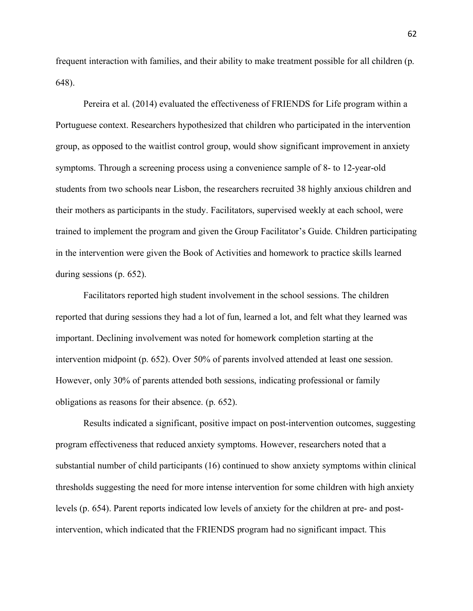frequent interaction with families, and their ability to make treatment possible for all children (p. 648).

Pereira et al. (2014) evaluated the effectiveness of FRIENDS for Life program within a Portuguese context. Researchers hypothesized that children who participated in the intervention group, as opposed to the waitlist control group, would show significant improvement in anxiety symptoms. Through a screening process using a convenience sample of 8- to 12-year-old students from two schools near Lisbon, the researchers recruited 38 highly anxious children and their mothers as participants in the study. Facilitators, supervised weekly at each school, were trained to implement the program and given the Group Facilitator's Guide. Children participating in the intervention were given the Book of Activities and homework to practice skills learned during sessions (p. 652).

Facilitators reported high student involvement in the school sessions. The children reported that during sessions they had a lot of fun, learned a lot, and felt what they learned was important. Declining involvement was noted for homework completion starting at the intervention midpoint (p. 652). Over 50% of parents involved attended at least one session. However, only 30% of parents attended both sessions, indicating professional or family obligations as reasons for their absence. (p. 652).

Results indicated a significant, positive impact on post-intervention outcomes, suggesting program effectiveness that reduced anxiety symptoms. However, researchers noted that a substantial number of child participants (16) continued to show anxiety symptoms within clinical thresholds suggesting the need for more intense intervention for some children with high anxiety levels (p. 654). Parent reports indicated low levels of anxiety for the children at pre- and postintervention, which indicated that the FRIENDS program had no significant impact. This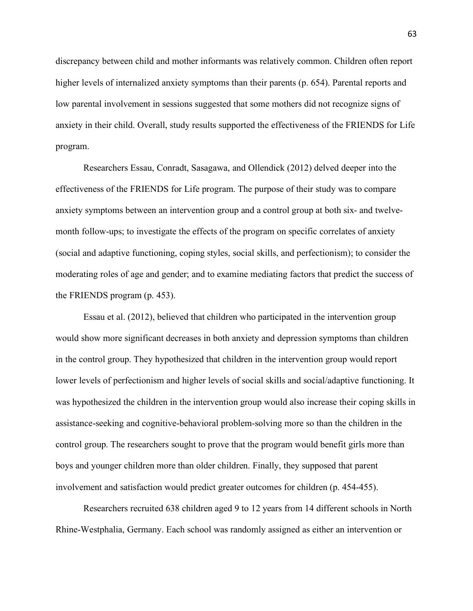discrepancy between child and mother informants was relatively common. Children often report higher levels of internalized anxiety symptoms than their parents (p. 654). Parental reports and low parental involvement in sessions suggested that some mothers did not recognize signs of anxiety in their child. Overall, study results supported the effectiveness of the FRIENDS for Life program.

Researchers Essau, Conradt, Sasagawa, and Ollendick (2012) delved deeper into the effectiveness of the FRIENDS for Life program. The purpose of their study was to compare anxiety symptoms between an intervention group and a control group at both six- and twelvemonth follow-ups; to investigate the effects of the program on specific correlates of anxiety (social and adaptive functioning, coping styles, social skills, and perfectionism); to consider the moderating roles of age and gender; and to examine mediating factors that predict the success of the FRIENDS program (p. 453).

Essau et al. (2012), believed that children who participated in the intervention group would show more significant decreases in both anxiety and depression symptoms than children in the control group. They hypothesized that children in the intervention group would report lower levels of perfectionism and higher levels of social skills and social/adaptive functioning. It was hypothesized the children in the intervention group would also increase their coping skills in assistance-seeking and cognitive-behavioral problem-solving more so than the children in the control group. The researchers sought to prove that the program would benefit girls more than boys and younger children more than older children. Finally, they supposed that parent involvement and satisfaction would predict greater outcomes for children (p. 454-455).

Researchers recruited 638 children aged 9 to 12 years from 14 different schools in North Rhine-Westphalia, Germany. Each school was randomly assigned as either an intervention or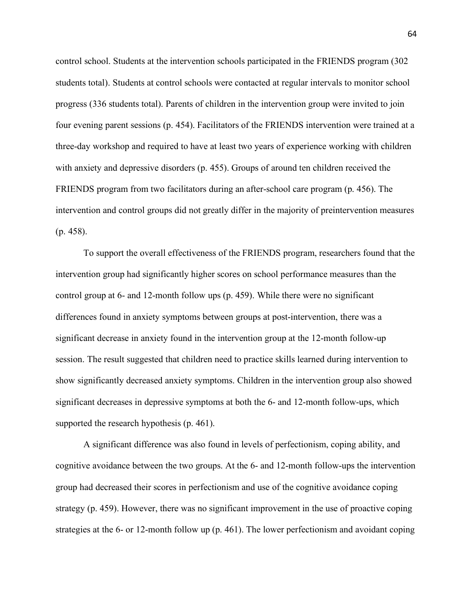control school. Students at the intervention schools participated in the FRIENDS program (302 students total). Students at control schools were contacted at regular intervals to monitor school progress (336 students total). Parents of children in the intervention group were invited to join four evening parent sessions (p. 454). Facilitators of the FRIENDS intervention were trained at a three-day workshop and required to have at least two years of experience working with children with anxiety and depressive disorders (p. 455). Groups of around ten children received the FRIENDS program from two facilitators during an after-school care program (p. 456). The intervention and control groups did not greatly differ in the majority of preintervention measures (p. 458).

To support the overall effectiveness of the FRIENDS program, researchers found that the intervention group had significantly higher scores on school performance measures than the control group at 6- and 12-month follow ups (p. 459). While there were no significant differences found in anxiety symptoms between groups at post-intervention, there was a significant decrease in anxiety found in the intervention group at the 12-month follow-up session. The result suggested that children need to practice skills learned during intervention to show significantly decreased anxiety symptoms. Children in the intervention group also showed significant decreases in depressive symptoms at both the 6- and 12-month follow-ups, which supported the research hypothesis (p. 461).

A significant difference was also found in levels of perfectionism, coping ability, and cognitive avoidance between the two groups. At the 6- and 12-month follow-ups the intervention group had decreased their scores in perfectionism and use of the cognitive avoidance coping strategy (p. 459). However, there was no significant improvement in the use of proactive coping strategies at the 6- or 12-month follow up (p. 461). The lower perfectionism and avoidant coping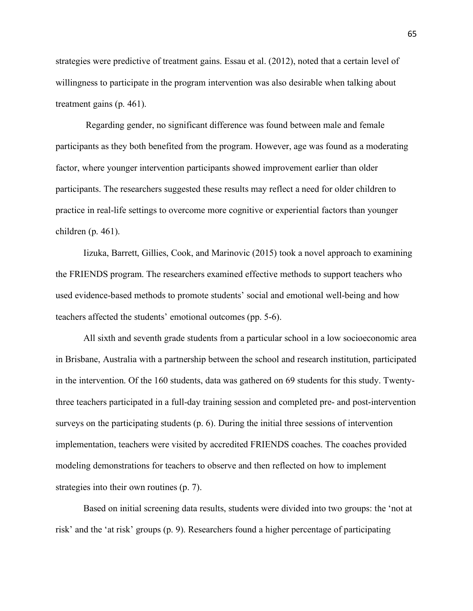strategies were predictive of treatment gains. Essau et al. (2012), noted that a certain level of willingness to participate in the program intervention was also desirable when talking about treatment gains (p. 461).

Regarding gender, no significant difference was found between male and female participants as they both benefited from the program. However, age was found as a moderating factor, where younger intervention participants showed improvement earlier than older participants. The researchers suggested these results may reflect a need for older children to practice in real-life settings to overcome more cognitive or experiential factors than younger children (p. 461).

Iizuka, Barrett, Gillies, Cook, and Marinovic (2015) took a novel approach to examining the FRIENDS program. The researchers examined effective methods to support teachers who used evidence-based methods to promote students' social and emotional well-being and how teachers affected the students' emotional outcomes (pp. 5-6).

All sixth and seventh grade students from a particular school in a low socioeconomic area in Brisbane, Australia with a partnership between the school and research institution, participated in the intervention. Of the 160 students, data was gathered on 69 students for this study. Twentythree teachers participated in a full-day training session and completed pre- and post-intervention surveys on the participating students  $(p, 6)$ . During the initial three sessions of intervention implementation, teachers were visited by accredited FRIENDS coaches. The coaches provided modeling demonstrations for teachers to observe and then reflected on how to implement strategies into their own routines (p. 7).

Based on initial screening data results, students were divided into two groups: the 'not at risk' and the 'at risk' groups (p. 9). Researchers found a higher percentage of participating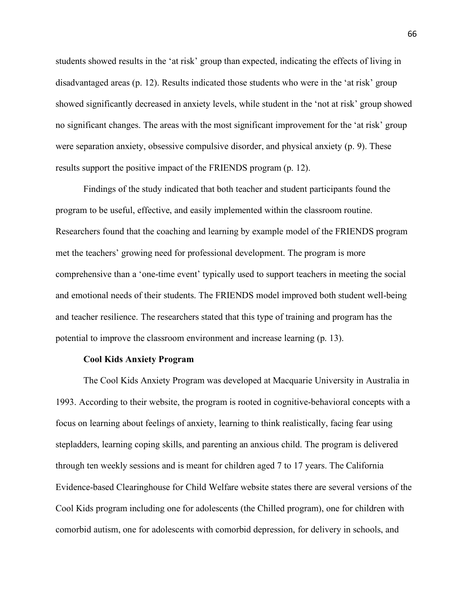students showed results in the 'at risk' group than expected, indicating the effects of living in disadvantaged areas (p. 12). Results indicated those students who were in the 'at risk' group showed significantly decreased in anxiety levels, while student in the 'not at risk' group showed no significant changes. The areas with the most significant improvement for the 'at risk' group were separation anxiety, obsessive compulsive disorder, and physical anxiety (p. 9). These results support the positive impact of the FRIENDS program (p. 12).

Findings of the study indicated that both teacher and student participants found the program to be useful, effective, and easily implemented within the classroom routine. Researchers found that the coaching and learning by example model of the FRIENDS program met the teachers' growing need for professional development. The program is more comprehensive than a 'one-time event' typically used to support teachers in meeting the social and emotional needs of their students. The FRIENDS model improved both student well-being and teacher resilience. The researchers stated that this type of training and program has the potential to improve the classroom environment and increase learning (p. 13).

## **Cool Kids Anxiety Program**

The Cool Kids Anxiety Program was developed at Macquarie University in Australia in 1993. According to their website, the program is rooted in cognitive-behavioral concepts with a focus on learning about feelings of anxiety, learning to think realistically, facing fear using stepladders, learning coping skills, and parenting an anxious child. The program is delivered through ten weekly sessions and is meant for children aged 7 to 17 years. The California Evidence-based Clearinghouse for Child Welfare website states there are several versions of the Cool Kids program including one for adolescents (the Chilled program), one for children with comorbid autism, one for adolescents with comorbid depression, for delivery in schools, and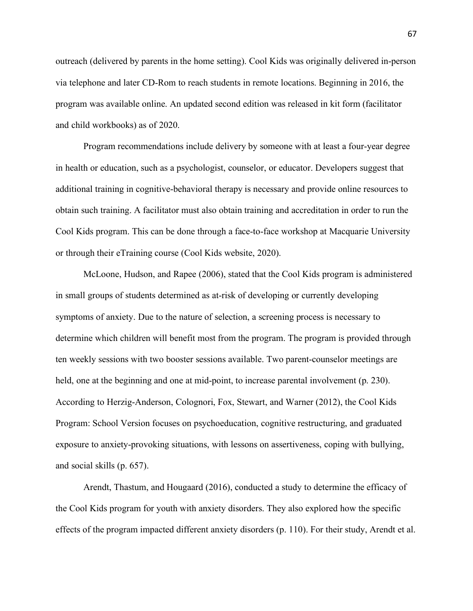outreach (delivered by parents in the home setting). Cool Kids was originally delivered in-person via telephone and later CD-Rom to reach students in remote locations. Beginning in 2016, the program was available online. An updated second edition was released in kit form (facilitator and child workbooks) as of 2020.

Program recommendations include delivery by someone with at least a four-year degree in health or education, such as a psychologist, counselor, or educator. Developers suggest that additional training in cognitive-behavioral therapy is necessary and provide online resources to obtain such training. A facilitator must also obtain training and accreditation in order to run the Cool Kids program. This can be done through a face-to-face workshop at Macquarie University or through their eTraining course (Cool Kids website, 2020).

McLoone, Hudson, and Rapee (2006), stated that the Cool Kids program is administered in small groups of students determined as at-risk of developing or currently developing symptoms of anxiety. Due to the nature of selection, a screening process is necessary to determine which children will benefit most from the program. The program is provided through ten weekly sessions with two booster sessions available. Two parent-counselor meetings are held, one at the beginning and one at mid-point, to increase parental involvement (p. 230). According to Herzig-Anderson, Colognori, Fox, Stewart, and Warner (2012), the Cool Kids Program: School Version focuses on psychoeducation, cognitive restructuring, and graduated exposure to anxiety-provoking situations, with lessons on assertiveness, coping with bullying, and social skills (p. 657).

Arendt, Thastum, and Hougaard (2016), conducted a study to determine the efficacy of the Cool Kids program for youth with anxiety disorders. They also explored how the specific effects of the program impacted different anxiety disorders (p. 110). For their study, Arendt et al.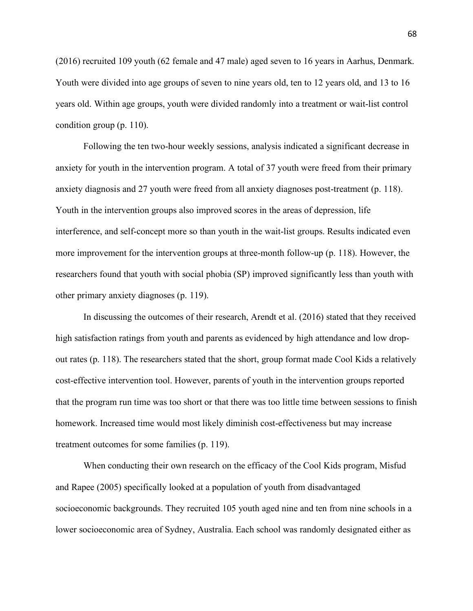(2016) recruited 109 youth (62 female and 47 male) aged seven to 16 years in Aarhus, Denmark. Youth were divided into age groups of seven to nine years old, ten to 12 years old, and 13 to 16 years old. Within age groups, youth were divided randomly into a treatment or wait-list control condition group (p. 110).

Following the ten two-hour weekly sessions, analysis indicated a significant decrease in anxiety for youth in the intervention program. A total of 37 youth were freed from their primary anxiety diagnosis and 27 youth were freed from all anxiety diagnoses post-treatment (p. 118). Youth in the intervention groups also improved scores in the areas of depression, life interference, and self-concept more so than youth in the wait-list groups. Results indicated even more improvement for the intervention groups at three-month follow-up (p. 118). However, the researchers found that youth with social phobia (SP) improved significantly less than youth with other primary anxiety diagnoses (p. 119).

In discussing the outcomes of their research, Arendt et al. (2016) stated that they received high satisfaction ratings from youth and parents as evidenced by high attendance and low dropout rates (p. 118). The researchers stated that the short, group format made Cool Kids a relatively cost-effective intervention tool. However, parents of youth in the intervention groups reported that the program run time was too short or that there was too little time between sessions to finish homework. Increased time would most likely diminish cost-effectiveness but may increase treatment outcomes for some families (p. 119).

When conducting their own research on the efficacy of the Cool Kids program, Misfud and Rapee (2005) specifically looked at a population of youth from disadvantaged socioeconomic backgrounds. They recruited 105 youth aged nine and ten from nine schools in a lower socioeconomic area of Sydney, Australia. Each school was randomly designated either as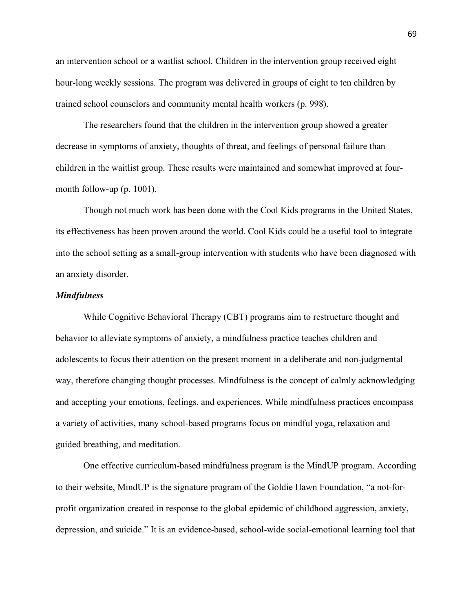an intervention school or a waitlist school. Children in the intervention group received eight hour-long weekly sessions. The program was delivered in groups of eight to ten children by trained school counselors and community mental health workers (p. 998).

The researchers found that the children in the intervention group showed a greater decrease in symptoms of anxiety, thoughts of threat, and feelings of personal failure than children in the waitlist group. These results were maintained and somewhat improved at fourmonth follow-up (p. 1001).

Though not much work has been done with the Cool Kids programs in the United States, its effectiveness has been proven around the world. Cool Kids could be a useful tool to integrate into the school setting as a small-group intervention with students who have been diagnosed with an anxiety disorder.

# *Mindfulness*

While Cognitive Behavioral Therapy (CBT) programs aim to restructure thought and behavior to alleviate symptoms of anxiety, a mindfulness practice teaches children and adolescents to focus their attention on the present moment in a deliberate and non-judgmental way, therefore changing thought processes. Mindfulness is the concept of calmly acknowledging and accepting your emotions, feelings, and experiences. While mindfulness practices encompass a variety of activities, many school-based programs focus on mindful yoga, relaxation and guided breathing, and meditation.

One effective curriculum-based mindfulness program is the MindUP program. According to their website, MindUP is the signature program of the Goldie Hawn Foundation, "a not-forprofit organization created in response to the global epidemic of childhood aggression, anxiety, depression, and suicide." It is an evidence-based, school-wide social-emotional learning tool that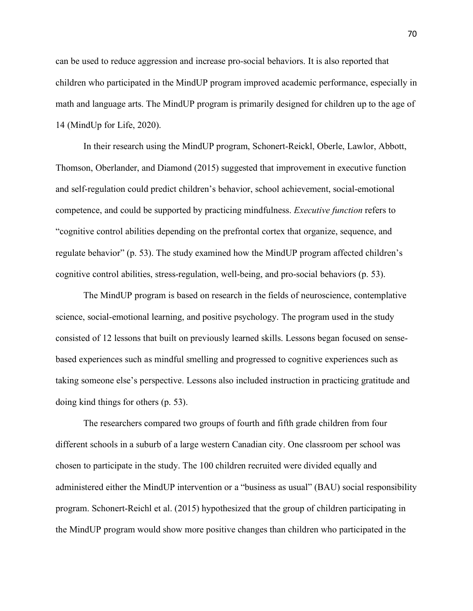can be used to reduce aggression and increase pro-social behaviors. It is also reported that children who participated in the MindUP program improved academic performance, especially in math and language arts. The MindUP program is primarily designed for children up to the age of 14 (MindUp for Life, 2020).

In their research using the MindUP program, Schonert-Reickl, Oberle, Lawlor, Abbott, Thomson, Oberlander, and Diamond (2015) suggested that improvement in executive function and self-regulation could predict children's behavior, school achievement, social-emotional competence, and could be supported by practicing mindfulness. *Executive function* refers to "cognitive control abilities depending on the prefrontal cortex that organize, sequence, and regulate behavior" (p. 53). The study examined how the MindUP program affected children's cognitive control abilities, stress-regulation, well-being, and pro-social behaviors (p. 53).

The MindUP program is based on research in the fields of neuroscience, contemplative science, social-emotional learning, and positive psychology. The program used in the study consisted of 12 lessons that built on previously learned skills. Lessons began focused on sensebased experiences such as mindful smelling and progressed to cognitive experiences such as taking someone else's perspective. Lessons also included instruction in practicing gratitude and doing kind things for others (p. 53).

The researchers compared two groups of fourth and fifth grade children from four different schools in a suburb of a large western Canadian city. One classroom per school was chosen to participate in the study. The 100 children recruited were divided equally and administered either the MindUP intervention or a "business as usual" (BAU) social responsibility program. Schonert-Reichl et al. (2015) hypothesized that the group of children participating in the MindUP program would show more positive changes than children who participated in the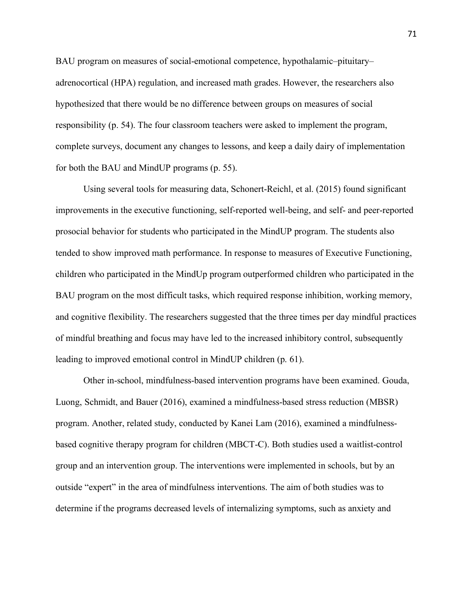BAU program on measures of social-emotional competence, hypothalamic–pituitary– adrenocortical (HPA) regulation, and increased math grades. However, the researchers also hypothesized that there would be no difference between groups on measures of social responsibility (p. 54). The four classroom teachers were asked to implement the program, complete surveys, document any changes to lessons, and keep a daily dairy of implementation for both the BAU and MindUP programs (p. 55).

Using several tools for measuring data, Schonert-Reichl, et al. (2015) found significant improvements in the executive functioning, self-reported well-being, and self- and peer-reported prosocial behavior for students who participated in the MindUP program. The students also tended to show improved math performance. In response to measures of Executive Functioning, children who participated in the MindUp program outperformed children who participated in the BAU program on the most difficult tasks, which required response inhibition, working memory, and cognitive flexibility. The researchers suggested that the three times per day mindful practices of mindful breathing and focus may have led to the increased inhibitory control, subsequently leading to improved emotional control in MindUP children (p. 61).

Other in-school, mindfulness-based intervention programs have been examined. Gouda, Luong, Schmidt, and Bauer (2016), examined a mindfulness-based stress reduction (MBSR) program. Another, related study, conducted by Kanei Lam (2016), examined a mindfulnessbased cognitive therapy program for children (MBCT-C). Both studies used a waitlist-control group and an intervention group. The interventions were implemented in schools, but by an outside "expert" in the area of mindfulness interventions. The aim of both studies was to determine if the programs decreased levels of internalizing symptoms, such as anxiety and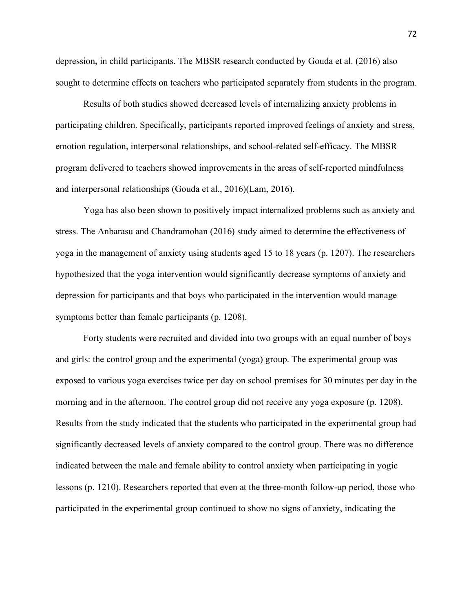depression, in child participants. The MBSR research conducted by Gouda et al. (2016) also sought to determine effects on teachers who participated separately from students in the program.

Results of both studies showed decreased levels of internalizing anxiety problems in participating children. Specifically, participants reported improved feelings of anxiety and stress, emotion regulation, interpersonal relationships, and school-related self-efficacy. The MBSR program delivered to teachers showed improvements in the areas of self-reported mindfulness and interpersonal relationships (Gouda et al., 2016)(Lam, 2016).

Yoga has also been shown to positively impact internalized problems such as anxiety and stress. The Anbarasu and Chandramohan (2016) study aimed to determine the effectiveness of yoga in the management of anxiety using students aged 15 to 18 years (p. 1207). The researchers hypothesized that the yoga intervention would significantly decrease symptoms of anxiety and depression for participants and that boys who participated in the intervention would manage symptoms better than female participants (p. 1208).

Forty students were recruited and divided into two groups with an equal number of boys and girls: the control group and the experimental (yoga) group. The experimental group was exposed to various yoga exercises twice per day on school premises for 30 minutes per day in the morning and in the afternoon. The control group did not receive any yoga exposure (p. 1208). Results from the study indicated that the students who participated in the experimental group had significantly decreased levels of anxiety compared to the control group. There was no difference indicated between the male and female ability to control anxiety when participating in yogic lessons (p. 1210). Researchers reported that even at the three-month follow-up period, those who participated in the experimental group continued to show no signs of anxiety, indicating the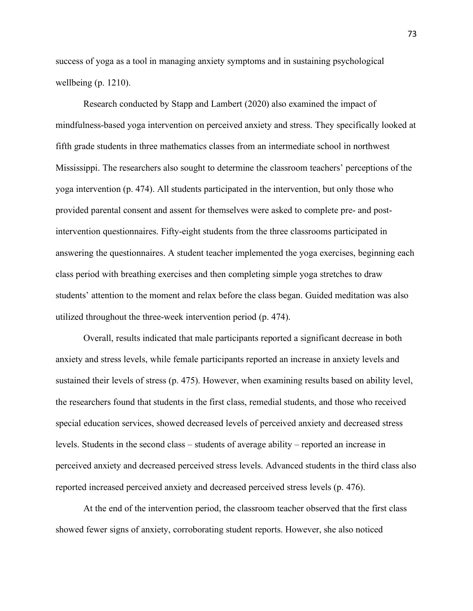success of yoga as a tool in managing anxiety symptoms and in sustaining psychological wellbeing (p. 1210).

Research conducted by Stapp and Lambert (2020) also examined the impact of mindfulness-based yoga intervention on perceived anxiety and stress. They specifically looked at fifth grade students in three mathematics classes from an intermediate school in northwest Mississippi. The researchers also sought to determine the classroom teachers' perceptions of the yoga intervention (p. 474). All students participated in the intervention, but only those who provided parental consent and assent for themselves were asked to complete pre- and postintervention questionnaires. Fifty-eight students from the three classrooms participated in answering the questionnaires. A student teacher implemented the yoga exercises, beginning each class period with breathing exercises and then completing simple yoga stretches to draw students' attention to the moment and relax before the class began. Guided meditation was also utilized throughout the three-week intervention period (p. 474).

Overall, results indicated that male participants reported a significant decrease in both anxiety and stress levels, while female participants reported an increase in anxiety levels and sustained their levels of stress (p. 475). However, when examining results based on ability level, the researchers found that students in the first class, remedial students, and those who received special education services, showed decreased levels of perceived anxiety and decreased stress levels. Students in the second class – students of average ability – reported an increase in perceived anxiety and decreased perceived stress levels. Advanced students in the third class also reported increased perceived anxiety and decreased perceived stress levels (p. 476).

At the end of the intervention period, the classroom teacher observed that the first class showed fewer signs of anxiety, corroborating student reports. However, she also noticed

73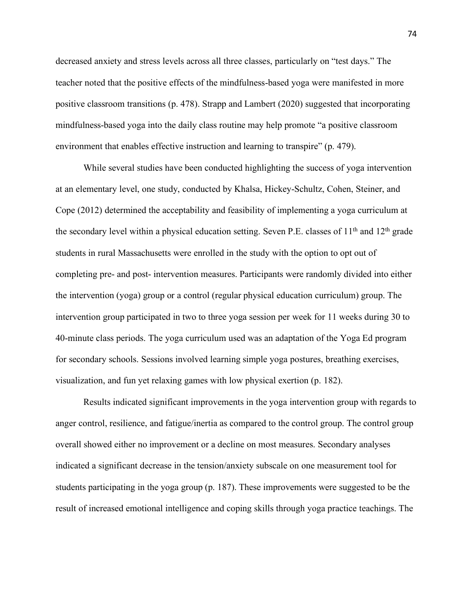decreased anxiety and stress levels across all three classes, particularly on "test days." The teacher noted that the positive effects of the mindfulness-based yoga were manifested in more positive classroom transitions (p. 478). Strapp and Lambert (2020) suggested that incorporating mindfulness-based yoga into the daily class routine may help promote "a positive classroom environment that enables effective instruction and learning to transpire" (p. 479).

While several studies have been conducted highlighting the success of yoga intervention at an elementary level, one study, conducted by Khalsa, Hickey-Schultz, Cohen, Steiner, and Cope (2012) determined the acceptability and feasibility of implementing a yoga curriculum at the secondary level within a physical education setting. Seven P.E. classes of 11<sup>th</sup> and 12<sup>th</sup> grade students in rural Massachusetts were enrolled in the study with the option to opt out of completing pre- and post- intervention measures. Participants were randomly divided into either the intervention (yoga) group or a control (regular physical education curriculum) group. The intervention group participated in two to three yoga session per week for 11 weeks during 30 to 40-minute class periods. The yoga curriculum used was an adaptation of the Yoga Ed program for secondary schools. Sessions involved learning simple yoga postures, breathing exercises, visualization, and fun yet relaxing games with low physical exertion (p. 182).

Results indicated significant improvements in the yoga intervention group with regards to anger control, resilience, and fatigue/inertia as compared to the control group. The control group overall showed either no improvement or a decline on most measures. Secondary analyses indicated a significant decrease in the tension/anxiety subscale on one measurement tool for students participating in the yoga group (p. 187). These improvements were suggested to be the result of increased emotional intelligence and coping skills through yoga practice teachings. The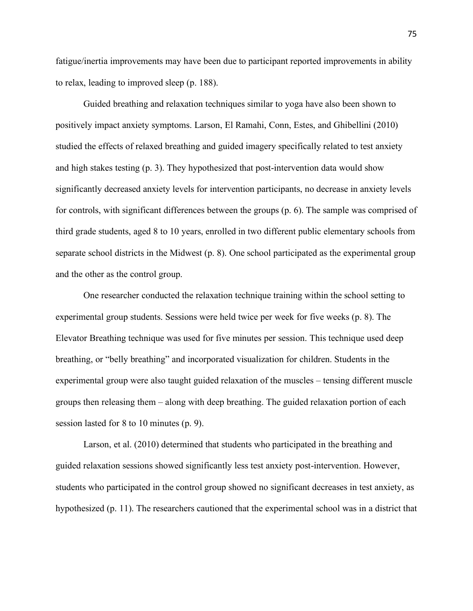fatigue/inertia improvements may have been due to participant reported improvements in ability to relax, leading to improved sleep (p. 188).

Guided breathing and relaxation techniques similar to yoga have also been shown to positively impact anxiety symptoms. Larson, El Ramahi, Conn, Estes, and Ghibellini (2010) studied the effects of relaxed breathing and guided imagery specifically related to test anxiety and high stakes testing (p. 3). They hypothesized that post-intervention data would show significantly decreased anxiety levels for intervention participants, no decrease in anxiety levels for controls, with significant differences between the groups (p. 6). The sample was comprised of third grade students, aged 8 to 10 years, enrolled in two different public elementary schools from separate school districts in the Midwest (p. 8). One school participated as the experimental group and the other as the control group.

One researcher conducted the relaxation technique training within the school setting to experimental group students. Sessions were held twice per week for five weeks (p. 8). The Elevator Breathing technique was used for five minutes per session. This technique used deep breathing, or "belly breathing" and incorporated visualization for children. Students in the experimental group were also taught guided relaxation of the muscles – tensing different muscle groups then releasing them – along with deep breathing. The guided relaxation portion of each session lasted for 8 to 10 minutes (p. 9).

Larson, et al. (2010) determined that students who participated in the breathing and guided relaxation sessions showed significantly less test anxiety post-intervention. However, students who participated in the control group showed no significant decreases in test anxiety, as hypothesized (p. 11). The researchers cautioned that the experimental school was in a district that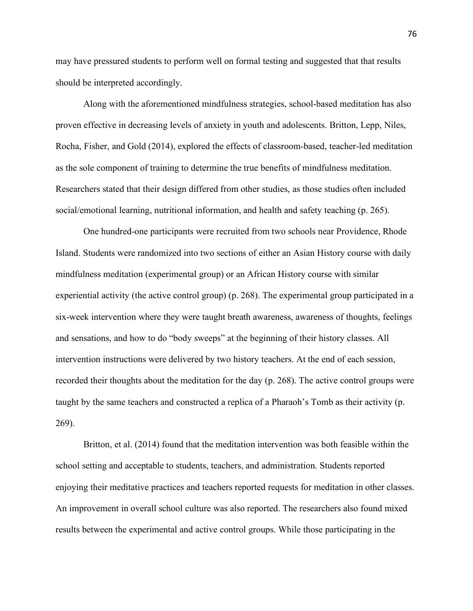may have pressured students to perform well on formal testing and suggested that that results should be interpreted accordingly.

Along with the aforementioned mindfulness strategies, school-based meditation has also proven effective in decreasing levels of anxiety in youth and adolescents. Britton, Lepp, Niles, Rocha, Fisher, and Gold (2014), explored the effects of classroom-based, teacher-led meditation as the sole component of training to determine the true benefits of mindfulness meditation. Researchers stated that their design differed from other studies, as those studies often included social/emotional learning, nutritional information, and health and safety teaching (p. 265).

One hundred-one participants were recruited from two schools near Providence, Rhode Island. Students were randomized into two sections of either an Asian History course with daily mindfulness meditation (experimental group) or an African History course with similar experiential activity (the active control group) (p. 268). The experimental group participated in a six-week intervention where they were taught breath awareness, awareness of thoughts, feelings and sensations, and how to do "body sweeps" at the beginning of their history classes. All intervention instructions were delivered by two history teachers. At the end of each session, recorded their thoughts about the meditation for the day (p. 268). The active control groups were taught by the same teachers and constructed a replica of a Pharaoh's Tomb as their activity (p. 269).

Britton, et al. (2014) found that the meditation intervention was both feasible within the school setting and acceptable to students, teachers, and administration. Students reported enjoying their meditative practices and teachers reported requests for meditation in other classes. An improvement in overall school culture was also reported. The researchers also found mixed results between the experimental and active control groups. While those participating in the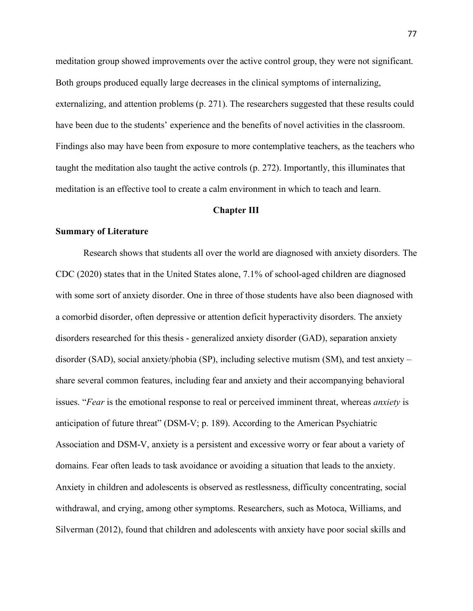meditation group showed improvements over the active control group, they were not significant. Both groups produced equally large decreases in the clinical symptoms of internalizing, externalizing, and attention problems (p. 271). The researchers suggested that these results could have been due to the students' experience and the benefits of novel activities in the classroom. Findings also may have been from exposure to more contemplative teachers, as the teachers who taught the meditation also taught the active controls (p. 272). Importantly, this illuminates that meditation is an effective tool to create a calm environment in which to teach and learn.

#### **Chapter III**

## **Summary of Literature**

Research shows that students all over the world are diagnosed with anxiety disorders. The CDC (2020) states that in the United States alone, 7.1% of school-aged children are diagnosed with some sort of anxiety disorder. One in three of those students have also been diagnosed with a comorbid disorder, often depressive or attention deficit hyperactivity disorders. The anxiety disorders researched for this thesis - generalized anxiety disorder (GAD), separation anxiety disorder (SAD), social anxiety/phobia (SP), including selective mutism (SM), and test anxiety – share several common features, including fear and anxiety and their accompanying behavioral issues. "*Fear* is the emotional response to real or perceived imminent threat, whereas *anxiety* is anticipation of future threat" (DSM-V; p. 189). According to the American Psychiatric Association and DSM-V, anxiety is a persistent and excessive worry or fear about a variety of domains. Fear often leads to task avoidance or avoiding a situation that leads to the anxiety. Anxiety in children and adolescents is observed as restlessness, difficulty concentrating, social withdrawal, and crying, among other symptoms. Researchers, such as Motoca, Williams, and Silverman (2012), found that children and adolescents with anxiety have poor social skills and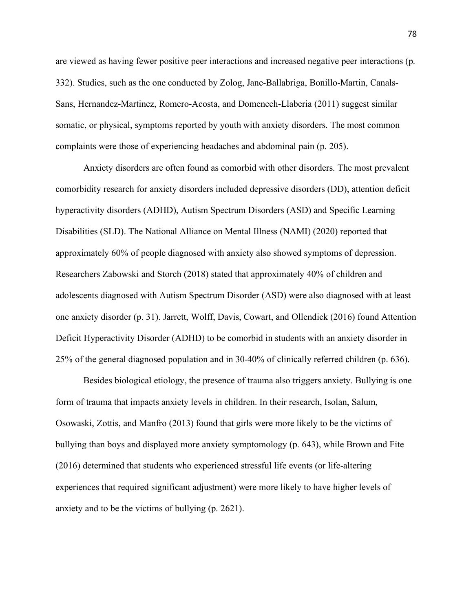are viewed as having fewer positive peer interactions and increased negative peer interactions (p. 332). Studies, such as the one conducted by Zolog, Jane-Ballabriga, Bonillo-Martin, Canals-Sans, Hernandez-Martinez, Romero-Acosta, and Domenech-Llaberia (2011) suggest similar somatic, or physical, symptoms reported by youth with anxiety disorders. The most common complaints were those of experiencing headaches and abdominal pain (p. 205).

Anxiety disorders are often found as comorbid with other disorders. The most prevalent comorbidity research for anxiety disorders included depressive disorders (DD), attention deficit hyperactivity disorders (ADHD), Autism Spectrum Disorders (ASD) and Specific Learning Disabilities (SLD). The National Alliance on Mental Illness (NAMI) (2020) reported that approximately 60% of people diagnosed with anxiety also showed symptoms of depression. Researchers Zabowski and Storch (2018) stated that approximately 40% of children and adolescents diagnosed with Autism Spectrum Disorder (ASD) were also diagnosed with at least one anxiety disorder (p. 31). Jarrett, Wolff, Davis, Cowart, and Ollendick (2016) found Attention Deficit Hyperactivity Disorder (ADHD) to be comorbid in students with an anxiety disorder in 25% of the general diagnosed population and in 30-40% of clinically referred children (p. 636).

Besides biological etiology, the presence of trauma also triggers anxiety. Bullying is one form of trauma that impacts anxiety levels in children. In their research, Isolan, Salum, Osowaski, Zottis, and Manfro (2013) found that girls were more likely to be the victims of bullying than boys and displayed more anxiety symptomology (p. 643), while Brown and Fite (2016) determined that students who experienced stressful life events (or life-altering experiences that required significant adjustment) were more likely to have higher levels of anxiety and to be the victims of bullying (p. 2621).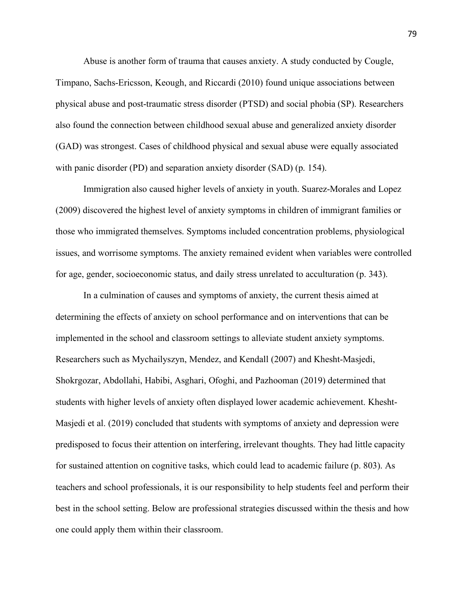Abuse is another form of trauma that causes anxiety. A study conducted by Cougle, Timpano, Sachs-Ericsson, Keough, and Riccardi (2010) found unique associations between physical abuse and post-traumatic stress disorder (PTSD) and social phobia (SP). Researchers also found the connection between childhood sexual abuse and generalized anxiety disorder (GAD) was strongest. Cases of childhood physical and sexual abuse were equally associated with panic disorder (PD) and separation anxiety disorder (SAD) (p. 154).

Immigration also caused higher levels of anxiety in youth. Suarez-Morales and Lopez (2009) discovered the highest level of anxiety symptoms in children of immigrant families or those who immigrated themselves. Symptoms included concentration problems, physiological issues, and worrisome symptoms. The anxiety remained evident when variables were controlled for age, gender, socioeconomic status, and daily stress unrelated to acculturation (p. 343).

In a culmination of causes and symptoms of anxiety, the current thesis aimed at determining the effects of anxiety on school performance and on interventions that can be implemented in the school and classroom settings to alleviate student anxiety symptoms. Researchers such as Mychailyszyn, Mendez, and Kendall (2007) and Khesht-Masjedi, Shokrgozar, Abdollahi, Habibi, Asghari, Ofoghi, and Pazhooman (2019) determined that students with higher levels of anxiety often displayed lower academic achievement. Khesht-Masjedi et al. (2019) concluded that students with symptoms of anxiety and depression were predisposed to focus their attention on interfering, irrelevant thoughts. They had little capacity for sustained attention on cognitive tasks, which could lead to academic failure (p. 803). As teachers and school professionals, it is our responsibility to help students feel and perform their best in the school setting. Below are professional strategies discussed within the thesis and how one could apply them within their classroom.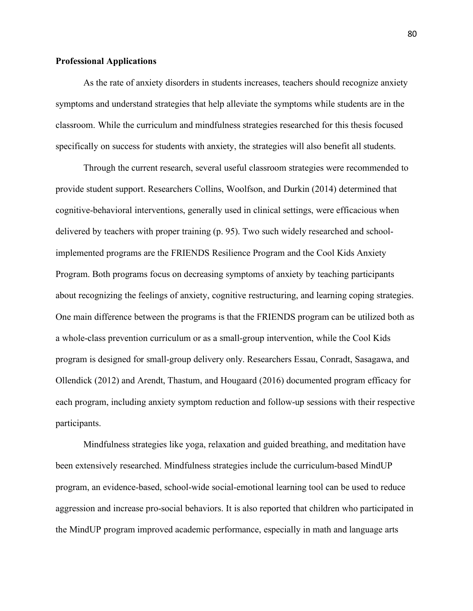# **Professional Applications**

As the rate of anxiety disorders in students increases, teachers should recognize anxiety symptoms and understand strategies that help alleviate the symptoms while students are in the classroom. While the curriculum and mindfulness strategies researched for this thesis focused specifically on success for students with anxiety, the strategies will also benefit all students.

Through the current research, several useful classroom strategies were recommended to provide student support. Researchers Collins, Woolfson, and Durkin (2014) determined that cognitive-behavioral interventions, generally used in clinical settings, were efficacious when delivered by teachers with proper training (p. 95). Two such widely researched and schoolimplemented programs are the FRIENDS Resilience Program and the Cool Kids Anxiety Program. Both programs focus on decreasing symptoms of anxiety by teaching participants about recognizing the feelings of anxiety, cognitive restructuring, and learning coping strategies. One main difference between the programs is that the FRIENDS program can be utilized both as a whole-class prevention curriculum or as a small-group intervention, while the Cool Kids program is designed for small-group delivery only. Researchers Essau, Conradt, Sasagawa, and Ollendick (2012) and Arendt, Thastum, and Hougaard (2016) documented program efficacy for each program, including anxiety symptom reduction and follow-up sessions with their respective participants.

Mindfulness strategies like yoga, relaxation and guided breathing, and meditation have been extensively researched. Mindfulness strategies include the curriculum-based MindUP program, an evidence-based, school-wide social-emotional learning tool can be used to reduce aggression and increase pro-social behaviors. It is also reported that children who participated in the MindUP program improved academic performance, especially in math and language arts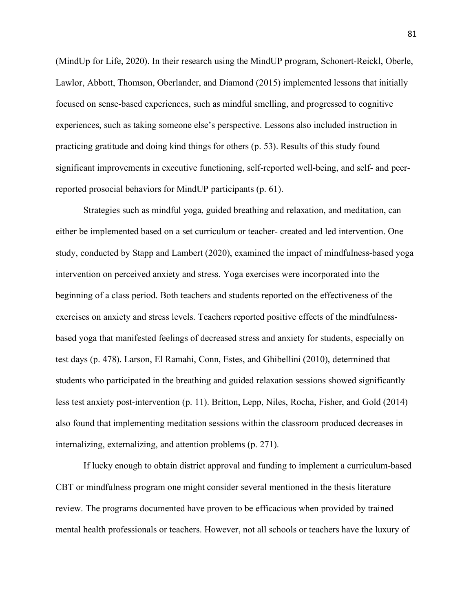(MindUp for Life, 2020). In their research using the MindUP program, Schonert-Reickl, Oberle, Lawlor, Abbott, Thomson, Oberlander, and Diamond (2015) implemented lessons that initially focused on sense-based experiences, such as mindful smelling, and progressed to cognitive experiences, such as taking someone else's perspective. Lessons also included instruction in practicing gratitude and doing kind things for others (p. 53). Results of this study found significant improvements in executive functioning, self-reported well-being, and self- and peerreported prosocial behaviors for MindUP participants (p. 61).

Strategies such as mindful yoga, guided breathing and relaxation, and meditation, can either be implemented based on a set curriculum or teacher- created and led intervention. One study, conducted by Stapp and Lambert (2020), examined the impact of mindfulness-based yoga intervention on perceived anxiety and stress. Yoga exercises were incorporated into the beginning of a class period. Both teachers and students reported on the effectiveness of the exercises on anxiety and stress levels. Teachers reported positive effects of the mindfulnessbased yoga that manifested feelings of decreased stress and anxiety for students, especially on test days (p. 478). Larson, El Ramahi, Conn, Estes, and Ghibellini (2010), determined that students who participated in the breathing and guided relaxation sessions showed significantly less test anxiety post-intervention (p. 11). Britton, Lepp, Niles, Rocha, Fisher, and Gold (2014) also found that implementing meditation sessions within the classroom produced decreases in internalizing, externalizing, and attention problems (p. 271).

If lucky enough to obtain district approval and funding to implement a curriculum-based CBT or mindfulness program one might consider several mentioned in the thesis literature review. The programs documented have proven to be efficacious when provided by trained mental health professionals or teachers. However, not all schools or teachers have the luxury of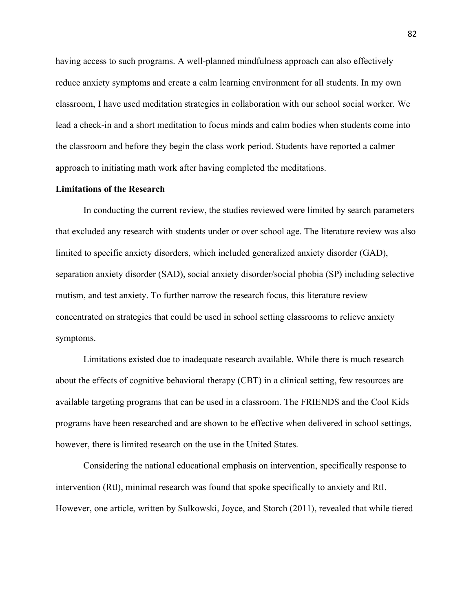having access to such programs. A well-planned mindfulness approach can also effectively reduce anxiety symptoms and create a calm learning environment for all students. In my own classroom, I have used meditation strategies in collaboration with our school social worker. We lead a check-in and a short meditation to focus minds and calm bodies when students come into the classroom and before they begin the class work period. Students have reported a calmer approach to initiating math work after having completed the meditations.

# **Limitations of the Research**

In conducting the current review, the studies reviewed were limited by search parameters that excluded any research with students under or over school age. The literature review was also limited to specific anxiety disorders, which included generalized anxiety disorder (GAD), separation anxiety disorder (SAD), social anxiety disorder/social phobia (SP) including selective mutism, and test anxiety. To further narrow the research focus, this literature review concentrated on strategies that could be used in school setting classrooms to relieve anxiety symptoms.

Limitations existed due to inadequate research available. While there is much research about the effects of cognitive behavioral therapy (CBT) in a clinical setting, few resources are available targeting programs that can be used in a classroom. The FRIENDS and the Cool Kids programs have been researched and are shown to be effective when delivered in school settings, however, there is limited research on the use in the United States.

Considering the national educational emphasis on intervention, specifically response to intervention (RtI), minimal research was found that spoke specifically to anxiety and RtI. However, one article, written by Sulkowski, Joyce, and Storch (2011), revealed that while tiered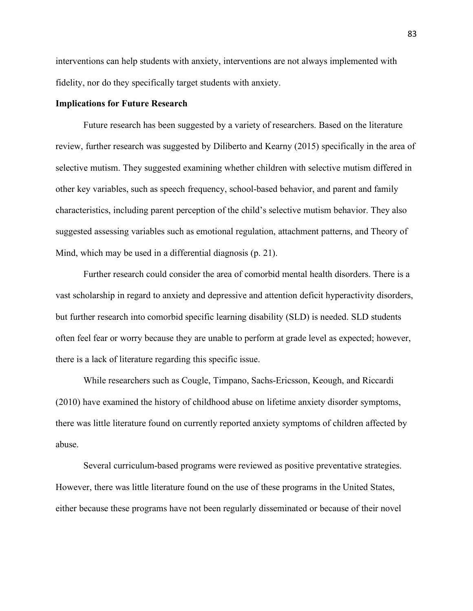interventions can help students with anxiety, interventions are not always implemented with fidelity, nor do they specifically target students with anxiety.

## **Implications for Future Research**

Future research has been suggested by a variety of researchers. Based on the literature review, further research was suggested by Diliberto and Kearny (2015) specifically in the area of selective mutism. They suggested examining whether children with selective mutism differed in other key variables, such as speech frequency, school-based behavior, and parent and family characteristics, including parent perception of the child's selective mutism behavior. They also suggested assessing variables such as emotional regulation, attachment patterns, and Theory of Mind, which may be used in a differential diagnosis (p. 21).

Further research could consider the area of comorbid mental health disorders. There is a vast scholarship in regard to anxiety and depressive and attention deficit hyperactivity disorders, but further research into comorbid specific learning disability (SLD) is needed. SLD students often feel fear or worry because they are unable to perform at grade level as expected; however, there is a lack of literature regarding this specific issue.

While researchers such as Cougle, Timpano, Sachs-Ericsson, Keough, and Riccardi (2010) have examined the history of childhood abuse on lifetime anxiety disorder symptoms, there was little literature found on currently reported anxiety symptoms of children affected by abuse.

Several curriculum-based programs were reviewed as positive preventative strategies. However, there was little literature found on the use of these programs in the United States, either because these programs have not been regularly disseminated or because of their novel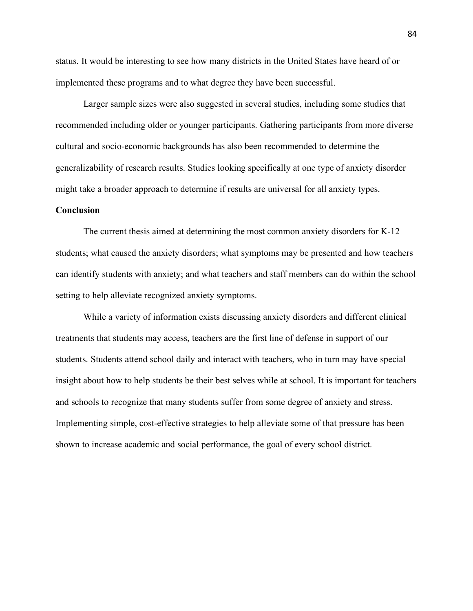status. It would be interesting to see how many districts in the United States have heard of or implemented these programs and to what degree they have been successful.

Larger sample sizes were also suggested in several studies, including some studies that recommended including older or younger participants. Gathering participants from more diverse cultural and socio-economic backgrounds has also been recommended to determine the generalizability of research results. Studies looking specifically at one type of anxiety disorder might take a broader approach to determine if results are universal for all anxiety types.

### **Conclusion**

The current thesis aimed at determining the most common anxiety disorders for K-12 students; what caused the anxiety disorders; what symptoms may be presented and how teachers can identify students with anxiety; and what teachers and staff members can do within the school setting to help alleviate recognized anxiety symptoms.

While a variety of information exists discussing anxiety disorders and different clinical treatments that students may access, teachers are the first line of defense in support of our students. Students attend school daily and interact with teachers, who in turn may have special insight about how to help students be their best selves while at school. It is important for teachers and schools to recognize that many students suffer from some degree of anxiety and stress. Implementing simple, cost-effective strategies to help alleviate some of that pressure has been shown to increase academic and social performance, the goal of every school district.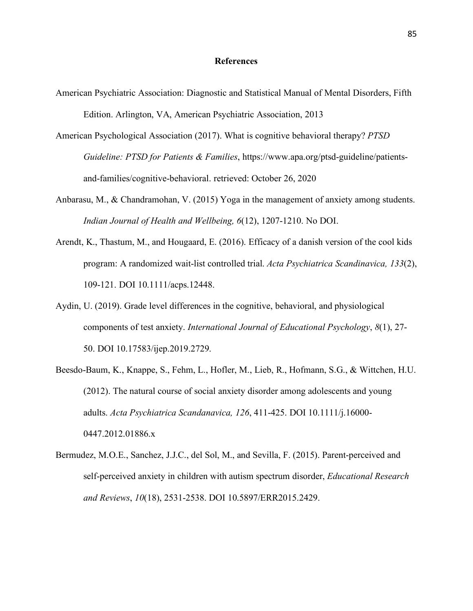#### **References**

- American Psychiatric Association: Diagnostic and Statistical Manual of Mental Disorders, Fifth Edition. Arlington, VA, American Psychiatric Association, 2013
- American Psychological Association (2017). What is cognitive behavioral therapy? *PTSD Guideline: PTSD for Patients & Families*, https://www.apa.org/ptsd-guideline/patientsand-families/cognitive-behavioral. retrieved: October 26, 2020
- Anbarasu, M., & Chandramohan, V. (2015) Yoga in the management of anxiety among students. *Indian Journal of Health and Wellbeing, 6*(12), 1207-1210. No DOI.
- Arendt, K., Thastum, M., and Hougaard, E. (2016). Efficacy of a danish version of the cool kids program: A randomized wait-list controlled trial. *Acta Psychiatrica Scandinavica, 133*(2), 109-121. DOI 10.1111/acps.12448.
- Aydin, U. (2019). Grade level differences in the cognitive, behavioral, and physiological components of test anxiety. *International Journal of Educational Psychology*, *8*(1), 27- 50. DOI 10.17583/ijep.2019.2729.
- Beesdo-Baum, K., Knappe, S., Fehm, L., Hofler, M., Lieb, R., Hofmann, S.G., & Wittchen, H.U. (2012). The natural course of social anxiety disorder among adolescents and young adults. *Acta Psychiatrica Scandanavica, 126*, 411-425. DOI 10.1111/j.16000- 0447.2012.01886.x
- Bermudez, M.O.E., Sanchez, J.J.C., del Sol, M., and Sevilla, F. (2015). Parent-perceived and self-perceived anxiety in children with autism spectrum disorder, *Educational Research and Reviews*, *10*(18), 2531-2538. DOI 10.5897/ERR2015.2429.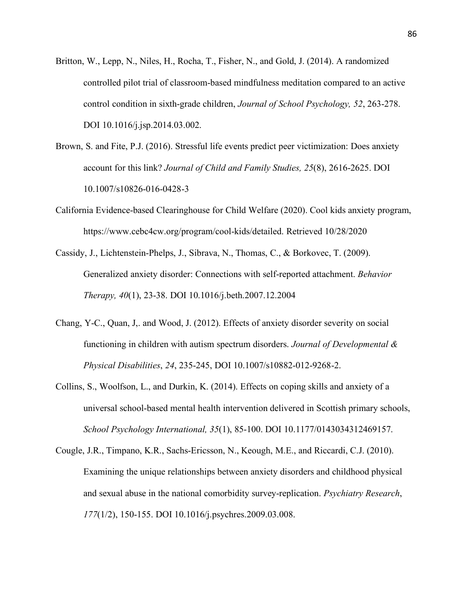- Britton, W., Lepp, N., Niles, H., Rocha, T., Fisher, N., and Gold, J. (2014). A randomized controlled pilot trial of classroom-based mindfulness meditation compared to an active control condition in sixth-grade children, *Journal of School Psychology, 52*, 263-278. DOI 10.1016/j.jsp.2014.03.002.
- Brown, S. and Fite, P.J. (2016). Stressful life events predict peer victimization: Does anxiety account for this link? *Journal of Child and Family Studies, 25*(8), 2616-2625. DOI 10.1007/s10826-016-0428-3
- California Evidence-based Clearinghouse for Child Welfare (2020). Cool kids anxiety program, https://www.cebc4cw.org/program/cool-kids/detailed. Retrieved 10/28/2020
- Cassidy, J., Lichtenstein-Phelps, J., Sibrava, N., Thomas, C., & Borkovec, T. (2009). Generalized anxiety disorder: Connections with self-reported attachment. *Behavior Therapy, 40*(1), 23-38. DOI 10.1016/j.beth.2007.12.2004
- Chang, Y-C., Quan, J,. and Wood, J. (2012). Effects of anxiety disorder severity on social functioning in children with autism spectrum disorders. *Journal of Developmental & Physical Disabilities*, *24*, 235-245, DOI 10.1007/s10882-012-9268-2.
- Collins, S., Woolfson, L., and Durkin, K. (2014). Effects on coping skills and anxiety of a universal school-based mental health intervention delivered in Scottish primary schools, *School Psychology International, 35*(1), 85-100. DOI 10.1177/0143034312469157.
- Cougle, J.R., Timpano, K.R., Sachs-Ericsson, N., Keough, M.E., and Riccardi, C.J. (2010). Examining the unique relationships between anxiety disorders and childhood physical and sexual abuse in the national comorbidity survey-replication. *Psychiatry Research*, *177*(1/2), 150-155. DOI 10.1016/j.psychres.2009.03.008.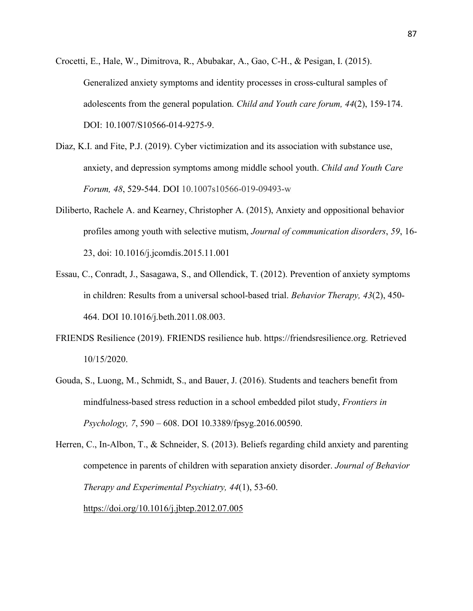- Crocetti, E., Hale, W., Dimitrova, R., Abubakar, A., Gao, C-H., & Pesigan, I. (2015). Generalized anxiety symptoms and identity processes in cross-cultural samples of adolescents from the general population. *Child and Youth care forum, 44*(2), 159-174. DOI: 10.1007/S10566-014-9275-9.
- Diaz, K.I. and Fite, P.J. (2019). Cyber victimization and its association with substance use, anxiety, and depression symptoms among middle school youth. *Child and Youth Care Forum, 48*, 529-544. DOI 10.1007s10566-019-09493-w
- Diliberto, Rachele A. and Kearney, Christopher A. (2015), Anxiety and oppositional behavior profiles among youth with selective mutism, *Journal of communication disorders*, *59*, 16- 23, doi: 10.1016/j.jcomdis.2015.11.001
- Essau, C., Conradt, J., Sasagawa, S., and Ollendick, T. (2012). Prevention of anxiety symptoms in children: Results from a universal school-based trial. *Behavior Therapy, 43*(2), 450- 464. DOI 10.1016/j.beth.2011.08.003.
- FRIENDS Resilience (2019). FRIENDS resilience hub. https://friendsresilience.org. Retrieved 10/15/2020.
- Gouda, S., Luong, M., Schmidt, S., and Bauer, J. (2016). Students and teachers benefit from mindfulness-based stress reduction in a school embedded pilot study, *Frontiers in Psychology, 7*, 590 – 608. DOI 10.3389/fpsyg.2016.00590.

Herren, C., In-Albon, T., & Schneider, S. (2013). Beliefs regarding child anxiety and parenting competence in parents of children with separation anxiety disorder. *Journal of Behavior Therapy and Experimental Psychiatry, 44*(1), 53-60.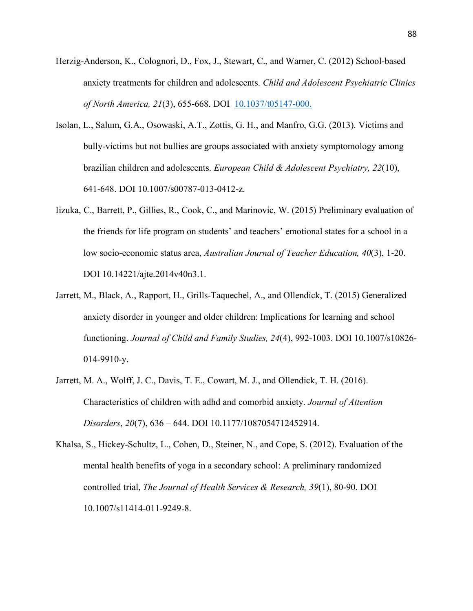- Herzig-Anderson, K., Colognori, D., Fox, J., Stewart, C., and Warner, C. (2012) School-based anxiety treatments for children and adolescents. *Child and Adolescent Psychiatric Clinics of North America, 21*(3), 655-668. DOI 10.1037/t05147-000.
- Isolan, L., Salum, G.A., Osowaski, A.T., Zottis, G. H., and Manfro, G.G. (2013). Victims and bully-victims but not bullies are groups associated with anxiety symptomology among brazilian children and adolescents. *European Child & Adolescent Psychiatry, 22*(10), 641-648. DOI 10.1007/s00787-013-0412-z.
- Iizuka, C., Barrett, P., Gillies, R., Cook, C., and Marinovic, W. (2015) Preliminary evaluation of the friends for life program on students' and teachers' emotional states for a school in a low socio-economic status area, *Australian Journal of Teacher Education, 40*(3), 1-20. DOI 10.14221/ajte.2014v40n3.1.
- Jarrett, M., Black, A., Rapport, H., Grills-Taquechel, A., and Ollendick, T. (2015) Generalized anxiety disorder in younger and older children: Implications for learning and school functioning. *Journal of Child and Family Studies, 24*(4), 992-1003. DOI 10.1007/s10826- 014-9910-y.
- Jarrett, M. A., Wolff, J. C., Davis, T. E., Cowart, M. J., and Ollendick, T. H. (2016). Characteristics of children with adhd and comorbid anxiety. *Journal of Attention Disorders*, *20*(7), 636 – 644. DOI 10.1177/1087054712452914.
- Khalsa, S., Hickey-Schultz, L., Cohen, D., Steiner, N., and Cope, S. (2012). Evaluation of the mental health benefits of yoga in a secondary school: A preliminary randomized controlled trial, *The Journal of Health Services & Research, 39*(1), 80-90. DOI 10.1007/s11414-011-9249-8.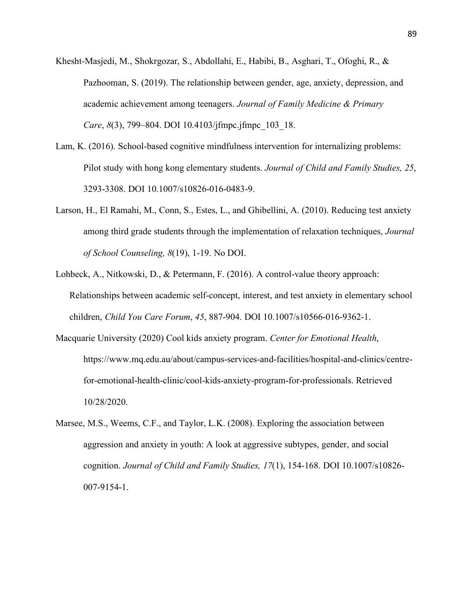- Khesht-Masjedi, M., Shokrgozar, S., Abdollahi, E., Habibi, B., Asghari, T., Ofoghi, R., & Pazhooman, S. (2019). The relationship between gender, age, anxiety, depression, and academic achievement among teenagers. *Journal of Family Medicine & Primary Care*, *8*(3), 799–804. DOI 10.4103/jfmpc.jfmpc\_103\_18.
- Lam, K. (2016). School-based cognitive mindfulness intervention for internalizing problems: Pilot study with hong kong elementary students. *Journal of Child and Family Studies, 25*, 3293-3308. DOI 10.1007/s10826-016-0483-9.
- Larson, H., El Ramahi, M., Conn, S., Estes, L., and Ghibellini, A. (2010). Reducing test anxiety among third grade students through the implementation of relaxation techniques, *Journal of School Counseling, 8*(19), 1-19. No DOI.
- Lohbeck, A., Nitkowski, D., & Petermann, F. (2016). A control-value theory approach: Relationships between academic self-concept, interest, and test anxiety in elementary school children, *Child You Care Forum*, *45*, 887-904. DOI 10.1007/s10566-016-9362-1.
- Macquarie University (2020) Cool kids anxiety program. *Center for Emotional Health*, https://www.mq.edu.au/about/campus-services-and-facilities/hospital-and-clinics/centrefor-emotional-health-clinic/cool-kids-anxiety-program-for-professionals. Retrieved 10/28/2020.
- Marsee, M.S., Weems, C.F., and Taylor, L.K. (2008). Exploring the association between aggression and anxiety in youth: A look at aggressive subtypes, gender, and social cognition. *Journal of Child and Family Studies, 17*(1), 154-168. DOI 10.1007/s10826- 007-9154-1.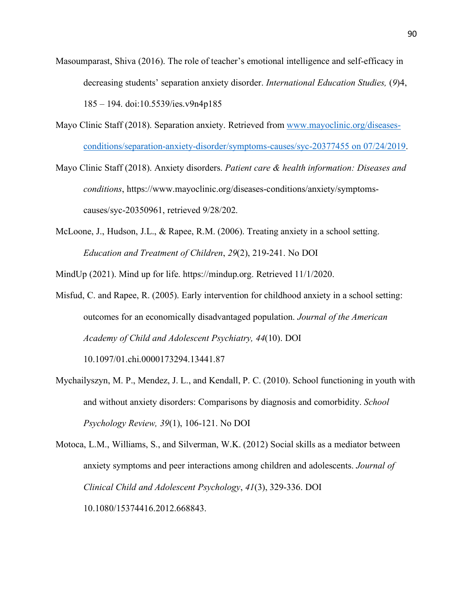- Masoumparast, Shiva (2016). The role of teacher's emotional intelligence and self-efficacy in decreasing students' separation anxiety disorder. *International Education Studies,* (*9*)4, 185 – 194. doi:10.5539/ies.v9n4p185
- Mayo Clinic Staff (2018). Separation anxiety. Retrieved from www.mayoclinic.org/diseasesconditions/separation-anxiety-disorder/symptoms-causes/syc-20377455 on 07/24/2019.
- Mayo Clinic Staff (2018). Anxiety disorders. *Patient care & health information: Diseases and conditions*, https://www.mayoclinic.org/diseases-conditions/anxiety/symptomscauses/syc-20350961, retrieved 9/28/202.
- McLoone, J., Hudson, J.L., & Rapee, R.M. (2006). Treating anxiety in a school setting. *Education and Treatment of Children*, *29*(2), 219-241. No DOI

MindUp (2021). Mind up for life. https://mindup.org. Retrieved 11/1/2020.

- Misfud, C. and Rapee, R. (2005). Early intervention for childhood anxiety in a school setting: outcomes for an economically disadvantaged population. *Journal of the American Academy of Child and Adolescent Psychiatry, 44*(10). DOI 10.1097/01.chi.0000173294.13441.87
- Mychailyszyn, M. P., Mendez, J. L., and Kendall, P. C. (2010). School functioning in youth with and without anxiety disorders: Comparisons by diagnosis and comorbidity. *School Psychology Review, 39*(1), 106-121. No DOI

Motoca, L.M., Williams, S., and Silverman, W.K. (2012) Social skills as a mediator between anxiety symptoms and peer interactions among children and adolescents. *Journal of Clinical Child and Adolescent Psychology*, *41*(3), 329-336. DOI 10.1080/15374416.2012.668843.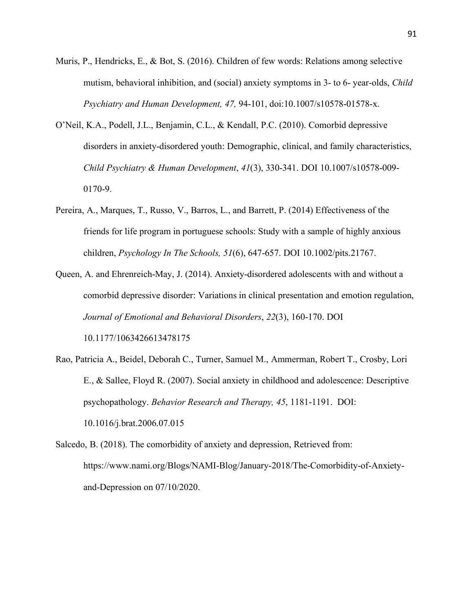- Muris, P., Hendricks, E., & Bot, S. (2016). Children of few words: Relations among selective mutism, behavioral inhibition, and (social) anxiety symptoms in 3- to 6- year-olds, *Child Psychiatry and Human Development, 47,* 94-101, doi:10.1007/s10578-01578-x.
- O'Neil, K.A., Podell, J.L., Benjamin, C.L., & Kendall, P.C. (2010). Comorbid depressive disorders in anxiety-disordered youth: Demographic, clinical, and family characteristics, *Child Psychiatry & Human Development*, *41*(3), 330-341. DOI 10.1007/s10578-009- 0170-9.
- Pereira, A., Marques, T., Russo, V., Barros, L., and Barrett, P. (2014) Effectiveness of the friends for life program in portuguese schools: Study with a sample of highly anxious children, *Psychology In The Schools, 51*(6), 647-657. DOI 10.1002/pits.21767.
- Queen, A. and Ehrenreich-May, J. (2014). Anxiety-disordered adolescents with and without a comorbid depressive disorder: Variations in clinical presentation and emotion regulation, *Journal of Emotional and Behavioral Disorders*, *22*(3), 160-170. DOI 10.1177/1063426613478175
- Rao, Patricia A., Beidel, Deborah C., Turner, Samuel M., Ammerman, Robert T., Crosby, Lori E., & Sallee, Floyd R. (2007). Social anxiety in childhood and adolescence: Descriptive psychopathology. *Behavior Research and Therapy, 45*, 1181-1191. DOI: 10.1016/j.brat.2006.07.015
- Salcedo, B. (2018). The comorbidity of anxiety and depression, Retrieved from: https://www.nami.org/Blogs/NAMI-Blog/January-2018/The-Comorbidity-of-Anxietyand-Depression on 07/10/2020.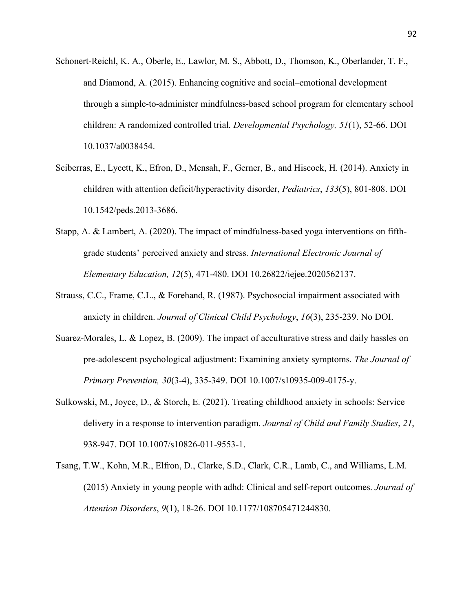- Schonert-Reichl, K. A., Oberle, E., Lawlor, M. S., Abbott, D., Thomson, K., Oberlander, T. F., and Diamond, A. (2015). Enhancing cognitive and social–emotional development through a simple-to-administer mindfulness-based school program for elementary school children: A randomized controlled trial. *Developmental Psychology, 51*(1), 52-66. DOI 10.1037/a0038454.
- Sciberras, E., Lycett, K., Efron, D., Mensah, F., Gerner, B., and Hiscock, H. (2014). Anxiety in children with attention deficit/hyperactivity disorder, *Pediatrics*, *133*(5), 801-808. DOI 10.1542/peds.2013-3686.
- Stapp, A. & Lambert, A. (2020). The impact of mindfulness-based yoga interventions on fifthgrade students' perceived anxiety and stress. *International Electronic Journal of Elementary Education, 12*(5), 471-480. DOI 10.26822/iejee.2020562137.
- Strauss, C.C., Frame, C.L., & Forehand, R. (1987). Psychosocial impairment associated with anxiety in children. *Journal of Clinical Child Psychology*, *16*(3), 235-239. No DOI.
- Suarez-Morales, L. & Lopez, B. (2009). The impact of acculturative stress and daily hassles on pre-adolescent psychological adjustment: Examining anxiety symptoms. *The Journal of Primary Prevention, 30*(3-4), 335-349. DOI 10.1007/s10935-009-0175-y.
- Sulkowski, M., Joyce, D., & Storch, E. (2021). Treating childhood anxiety in schools: Service delivery in a response to intervention paradigm. *Journal of Child and Family Studies*, *21*, 938-947. DOI 10.1007/s10826-011-9553-1.
- Tsang, T.W., Kohn, M.R., Elfron, D., Clarke, S.D., Clark, C.R., Lamb, C., and Williams, L.M. (2015) Anxiety in young people with adhd: Clinical and self-report outcomes. *Journal of Attention Disorders*, *9*(1), 18-26. DOI 10.1177/108705471244830.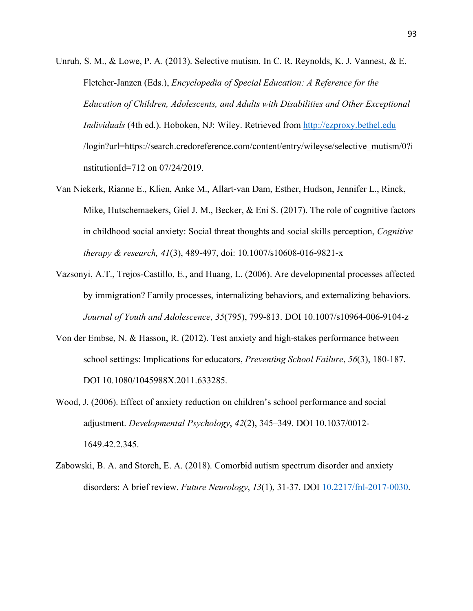- Unruh, S. M., & Lowe, P. A. (2013). Selective mutism. In C. R. Reynolds, K. J. Vannest, & E. Fletcher-Janzen (Eds.), *Encyclopedia of Special Education: A Reference for the Education of Children, Adolescents, and Adults with Disabilities and Other Exceptional Individuals* (4th ed.). Hoboken, NJ: Wiley. Retrieved from http://ezproxy.bethel.edu /login?url=https://search.credoreference.com/content/entry/wileyse/selective\_mutism/0?i nstitutionId=712 on 07/24/2019.
- Van Niekerk, Rianne E., Klien, Anke M., Allart-van Dam, Esther, Hudson, Jennifer L., Rinck, Mike, Hutschemaekers, Giel J. M., Becker, & Eni S. (2017). The role of cognitive factors in childhood social anxiety: Social threat thoughts and social skills perception, *Cognitive therapy & research, 41*(3), 489-497, doi: 10.1007/s10608-016-9821-x
- Vazsonyi, A.T., Trejos-Castillo, E., and Huang, L. (2006). Are developmental processes affected by immigration? Family processes, internalizing behaviors, and externalizing behaviors. *Journal of Youth and Adolescence*, *35*(795), 799-813. DOI 10.1007/s10964-006-9104-z
- Von der Embse, N. & Hasson, R. (2012). Test anxiety and high-stakes performance between school settings: Implications for educators, *Preventing School Failure*, *56*(3), 180-187. DOI 10.1080/1045988X.2011.633285.
- Wood, J. (2006). Effect of anxiety reduction on children's school performance and social adjustment. *Developmental Psychology*, *42*(2), 345–349. DOI 10.1037/0012- 1649.42.2.345.
- Zabowski, B. A. and Storch, E. A. (2018). Comorbid autism spectrum disorder and anxiety disorders: A brief review. *Future Neurology*, *13*(1), 31-37. DOI 10.2217/fnl-2017-0030.